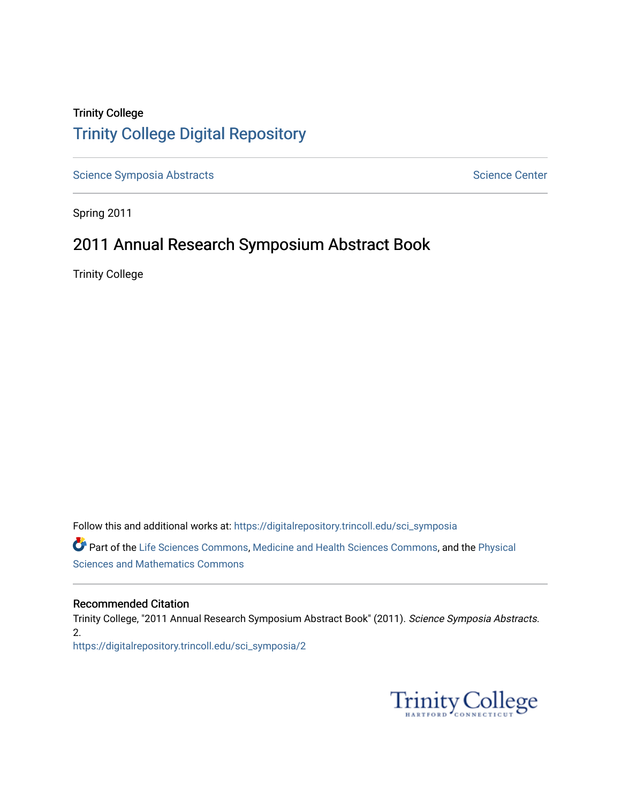### Trinity College [Trinity College Digital Repository](https://digitalrepository.trincoll.edu/)

[Science Symposia Abstracts](https://digitalrepository.trincoll.edu/sci_symposia) **Science Center** Science Center

Spring 2011

### 2011 Annual Research Symposium Abstract Book

Trinity College

Follow this and additional works at: [https://digitalrepository.trincoll.edu/sci\\_symposia](https://digitalrepository.trincoll.edu/sci_symposia?utm_source=digitalrepository.trincoll.edu%2Fsci_symposia%2F2&utm_medium=PDF&utm_campaign=PDFCoverPages)  Part of the [Life Sciences Commons,](http://network.bepress.com/hgg/discipline/1016?utm_source=digitalrepository.trincoll.edu%2Fsci_symposia%2F2&utm_medium=PDF&utm_campaign=PDFCoverPages) [Medicine and Health Sciences Commons,](http://network.bepress.com/hgg/discipline/648?utm_source=digitalrepository.trincoll.edu%2Fsci_symposia%2F2&utm_medium=PDF&utm_campaign=PDFCoverPages) and the [Physical](http://network.bepress.com/hgg/discipline/114?utm_source=digitalrepository.trincoll.edu%2Fsci_symposia%2F2&utm_medium=PDF&utm_campaign=PDFCoverPages)  [Sciences and Mathematics Commons](http://network.bepress.com/hgg/discipline/114?utm_source=digitalrepository.trincoll.edu%2Fsci_symposia%2F2&utm_medium=PDF&utm_campaign=PDFCoverPages) 

#### Recommended Citation

Trinity College, "2011 Annual Research Symposium Abstract Book" (2011). Science Symposia Abstracts. 2. [https://digitalrepository.trincoll.edu/sci\\_symposia/2](https://digitalrepository.trincoll.edu/sci_symposia/2?utm_source=digitalrepository.trincoll.edu%2Fsci_symposia%2F2&utm_medium=PDF&utm_campaign=PDFCoverPages) 

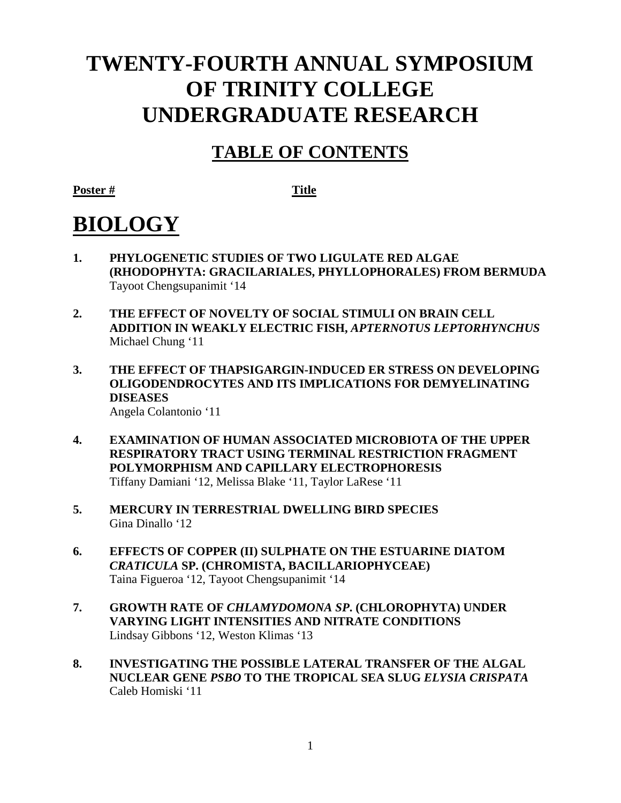# **TWENTY-FOURTH ANNUAL SYMPOSIUM OF TRINITY COLLEGE UNDERGRADUATE RESEARCH**

### **TABLE OF CONTENTS**

**Poster # Title**

# **BIOLOGY**

- **1. PHYLOGENETIC STUDIES OF TWO LIGULATE RED ALGAE (RHODOPHYTA: GRACILARIALES, PHYLLOPHORALES) FROM BERMUDA** Tayoot Chengsupanimit '14
- **2. THE EFFECT OF NOVELTY OF SOCIAL STIMULI ON BRAIN CELL ADDITION IN WEAKLY ELECTRIC FISH,** *APTERNOTUS LEPTORHYNCHUS* Michael Chung '11
- **3. THE EFFECT OF THAPSIGARGIN-INDUCED ER STRESS ON DEVELOPING OLIGODENDROCYTES AND ITS IMPLICATIONS FOR DEMYELINATING DISEASES** Angela Colantonio '11
- **4. EXAMINATION OF HUMAN ASSOCIATED MICROBIOTA OF THE UPPER RESPIRATORY TRACT USING TERMINAL RESTRICTION FRAGMENT POLYMORPHISM AND CAPILLARY ELECTROPHORESIS** Tiffany Damiani '12, Melissa Blake '11, Taylor LaRese '11
- **5. MERCURY IN TERRESTRIAL DWELLING BIRD SPECIES** Gina Dinallo '12
- **6. EFFECTS OF COPPER (II) SULPHATE ON THE ESTUARINE DIATOM**  *CRATICULA* **SP. (CHROMISTA, BACILLARIOPHYCEAE)**  Taina Figueroa '12, Tayoot Chengsupanimit '14
- **7. GROWTH RATE OF** *CHLAMYDOMONA SP***. (CHLOROPHYTA) UNDER VARYING LIGHT INTENSITIES AND NITRATE CONDITIONS** Lindsay Gibbons '12, Weston Klimas '13
- **8. INVESTIGATING THE POSSIBLE LATERAL TRANSFER OF THE ALGAL NUCLEAR GENE** *PSBO* **TO THE TROPICAL SEA SLUG** *ELYSIA CRISPATA* Caleb Homiski '11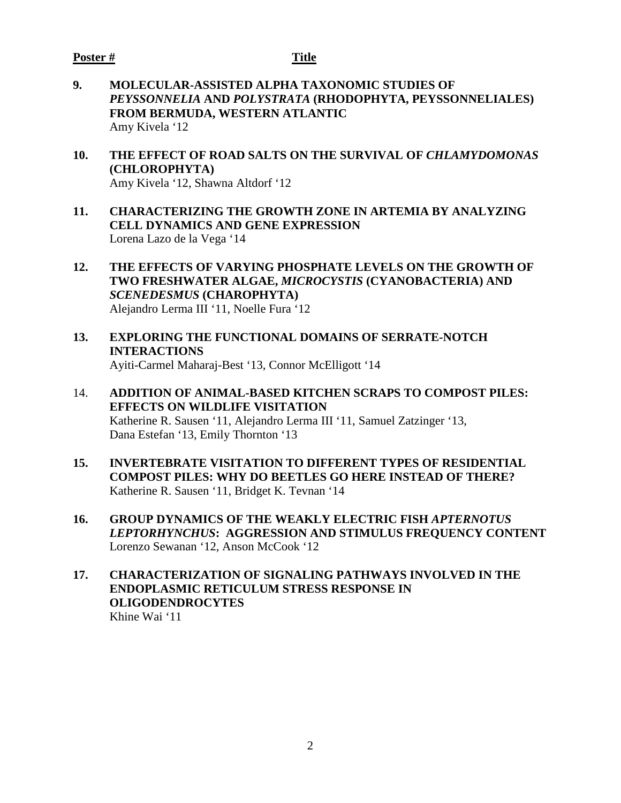- **9. MOLECULAR-ASSISTED ALPHA TAXONOMIC STUDIES OF**  *PEYSSONNELIA* **AND** *POLYSTRATA* **(RHODOPHYTA, PEYSSONNELIALES) FROM BERMUDA, WESTERN ATLANTIC** Amy Kivela '12
- 10. THE EFFECT OF ROAD SALTS ON THE SURVIVAL OF *CHLAMYDOMONAS* **(CHLOROPHYTA)** Amy Kivela '12, Shawna Altdorf '12
- **11. CHARACTERIZING THE GROWTH ZONE IN ARTEMIA BY ANALYZING CELL DYNAMICS AND GENE EXPRESSION** Lorena Lazo de la Vega '14
- **12. THE EFFECTS OF VARYING PHOSPHATE LEVELS ON THE GROWTH OF TWO FRESHWATER ALGAE,** *MICROCYSTIS* **(CYANOBACTERIA) AND**  *SCENEDESMUS* **(CHAROPHYTA)** Alejandro Lerma III '11, Noelle Fura '12
- **13. EXPLORING THE FUNCTIONAL DOMAINS OF SERRATE-NOTCH INTERACTIONS** Ayiti-Carmel Maharaj-Best '13, Connor McElligott '14
- 14. **ADDITION OF ANIMAL-BASED KITCHEN SCRAPS TO COMPOST PILES: EFFECTS ON WILDLIFE VISITATION** Katherine R. Sausen '11, Alejandro Lerma III '11, Samuel Zatzinger '13, Dana Estefan '13, Emily Thornton '13
- **15. INVERTEBRATE VISITATION TO DIFFERENT TYPES OF RESIDENTIAL COMPOST PILES: WHY DO BEETLES GO HERE INSTEAD OF THERE?** Katherine R. Sausen '11, Bridget K. Tevnan '14
- 16. GROUP DYNAMICS OF THE WEAKLY ELECTRIC FISH *APTERNOTUS LEPTORHYNCHUS***: AGGRESSION AND STIMULUS FREQUENCY CONTENT** Lorenzo Sewanan '12, Anson McCook '12
- **17. CHARACTERIZATION OF SIGNALING PATHWAYS INVOLVED IN THE ENDOPLASMIC RETICULUM STRESS RESPONSE IN OLIGODENDROCYTES** Khine Wai '11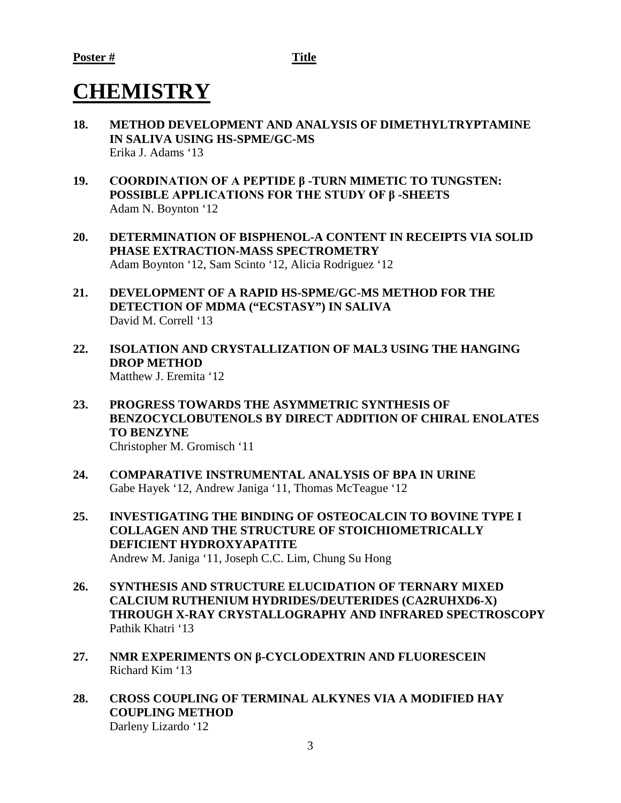# **CHEMISTRY**

- **18. METHOD DEVELOPMENT AND ANALYSIS OF DIMETHYLTRYPTAMINE IN SALIVA USING HS-SPME/GC-MS** Erika J. Adams '13
- **19. COORDINATION OF A PEPTIDE β -TURN MIMETIC TO TUNGSTEN: POSSIBLE APPLICATIONS FOR THE STUDY OF β -SHEETS** Adam N. Boynton '12
- **20. DETERMINATION OF BISPHENOL-A CONTENT IN RECEIPTS VIA SOLID PHASE EXTRACTION-MASS SPECTROMETRY**  Adam Boynton '12, Sam Scinto '12, Alicia Rodriguez '12
- **21. DEVELOPMENT OF A RAPID HS-SPME/GC-MS METHOD FOR THE DETECTION OF MDMA ("ECSTASY") IN SALIVA** David M. Correll '13
- **22. ISOLATION AND CRYSTALLIZATION OF MAL3 USING THE HANGING DROP METHOD** Matthew J. Eremita '12
- **23. PROGRESS TOWARDS THE ASYMMETRIC SYNTHESIS OF BENZOCYCLOBUTENOLS BY DIRECT ADDITION OF CHIRAL ENOLATES TO BENZYNE** Christopher M. Gromisch '11
- **24. COMPARATIVE INSTRUMENTAL ANALYSIS OF BPA IN URINE** Gabe Hayek '12, Andrew Janiga '11, Thomas McTeague '12
- **25. INVESTIGATING THE BINDING OF OSTEOCALCIN TO BOVINE TYPE I COLLAGEN AND THE STRUCTURE OF STOICHIOMETRICALLY DEFICIENT HYDROXYAPATITE** Andrew M. Janiga '11, Joseph C.C. Lim, Chung Su Hong
- **26. SYNTHESIS AND STRUCTURE ELUCIDATION OF TERNARY MIXED CALCIUM RUTHENIUM HYDRIDES/DEUTERIDES (CA2RUHXD6-X) THROUGH X-RAY CRYSTALLOGRAPHY AND INFRARED SPECTROSCOPY**  Pathik Khatri '13
- **27. NMR EXPERIMENTS ON β-CYCLODEXTRIN AND FLUORESCEIN** Richard Kim '13
- **28. CROSS COUPLING OF TERMINAL ALKYNES VIA A MODIFIED HAY COUPLING METHOD** Darleny Lizardo '12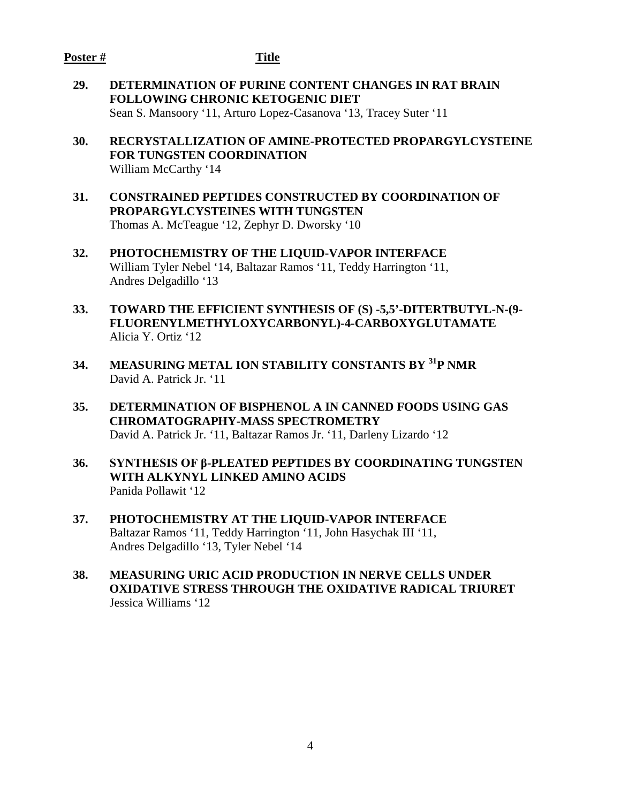#### **Poster # Title**

- **29. DETERMINATION OF PURINE CONTENT CHANGES IN RAT BRAIN FOLLOWING CHRONIC KETOGENIC DIET** Sean S. Mansoory '11, Arturo Lopez-Casanova '13, Tracey Suter '11
- **30. RECRYSTALLIZATION OF AMINE-PROTECTED PROPARGYLCYSTEINE FOR TUNGSTEN COORDINATION** William McCarthy '14
- **31. CONSTRAINED PEPTIDES CONSTRUCTED BY COORDINATION OF PROPARGYLCYSTEINES WITH TUNGSTEN** Thomas A. McTeague '12, Zephyr D. Dworsky '10
- **32. PHOTOCHEMISTRY OF THE LIQUID-VAPOR INTERFACE** William Tyler Nebel '14, Baltazar Ramos '11, Teddy Harrington '11, Andres Delgadillo '13
- **33. TOWARD THE EFFICIENT SYNTHESIS OF (S) -5,5'-DITERTBUTYL-N-(9- FLUORENYLMETHYLOXYCARBONYL)-4-CARBOXYGLUTAMATE** Alicia Y. Ortiz '12
- **34. MEASURING METAL ION STABILITY CONSTANTS BY 31P NMR** David A. Patrick Jr. '11
- **35. DETERMINATION OF BISPHENOL A IN CANNED FOODS USING GAS CHROMATOGRAPHY-MASS SPECTROMETRY** David A. Patrick Jr. '11, Baltazar Ramos Jr. '11, Darleny Lizardo '12
- **36. SYNTHESIS OF β-PLEATED PEPTIDES BY COORDINATING TUNGSTEN WITH ALKYNYL LINKED AMINO ACIDS** Panida Pollawit '12
- **37. PHOTOCHEMISTRY AT THE LIQUID-VAPOR INTERFACE** Baltazar Ramos '11, Teddy Harrington '11, John Hasychak III '11, Andres Delgadillo '13, Tyler Nebel '14
- **38. MEASURING URIC ACID PRODUCTION IN NERVE CELLS UNDER OXIDATIVE STRESS THROUGH THE OXIDATIVE RADICAL TRIURET** Jessica Williams '12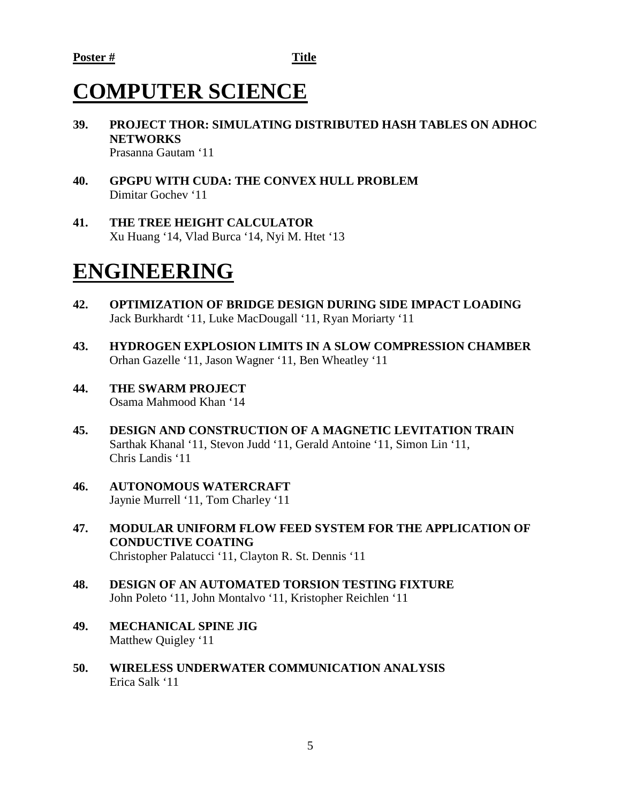# **COMPUTER SCIENCE**

- **39. PROJECT THOR: SIMULATING DISTRIBUTED HASH TABLES ON ADHOC NETWORKS** Prasanna Gautam '11
- **40. GPGPU WITH CUDA: THE CONVEX HULL PROBLEM** Dimitar Gochev '11
- **41. THE TREE HEIGHT CALCULATOR** Xu Huang '14, Vlad Burca '14, Nyi M. Htet '13

## **ENGINEERING**

- **42. OPTIMIZATION OF BRIDGE DESIGN DURING SIDE IMPACT LOADING** Jack Burkhardt '11, Luke MacDougall '11, Ryan Moriarty '11
- **43. HYDROGEN EXPLOSION LIMITS IN A SLOW COMPRESSION CHAMBER** Orhan Gazelle '11, Jason Wagner '11, Ben Wheatley '11
- **44. THE SWARM PROJECT** Osama Mahmood Khan '14
- **45. DESIGN AND CONSTRUCTION OF A MAGNETIC LEVITATION TRAIN** Sarthak Khanal '11, Stevon Judd '11, Gerald Antoine '11, Simon Lin '11, Chris Landis '11
- **46. AUTONOMOUS WATERCRAFT** Jaynie Murrell '11, Tom Charley '11
- **47. MODULAR UNIFORM FLOW FEED SYSTEM FOR THE APPLICATION OF CONDUCTIVE COATING** Christopher Palatucci '11, Clayton R. St. Dennis '11
- **48. DESIGN OF AN AUTOMATED TORSION TESTING FIXTURE** John Poleto '11, John Montalvo '11, Kristopher Reichlen '11
- **49. MECHANICAL SPINE JIG** Matthew Quigley '11
- **50. WIRELESS UNDERWATER COMMUNICATION ANALYSIS**  Erica Salk '11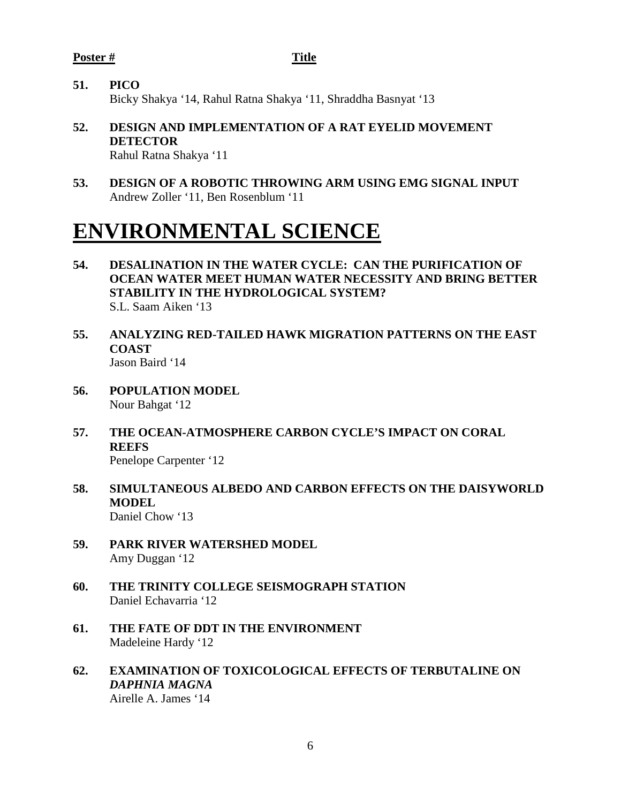#### **Poster # Title**

- **51. PICO** Bicky Shakya '14, Rahul Ratna Shakya '11, Shraddha Basnyat '13
- **52. DESIGN AND IMPLEMENTATION OF A RAT EYELID MOVEMENT DETECTOR** Rahul Ratna Shakya '11
- **53. DESIGN OF A ROBOTIC THROWING ARM USING EMG SIGNAL INPUT** Andrew Zoller '11, Ben Rosenblum '11

# **ENVIRONMENTAL SCIENCE**

- **54. DESALINATION IN THE WATER CYCLE: CAN THE PURIFICATION OF OCEAN WATER MEET HUMAN WATER NECESSITY AND BRING BETTER STABILITY IN THE HYDROLOGICAL SYSTEM?** S.L. Saam Aiken '13
- **55. ANALYZING RED-TAILED HAWK MIGRATION PATTERNS ON THE EAST COAST** Jason Baird '14
- **56. POPULATION MODEL** Nour Bahgat '12
- **57. THE OCEAN-ATMOSPHERE CARBON CYCLE'S IMPACT ON CORAL REEFS** Penelope Carpenter '12
- **58. SIMULTANEOUS ALBEDO AND CARBON EFFECTS ON THE DAISYWORLD MODEL** Daniel Chow '13
- **59. PARK RIVER WATERSHED MODEL** Amy Duggan '12
- **60. THE TRINITY COLLEGE SEISMOGRAPH STATION** Daniel Echavarria '12
- **61. THE FATE OF DDT IN THE ENVIRONMENT** Madeleine Hardy '12
- **62. EXAMINATION OF TOXICOLOGICAL EFFECTS OF TERBUTALINE ON**  *DAPHNIA MAGNA* Airelle A. James '14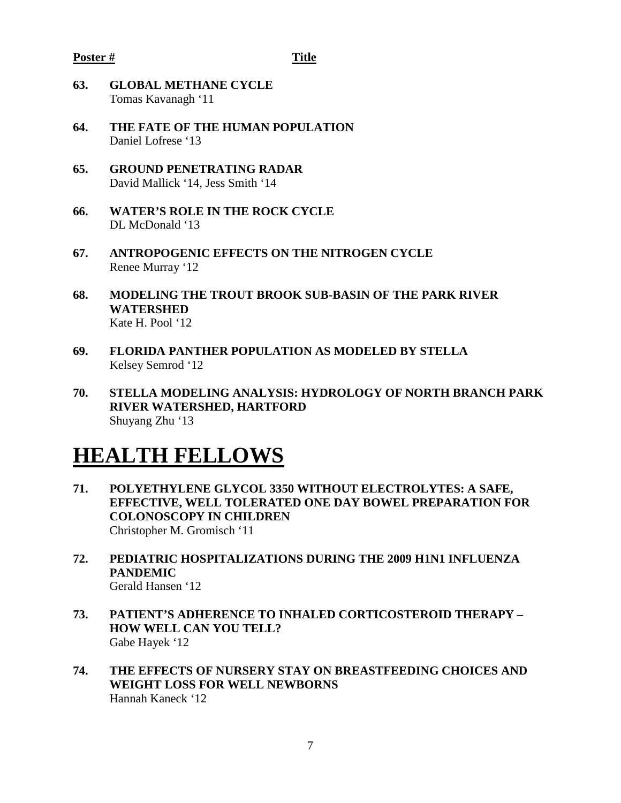#### **Poster # Title**

- **63. GLOBAL METHANE CYCLE** Tomas Kavanagh '11
- **64. THE FATE OF THE HUMAN POPULATION**  Daniel Lofrese '13
- **65. GROUND PENETRATING RADAR** David Mallick '14, Jess Smith '14
- **66. WATER'S ROLE IN THE ROCK CYCLE** DL McDonald '13
- **67. ANTROPOGENIC EFFECTS ON THE NITROGEN CYCLE**  Renee Murray '12
- **68. MODELING THE TROUT BROOK SUB-BASIN OF THE PARK RIVER WATERSHED** Kate H. Pool '12
- **69. FLORIDA PANTHER POPULATION AS MODELED BY STELLA** Kelsey Semrod '12
- **70. STELLA MODELING ANALYSIS: HYDROLOGY OF NORTH BRANCH PARK RIVER WATERSHED, HARTFORD** Shuyang Zhu '13

# **HEALTH FELLOWS**

- **71. POLYETHYLENE GLYCOL 3350 WITHOUT ELECTROLYTES: A SAFE, EFFECTIVE, WELL TOLERATED ONE DAY BOWEL PREPARATION FOR COLONOSCOPY IN CHILDREN** Christopher M. Gromisch '11
- **72. PEDIATRIC HOSPITALIZATIONS DURING THE 2009 H1N1 INFLUENZA PANDEMIC**  Gerald Hansen '12
- **73. PATIENT'S ADHERENCE TO INHALED CORTICOSTEROID THERAPY – HOW WELL CAN YOU TELL?** Gabe Hayek '12
- **74. THE EFFECTS OF NURSERY STAY ON BREASTFEEDING CHOICES AND WEIGHT LOSS FOR WELL NEWBORNS**  Hannah Kaneck '12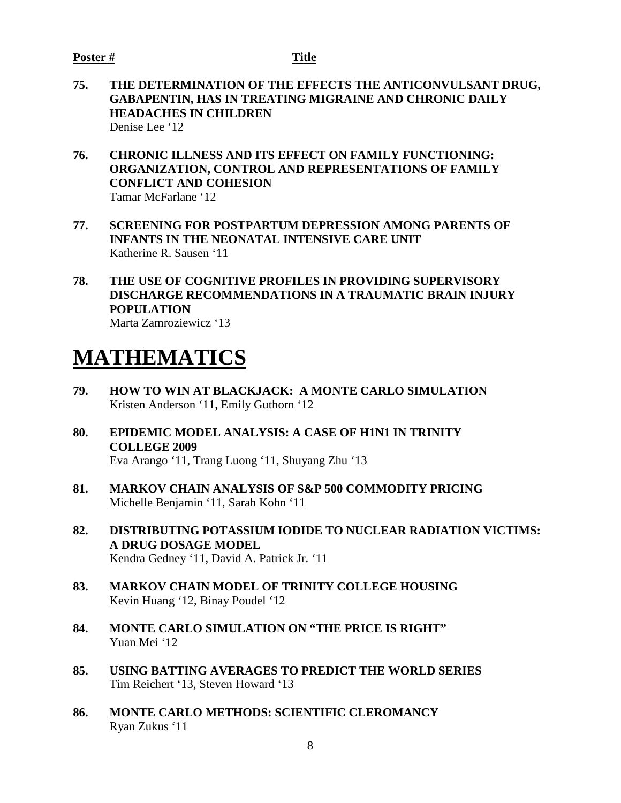- **75. THE DETERMINATION OF THE EFFECTS THE ANTICONVULSANT DRUG, GABAPENTIN, HAS IN TREATING MIGRAINE AND CHRONIC DAILY HEADACHES IN CHILDREN** Denise Lee '12
- **76. CHRONIC ILLNESS AND ITS EFFECT ON FAMILY FUNCTIONING: ORGANIZATION, CONTROL AND REPRESENTATIONS OF FAMILY CONFLICT AND COHESION**  Tamar McFarlane '12
- **77. SCREENING FOR POSTPARTUM DEPRESSION AMONG PARENTS OF INFANTS IN THE NEONATAL INTENSIVE CARE UNIT** Katherine R. Sausen '11
- **78. THE USE OF COGNITIVE PROFILES IN PROVIDING SUPERVISORY DISCHARGE RECOMMENDATIONS IN A TRAUMATIC BRAIN INJURY POPULATION** Marta Zamroziewicz '13

## **MATHEMATICS**

- **79. HOW TO WIN AT BLACKJACK: A MONTE CARLO SIMULATION**  Kristen Anderson '11, Emily Guthorn '12
- **80. EPIDEMIC MODEL ANALYSIS: A CASE OF H1N1 IN TRINITY COLLEGE 2009** Eva Arango '11, Trang Luong '11, Shuyang Zhu '13
- **81. MARKOV CHAIN ANALYSIS OF S&P 500 COMMODITY PRICING** Michelle Benjamin '11, Sarah Kohn '11
- **82. DISTRIBUTING POTASSIUM IODIDE TO NUCLEAR RADIATION VICTIMS: A DRUG DOSAGE MODEL** Kendra Gedney '11, David A. Patrick Jr. '11
- **83. MARKOV CHAIN MODEL OF TRINITY COLLEGE HOUSING** Kevin Huang '12, Binay Poudel '12
- **84. MONTE CARLO SIMULATION ON "THE PRICE IS RIGHT"** Yuan Mei '12
- **85. USING BATTING AVERAGES TO PREDICT THE WORLD SERIES** Tim Reichert '13, Steven Howard '13
- **86. MONTE CARLO METHODS: SCIENTIFIC CLEROMANCY**  Ryan Zukus '11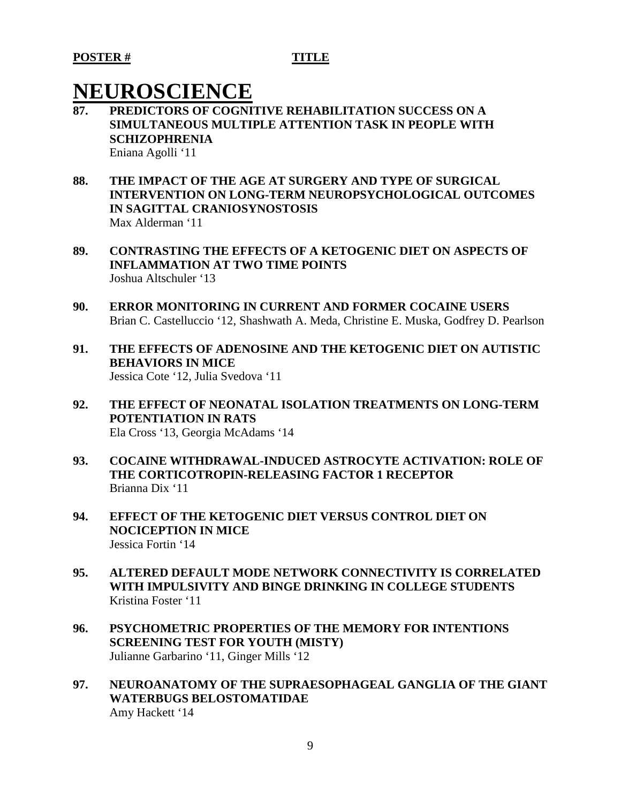## **NEUROSCIENCE**

- **87. PREDICTORS OF COGNITIVE REHABILITATION SUCCESS ON A SIMULTANEOUS MULTIPLE ATTENTION TASK IN PEOPLE WITH SCHIZOPHRENIA** Eniana Agolli '11
- **88. THE IMPACT OF THE AGE AT SURGERY AND TYPE OF SURGICAL INTERVENTION ON LONG-TERM NEUROPSYCHOLOGICAL OUTCOMES IN SAGITTAL CRANIOSYNOSTOSIS**  Max Alderman '11
- **89. CONTRASTING THE EFFECTS OF A KETOGENIC DIET ON ASPECTS OF INFLAMMATION AT TWO TIME POINTS**  Joshua Altschuler '13
- **90. ERROR MONITORING IN CURRENT AND FORMER COCAINE USERS** Brian C. Castelluccio '12, Shashwath A. Meda, Christine E. Muska, Godfrey D. Pearlson
- **91. THE EFFECTS OF ADENOSINE AND THE KETOGENIC DIET ON AUTISTIC BEHAVIORS IN MICE** Jessica Cote '12, Julia Svedova '11
- **92. THE EFFECT OF NEONATAL ISOLATION TREATMENTS ON LONG-TERM POTENTIATION IN RATS** Ela Cross '13, Georgia McAdams '14
- **93. COCAINE WITHDRAWAL-INDUCED ASTROCYTE ACTIVATION: ROLE OF THE CORTICOTROPIN-RELEASING FACTOR 1 RECEPTOR** Brianna Dix '11
- **94. EFFECT OF THE KETOGENIC DIET VERSUS CONTROL DIET ON NOCICEPTION IN MICE**  Jessica Fortin '14
- **95. ALTERED DEFAULT MODE NETWORK CONNECTIVITY IS CORRELATED WITH IMPULSIVITY AND BINGE DRINKING IN COLLEGE STUDENTS** Kristina Foster '11
- **96. PSYCHOMETRIC PROPERTIES OF THE MEMORY FOR INTENTIONS SCREENING TEST FOR YOUTH (MISTY)** Julianne Garbarino '11, Ginger Mills '12
- **97. NEUROANATOMY OF THE SUPRAESOPHAGEAL GANGLIA OF THE GIANT WATERBUGS BELOSTOMATIDAE** Amy Hackett '14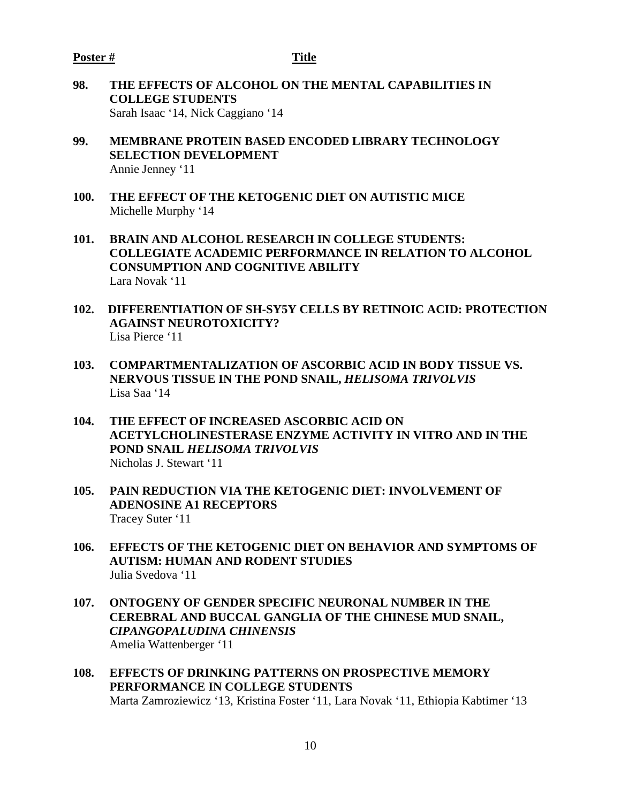- **98. THE EFFECTS OF ALCOHOL ON THE MENTAL CAPABILITIES IN COLLEGE STUDENTS** Sarah Isaac '14, Nick Caggiano '14
- **99. MEMBRANE PROTEIN BASED ENCODED LIBRARY TECHNOLOGY SELECTION DEVELOPMENT** Annie Jenney '11
- **100. THE EFFECT OF THE KETOGENIC DIET ON AUTISTIC MICE** Michelle Murphy '14
- **101. BRAIN AND ALCOHOL RESEARCH IN COLLEGE STUDENTS: COLLEGIATE ACADEMIC PERFORMANCE IN RELATION TO ALCOHOL CONSUMPTION AND COGNITIVE ABILITY** Lara Novak '11
- **102. DIFFERENTIATION OF SH-SY5Y CELLS BY RETINOIC ACID: PROTECTION AGAINST NEUROTOXICITY?** Lisa Pierce '11
- **103. COMPARTMENTALIZATION OF ASCORBIC ACID IN BODY TISSUE VS. NERVOUS TISSUE IN THE POND SNAIL,** *HELISOMA TRIVOLVIS* Lisa Saa '14
- **104. THE EFFECT OF INCREASED ASCORBIC ACID ON ACETYLCHOLINESTERASE ENZYME ACTIVITY IN VITRO AND IN THE POND SNAIL** *HELISOMA TRIVOLVIS* Nicholas J. Stewart '11
- **105. PAIN REDUCTION VIA THE KETOGENIC DIET: INVOLVEMENT OF ADENOSINE A1 RECEPTORS**  Tracey Suter '11
- **106. EFFECTS OF THE KETOGENIC DIET ON BEHAVIOR AND SYMPTOMS OF AUTISM: HUMAN AND RODENT STUDIES** Julia Svedova '11
- **107. ONTOGENY OF GENDER SPECIFIC NEURONAL NUMBER IN THE CEREBRAL AND BUCCAL GANGLIA OF THE CHINESE MUD SNAIL,**  *CIPANGOPALUDINA CHINENSIS* Amelia Wattenberger '11
- **108. EFFECTS OF DRINKING PATTERNS ON PROSPECTIVE MEMORY PERFORMANCE IN COLLEGE STUDENTS** Marta Zamroziewicz '13, Kristina Foster '11, Lara Novak '11, Ethiopia Kabtimer '13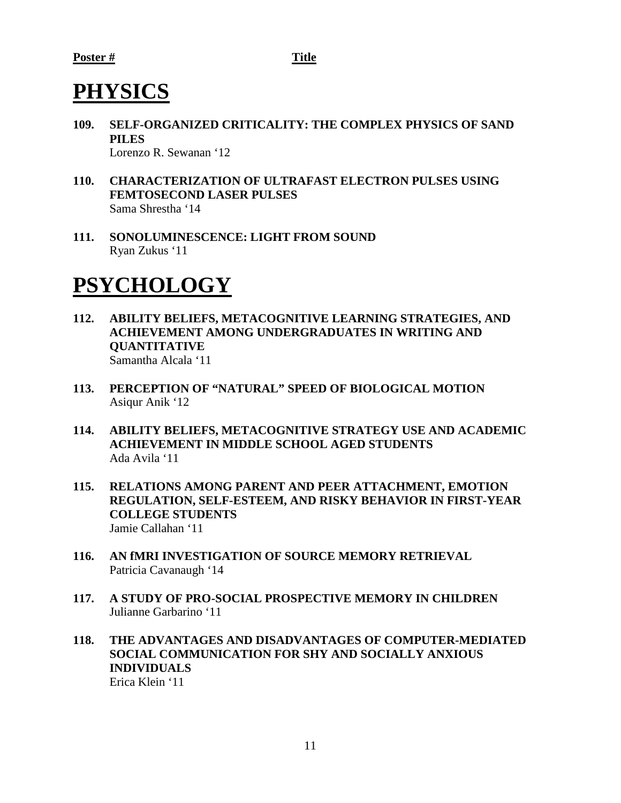# **PHYSICS**

- **109. SELF-ORGANIZED CRITICALITY: THE COMPLEX PHYSICS OF SAND PILES** Lorenzo R. Sewanan '12
- **110. CHARACTERIZATION OF ULTRAFAST ELECTRON PULSES USING FEMTOSECOND LASER PULSES** Sama Shrestha '14
- **111. SONOLUMINESCENCE: LIGHT FROM SOUND** Ryan Zukus '11

# **PSYCHOLOGY**

- **112. ABILITY BELIEFS, METACOGNITIVE LEARNING STRATEGIES, AND ACHIEVEMENT AMONG UNDERGRADUATES IN WRITING AND QUANTITATIVE**  Samantha Alcala '11
- **113. PERCEPTION OF "NATURAL" SPEED OF BIOLOGICAL MOTION** Asiqur Anik '12
- **114. ABILITY BELIEFS, METACOGNITIVE STRATEGY USE AND ACADEMIC ACHIEVEMENT IN MIDDLE SCHOOL AGED STUDENTS** Ada Avila '11
- **115. RELATIONS AMONG PARENT AND PEER ATTACHMENT, EMOTION REGULATION, SELF-ESTEEM, AND RISKY BEHAVIOR IN FIRST-YEAR COLLEGE STUDENTS** Jamie Callahan '11
- **116. AN fMRI INVESTIGATION OF SOURCE MEMORY RETRIEVAL** Patricia Cavanaugh '14
- **117. A STUDY OF PRO-SOCIAL PROSPECTIVE MEMORY IN CHILDREN** Julianne Garbarino '11
- **118. THE ADVANTAGES AND DISADVANTAGES OF COMPUTER-MEDIATED SOCIAL COMMUNICATION FOR SHY AND SOCIALLY ANXIOUS INDIVIDUALS** Erica Klein '11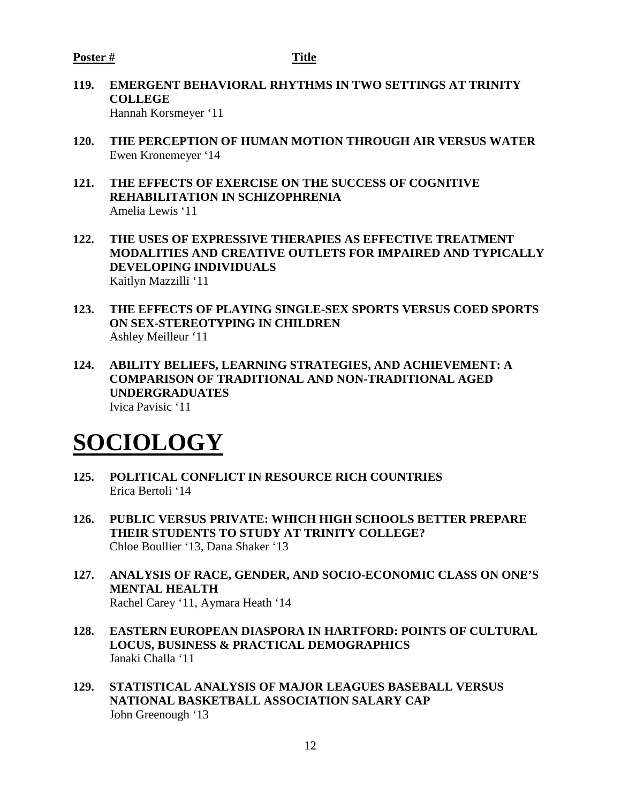- **119. EMERGENT BEHAVIORAL RHYTHMS IN TWO SETTINGS AT TRINITY COLLEGE** Hannah Korsmeyer '11
- **120. THE PERCEPTION OF HUMAN MOTION THROUGH AIR VERSUS WATER** Ewen Kronemeyer '14
- **121. THE EFFECTS OF EXERCISE ON THE SUCCESS OF COGNITIVE REHABILITATION IN SCHIZOPHRENIA** Amelia Lewis '11
- **122. THE USES OF EXPRESSIVE THERAPIES AS EFFECTIVE TREATMENT MODALITIES AND CREATIVE OUTLETS FOR IMPAIRED AND TYPICALLY DEVELOPING INDIVIDUALS** Kaitlyn Mazzilli '11
- **123. THE EFFECTS OF PLAYING SINGLE-SEX SPORTS VERSUS COED SPORTS ON SEX-STEREOTYPING IN CHILDREN** Ashley Meilleur '11
- **124. ABILITY BELIEFS, LEARNING STRATEGIES, AND ACHIEVEMENT: A COMPARISON OF TRADITIONAL AND NON-TRADITIONAL AGED UNDERGRADUATES** Ivica Pavisic '11

# **SOCIOLOGY**

- **125. POLITICAL CONFLICT IN RESOURCE RICH COUNTRIES** Erica Bertoli '14
- **126. PUBLIC VERSUS PRIVATE: WHICH HIGH SCHOOLS BETTER PREPARE THEIR STUDENTS TO STUDY AT TRINITY COLLEGE?** Chloe Boullier '13, Dana Shaker '13
- **127. ANALYSIS OF RACE, GENDER, AND SOCIO-ECONOMIC CLASS ON ONE'S MENTAL HEALTH** Rachel Carey '11, Aymara Heath '14
- **128. EASTERN EUROPEAN DIASPORA IN HARTFORD: POINTS OF CULTURAL LOCUS, BUSINESS & PRACTICAL DEMOGRAPHICS** Janaki Challa '11
- **129. STATISTICAL ANALYSIS OF MAJOR LEAGUES BASEBALL VERSUS NATIONAL BASKETBALL ASSOCIATION SALARY CAP** John Greenough '13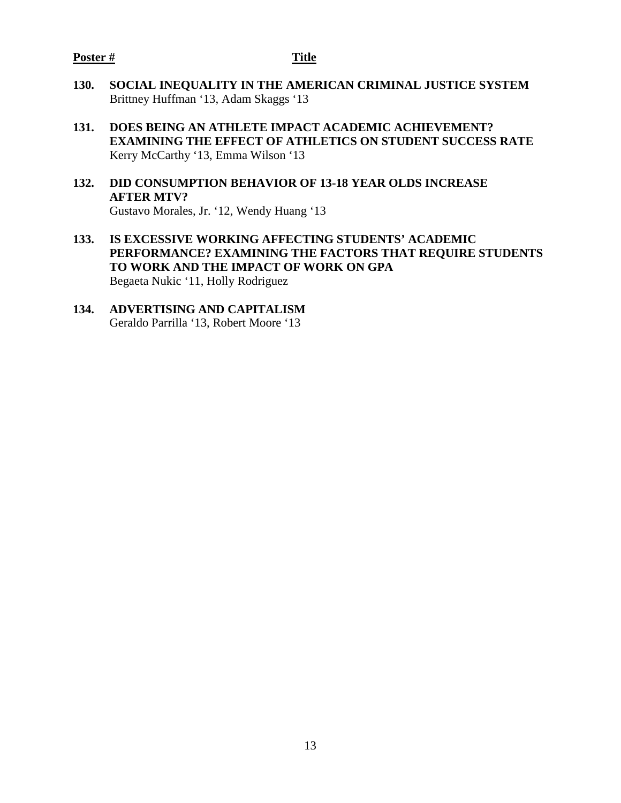#### **Poster # Title**

- **130. SOCIAL INEQUALITY IN THE AMERICAN CRIMINAL JUSTICE SYSTEM** Brittney Huffman '13, Adam Skaggs '13
- **131. DOES BEING AN ATHLETE IMPACT ACADEMIC ACHIEVEMENT? EXAMINING THE EFFECT OF ATHLETICS ON STUDENT SUCCESS RATE** Kerry McCarthy '13, Emma Wilson '13
- **132. DID CONSUMPTION BEHAVIOR OF 13-18 YEAR OLDS INCREASE AFTER MTV?** Gustavo Morales, Jr. '12, Wendy Huang '13
- **133. IS EXCESSIVE WORKING AFFECTING STUDENTS' ACADEMIC PERFORMANCE? EXAMINING THE FACTORS THAT REQUIRE STUDENTS TO WORK AND THE IMPACT OF WORK ON GPA** Begaeta Nukic '11, Holly Rodriguez
- **134. ADVERTISING AND CAPITALISM** Geraldo Parrilla '13, Robert Moore '13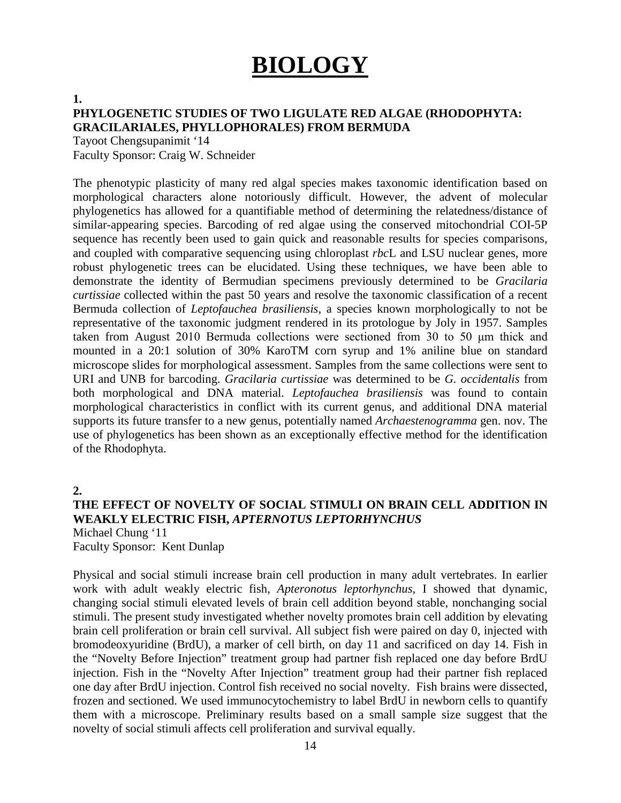# **BIOLOGY**

#### **1.**

#### **PHYLOGENETIC STUDIES OF TWO LIGULATE RED ALGAE (RHODOPHYTA: GRACILARIALES, PHYLLOPHORALES) FROM BERMUDA**

Tayoot Chengsupanimit '14 Faculty Sponsor: Craig W. Schneider

The phenotypic plasticity of many red algal species makes taxonomic identification based on morphological characters alone notoriously difficult. However, the advent of molecular phylogenetics has allowed for a quantifiable method of determining the relatedness/distance of similar-appearing species. Barcoding of red algae using the conserved mitochondrial COI-5P sequence has recently been used to gain quick and reasonable results for species comparisons, and coupled with comparative sequencing using chloroplast *rbc*L and LSU nuclear genes, more robust phylogenetic trees can be elucidated. Using these techniques, we have been able to demonstrate the identity of Bermudian specimens previously determined to be *Gracilaria curtissiae* collected within the past 50 years and resolve the taxonomic classification of a recent Bermuda collection of *Leptofauchea brasiliensis*, a species known morphologically to not be representative of the taxonomic judgment rendered in its protologue by Joly in 1957. Samples taken from August 2010 Bermuda collections were sectioned from 30 to 50 μm thick and mounted in a 20:1 solution of 30% KaroTM corn syrup and 1% aniline blue on standard microscope slides for morphological assessment. Samples from the same collections were sent to URI and UNB for barcoding. *Gracilaria curtissiae* was determined to be *G. occidentalis* from both morphological and DNA material. *Leptofauchea brasiliensis* was found to contain morphological characteristics in conflict with its current genus, and additional DNA material supports its future transfer to a new genus, potentially named *Archaestenogramma* gen. nov. The use of phylogenetics has been shown as an exceptionally effective method for the identification of the Rhodophyta.

#### **2.**

### **THE EFFECT OF NOVELTY OF SOCIAL STIMULI ON BRAIN CELL ADDITION IN WEAKLY ELECTRIC FISH,** *APTERNOTUS LEPTORHYNCHUS*

Michael Chung '11 Faculty Sponsor: Kent Dunlap

Physical and social stimuli increase brain cell production in many adult vertebrates. In earlier work with adult weakly electric fish, *Apteronotus leptorhynchus*, I showed that dynamic, changing social stimuli elevated levels of brain cell addition beyond stable, nonchanging social stimuli. The present study investigated whether novelty promotes brain cell addition by elevating brain cell proliferation or brain cell survival. All subject fish were paired on day 0, injected with bromodeoxyuridine (BrdU), a marker of cell birth, on day 11 and sacrificed on day 14. Fish in the "Novelty Before Injection" treatment group had partner fish replaced one day before BrdU injection. Fish in the "Novelty After Injection" treatment group had their partner fish replaced one day after BrdU injection. Control fish received no social novelty. Fish brains were dissected, frozen and sectioned. We used immunocytochemistry to label BrdU in newborn cells to quantify them with a microscope. Preliminary results based on a small sample size suggest that the novelty of social stimuli affects cell proliferation and survival equally.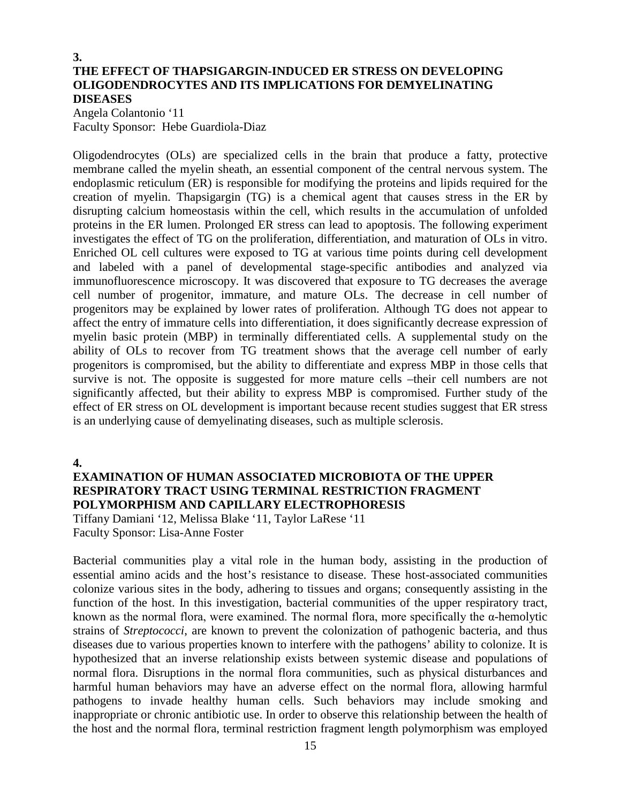#### **3. THE EFFECT OF THAPSIGARGIN-INDUCED ER STRESS ON DEVELOPING OLIGODENDROCYTES AND ITS IMPLICATIONS FOR DEMYELINATING DISEASES**

Angela Colantonio '11 Faculty Sponsor: Hebe Guardiola-Diaz

Oligodendrocytes (OLs) are specialized cells in the brain that produce a fatty, protective membrane called the myelin sheath, an essential component of the central nervous system. The endoplasmic reticulum (ER) is responsible for modifying the proteins and lipids required for the creation of myelin. Thapsigargin (TG) is a chemical agent that causes stress in the ER by disrupting calcium homeostasis within the cell, which results in the accumulation of unfolded proteins in the ER lumen. Prolonged ER stress can lead to apoptosis. The following experiment investigates the effect of TG on the proliferation, differentiation, and maturation of OLs in vitro. Enriched OL cell cultures were exposed to TG at various time points during cell development and labeled with a panel of developmental stage-specific antibodies and analyzed via immunofluorescence microscopy. It was discovered that exposure to TG decreases the average cell number of progenitor, immature, and mature OLs. The decrease in cell number of progenitors may be explained by lower rates of proliferation. Although TG does not appear to affect the entry of immature cells into differentiation, it does significantly decrease expression of myelin basic protein (MBP) in terminally differentiated cells. A supplemental study on the ability of OLs to recover from TG treatment shows that the average cell number of early progenitors is compromised, but the ability to differentiate and express MBP in those cells that survive is not. The opposite is suggested for more mature cells –their cell numbers are not significantly affected, but their ability to express MBP is compromised. Further study of the effect of ER stress on OL development is important because recent studies suggest that ER stress is an underlying cause of demyelinating diseases, such as multiple sclerosis.

**4.**

#### **EXAMINATION OF HUMAN ASSOCIATED MICROBIOTA OF THE UPPER RESPIRATORY TRACT USING TERMINAL RESTRICTION FRAGMENT POLYMORPHISM AND CAPILLARY ELECTROPHORESIS**

Tiffany Damiani '12, Melissa Blake '11, Taylor LaRese '11 Faculty Sponsor: Lisa-Anne Foster

Bacterial communities play a vital role in the human body, assisting in the production of essential amino acids and the host's resistance to disease. These host-associated communities colonize various sites in the body, adhering to tissues and organs; consequently assisting in the function of the host. In this investigation, bacterial communities of the upper respiratory tract, known as the normal flora, were examined. The normal flora, more specifically the α-hemolytic strains of *Streptococci*, are known to prevent the colonization of pathogenic bacteria, and thus diseases due to various properties known to interfere with the pathogens' ability to colonize. It is hypothesized that an inverse relationship exists between systemic disease and populations of normal flora. Disruptions in the normal flora communities, such as physical disturbances and harmful human behaviors may have an adverse effect on the normal flora, allowing harmful pathogens to invade healthy human cells. Such behaviors may include smoking and inappropriate or chronic antibiotic use. In order to observe this relationship between the health of the host and the normal flora, terminal restriction fragment length polymorphism was employed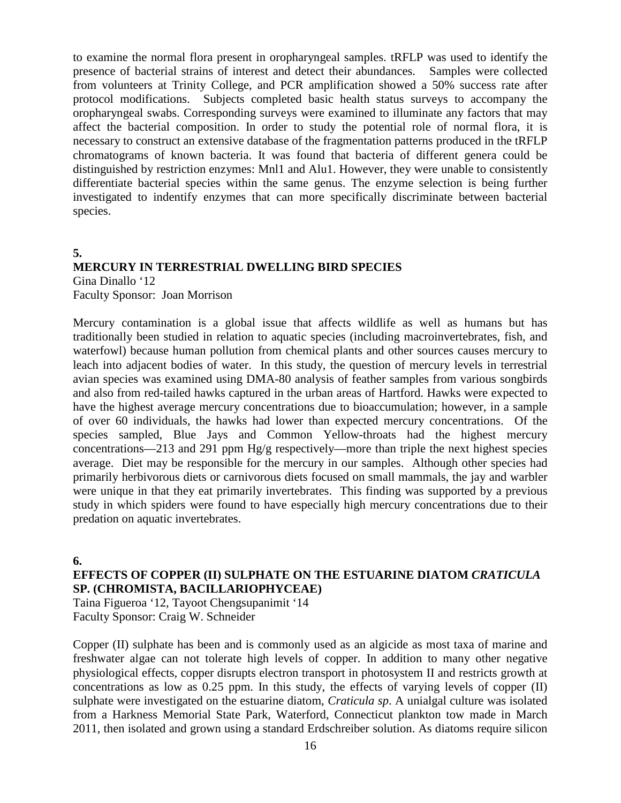to examine the normal flora present in oropharyngeal samples. tRFLP was used to identify the presence of bacterial strains of interest and detect their abundances. Samples were collected from volunteers at Trinity College, and PCR amplification showed a 50% success rate after protocol modifications. Subjects completed basic health status surveys to accompany the oropharyngeal swabs. Corresponding surveys were examined to illuminate any factors that may affect the bacterial composition. In order to study the potential role of normal flora, it is necessary to construct an extensive database of the fragmentation patterns produced in the tRFLP chromatograms of known bacteria. It was found that bacteria of different genera could be distinguished by restriction enzymes: Mnl1 and Alu1. However, they were unable to consistently differentiate bacterial species within the same genus. The enzyme selection is being further investigated to indentify enzymes that can more specifically discriminate between bacterial species.

#### **5. MERCURY IN TERRESTRIAL DWELLING BIRD SPECIES** Gina Dinallo '12

Faculty Sponsor: Joan Morrison

Mercury contamination is a global issue that affects wildlife as well as humans but has traditionally been studied in relation to aquatic species (including macroinvertebrates, fish, and waterfowl) because human pollution from chemical plants and other sources causes mercury to leach into adjacent bodies of water. In this study, the question of mercury levels in terrestrial avian species was examined using DMA-80 analysis of feather samples from various songbirds and also from red-tailed hawks captured in the urban areas of Hartford. Hawks were expected to have the highest average mercury concentrations due to bioaccumulation; however, in a sample of over 60 individuals, the hawks had lower than expected mercury concentrations. Of the species sampled, Blue Jays and Common Yellow-throats had the highest mercury concentrations—213 and 291 ppm Hg/g respectively—more than triple the next highest species average. Diet may be responsible for the mercury in our samples. Although other species had primarily herbivorous diets or carnivorous diets focused on small mammals, the jay and warbler were unique in that they eat primarily invertebrates. This finding was supported by a previous study in which spiders were found to have especially high mercury concentrations due to their predation on aquatic invertebrates.

#### **6.**

### **EFFECTS OF COPPER (II) SULPHATE ON THE ESTUARINE DIATOM** *CRATICULA* **SP. (CHROMISTA, BACILLARIOPHYCEAE)**

Taina Figueroa '12, Tayoot Chengsupanimit '14 Faculty Sponsor: Craig W. Schneider

Copper (II) sulphate has been and is commonly used as an algicide as most taxa of marine and freshwater algae can not tolerate high levels of copper. In addition to many other negative physiological effects, copper disrupts electron transport in photosystem II and restricts growth at concentrations as low as 0.25 ppm. In this study, the effects of varying levels of copper (II) sulphate were investigated on the estuarine diatom, *Craticula sp*. A unialgal culture was isolated from a Harkness Memorial State Park, Waterford, Connecticut plankton tow made in March 2011, then isolated and grown using a standard Erdschreiber solution. As diatoms require silicon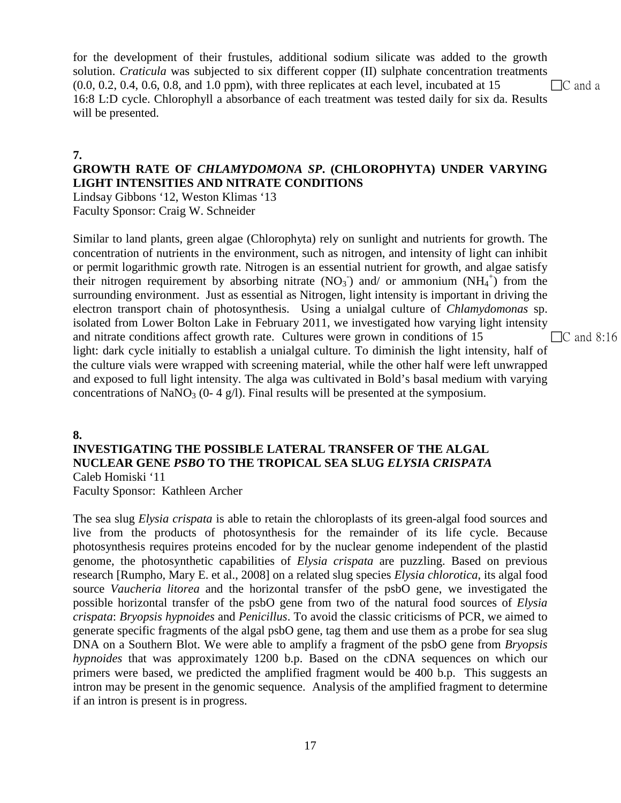for the development of their frustules, additional sodium silicate was added to the growth solution. *Craticula* was subjected to six different copper (II) sulphate concentration treatments  $(0.0, 0.2, 0.4, 0.6, 0.8, \text{ and } 1.0 \text{ ppm})$ , with three replicates at each level, incubated at 15  $\Box$  C and a 16:8 L:D cycle. Chlorophyll a absorbance of each treatment was tested daily for six da. Results will be presented.

#### **7.**

#### **GROWTH RATE OF** *CHLAMYDOMONA SP***. (CHLOROPHYTA) UNDER VARYING LIGHT INTENSITIES AND NITRATE CONDITIONS**

Lindsay Gibbons '12, Weston Klimas '13

Faculty Sponsor: Craig W. Schneider

Similar to land plants, green algae (Chlorophyta) rely on sunlight and nutrients for growth. The concentration of nutrients in the environment, such as nitrogen, and intensity of light can inhibit or permit logarithmic growth rate. Nitrogen is an essential nutrient for growth, and algae satisfy their nitrogen requirement by absorbing nitrate  $(NO<sub>3</sub>^-)$  and/ or ammonium  $(NH<sub>4</sub>^+)$  from the surrounding environment. Just as essential as Nitrogen, light intensity is important in driving the electron transport chain of photosynthesis. Using a unialgal culture of *Chlamydomonas* sp. isolated from Lower Bolton Lake in February 2011, we investigated how varying light intensity and nitrate conditions affect growth rate. Cultures were grown in conditions of 15 C and 8:16 light: dark cycle initially to establish a unialgal culture. To diminish the light intensity, half of the culture vials were wrapped with screening material, while the other half were left unwrapped and exposed to full light intensity. The alga was cultivated in Bold's basal medium with varying concentrations of NaNO<sub>3</sub> (0- 4 g/l). Final results will be presented at the symposium.

#### **8.**

### **INVESTIGATING THE POSSIBLE LATERAL TRANSFER OF THE ALGAL NUCLEAR GENE** *PSBO* **TO THE TROPICAL SEA SLUG** *ELYSIA CRISPATA* Caleb Homiski '11

Faculty Sponsor: Kathleen Archer

The sea slug *Elysia crispata* is able to retain the chloroplasts of its green-algal food sources and live from the products of photosynthesis for the remainder of its life cycle. Because photosynthesis requires proteins encoded for by the nuclear genome independent of the plastid genome, the photosynthetic capabilities of *Elysia crispata* are puzzling. Based on previous research [Rumpho, Mary E. et al., 2008] on a related slug species *Elysia chlorotica*, its algal food source *Vaucheria litorea* and the horizontal transfer of the psbO gene, we investigated the possible horizontal transfer of the psbO gene from two of the natural food sources of *Elysia crispata*: *Bryopsis hypnoides* and *Penicillus*. To avoid the classic criticisms of PCR, we aimed to generate specific fragments of the algal psbO gene, tag them and use them as a probe for sea slug DNA on a Southern Blot. We were able to amplify a fragment of the psbO gene from *Bryopsis hypnoides* that was approximately 1200 b.p. Based on the cDNA sequences on which our primers were based, we predicted the amplified fragment would be 400 b.p. This suggests an intron may be present in the genomic sequence. Analysis of the amplified fragment to determine if an intron is present is in progress.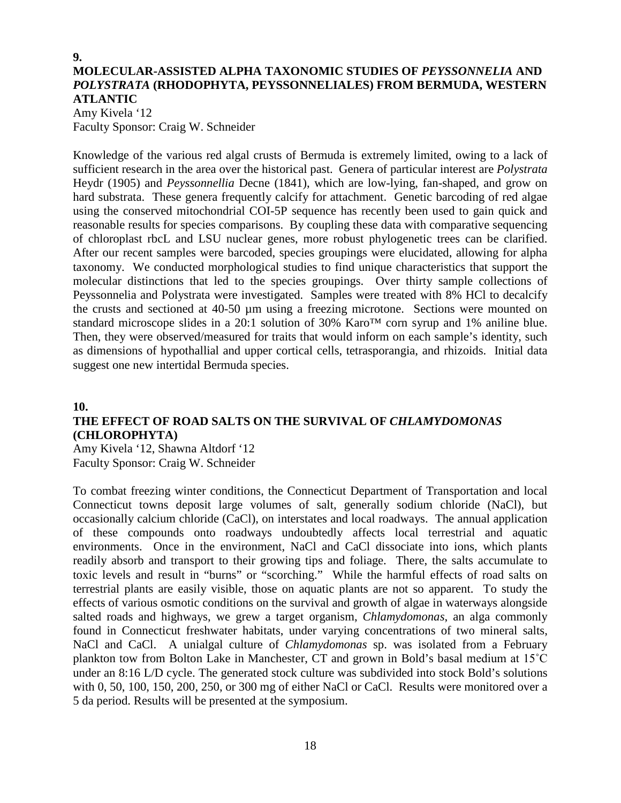#### **9. MOLECULAR-ASSISTED ALPHA TAXONOMIC STUDIES OF** *PEYSSONNELIA* **AND**  *POLYSTRATA* **(RHODOPHYTA, PEYSSONNELIALES) FROM BERMUDA, WESTERN ATLANTIC** Amy Kivela '12

Faculty Sponsor: Craig W. Schneider

Knowledge of the various red algal crusts of Bermuda is extremely limited, owing to a lack of sufficient research in the area over the historical past. Genera of particular interest are *Polystrata* Heydr (1905) and *Peyssonnellia* Decne (1841), which are low-lying, fan-shaped, and grow on hard substrata. These genera frequently calcify for attachment. Genetic barcoding of red algae using the conserved mitochondrial COI-5P sequence has recently been used to gain quick and reasonable results for species comparisons. By coupling these data with comparative sequencing of chloroplast rbcL and LSU nuclear genes, more robust phylogenetic trees can be clarified. After our recent samples were barcoded, species groupings were elucidated, allowing for alpha taxonomy. We conducted morphological studies to find unique characteristics that support the molecular distinctions that led to the species groupings. Over thirty sample collections of Peyssonnelia and Polystrata were investigated. Samples were treated with 8% HCl to decalcify the crusts and sectioned at 40-50 µm using a freezing microtone. Sections were mounted on standard microscope slides in a 20:1 solution of 30% Karo™ corn syrup and 1% aniline blue. Then, they were observed/measured for traits that would inform on each sample's identity, such as dimensions of hypothallial and upper cortical cells, tetrasporangia, and rhizoids. Initial data suggest one new intertidal Bermuda species.

**10.**

### **THE EFFECT OF ROAD SALTS ON THE SURVIVAL OF** *CHLAMYDOMONAS* **(CHLOROPHYTA)**

Amy Kivela '12, Shawna Altdorf '12 Faculty Sponsor: Craig W. Schneider

To combat freezing winter conditions, the Connecticut Department of Transportation and local Connecticut towns deposit large volumes of salt, generally sodium chloride (NaCl), but occasionally calcium chloride (CaCl), on interstates and local roadways. The annual application of these compounds onto roadways undoubtedly affects local terrestrial and aquatic environments. Once in the environment, NaCl and CaCl dissociate into ions, which plants readily absorb and transport to their growing tips and foliage. There, the salts accumulate to toxic levels and result in "burns" or "scorching." While the harmful effects of road salts on terrestrial plants are easily visible, those on aquatic plants are not so apparent. To study the effects of various osmotic conditions on the survival and growth of algae in waterways alongside salted roads and highways, we grew a target organism, *Chlamydomonas*, an alga commonly found in Connecticut freshwater habitats, under varying concentrations of two mineral salts, NaCl and CaCl. A unialgal culture of *Chlamydomonas* sp. was isolated from a February plankton tow from Bolton Lake in Manchester, CT and grown in Bold's basal medium at 15˚C under an 8:16 L/D cycle. The generated stock culture was subdivided into stock Bold's solutions with 0, 50, 100, 150, 200, 250, or 300 mg of either NaCl or CaCl. Results were monitored over a 5 da period. Results will be presented at the symposium.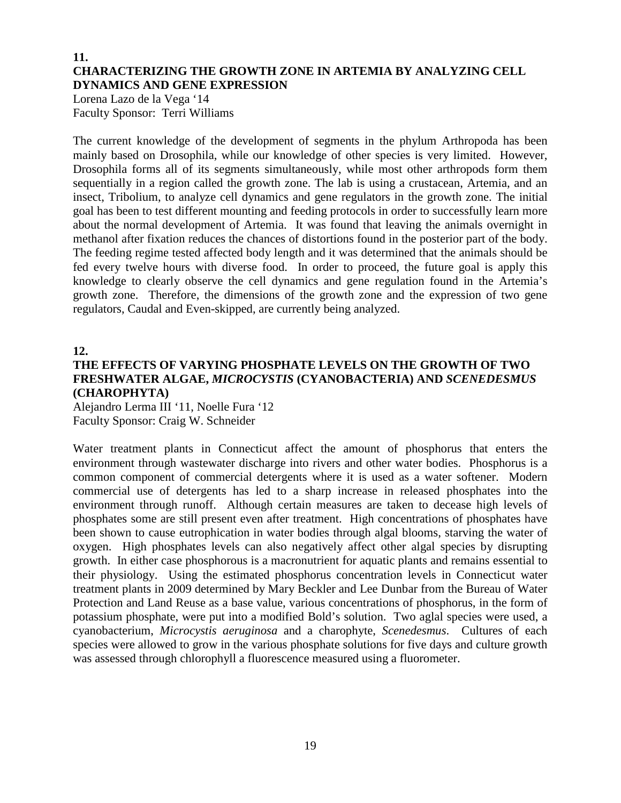#### **11. CHARACTERIZING THE GROWTH ZONE IN ARTEMIA BY ANALYZING CELL DYNAMICS AND GENE EXPRESSION**

Lorena Lazo de la Vega '14 Faculty Sponsor: Terri Williams

The current knowledge of the development of segments in the phylum Arthropoda has been mainly based on Drosophila, while our knowledge of other species is very limited. However, Drosophila forms all of its segments simultaneously, while most other arthropods form them sequentially in a region called the growth zone. The lab is using a crustacean, Artemia, and an insect, Tribolium, to analyze cell dynamics and gene regulators in the growth zone. The initial goal has been to test different mounting and feeding protocols in order to successfully learn more about the normal development of Artemia. It was found that leaving the animals overnight in methanol after fixation reduces the chances of distortions found in the posterior part of the body. The feeding regime tested affected body length and it was determined that the animals should be fed every twelve hours with diverse food. In order to proceed, the future goal is apply this knowledge to clearly observe the cell dynamics and gene regulation found in the Artemia's growth zone. Therefore, the dimensions of the growth zone and the expression of two gene regulators, Caudal and Even-skipped, are currently being analyzed.

**12.**

### **THE EFFECTS OF VARYING PHOSPHATE LEVELS ON THE GROWTH OF TWO FRESHWATER ALGAE,** *MICROCYSTIS* **(CYANOBACTERIA) AND** *SCENEDESMUS* **(CHAROPHYTA)**

Alejandro Lerma III '11, Noelle Fura '12 Faculty Sponsor: Craig W. Schneider

Water treatment plants in Connecticut affect the amount of phosphorus that enters the environment through wastewater discharge into rivers and other water bodies. Phosphorus is a common component of commercial detergents where it is used as a water softener. Modern commercial use of detergents has led to a sharp increase in released phosphates into the environment through runoff. Although certain measures are taken to decease high levels of phosphates some are still present even after treatment. High concentrations of phosphates have been shown to cause eutrophication in water bodies through algal blooms, starving the water of oxygen. High phosphates levels can also negatively affect other algal species by disrupting growth. In either case phosphorous is a macronutrient for aquatic plants and remains essential to their physiology. Using the estimated phosphorus concentration levels in Connecticut water treatment plants in 2009 determined by Mary Beckler and Lee Dunbar from the Bureau of Water Protection and Land Reuse as a base value, various concentrations of phosphorus, in the form of potassium phosphate, were put into a modified Bold's solution. Two aglal species were used, a cyanobacterium, *Microcystis aeruginosa* and a charophyte, *Scenedesmus*. Cultures of each species were allowed to grow in the various phosphate solutions for five days and culture growth was assessed through chlorophyll a fluorescence measured using a fluorometer.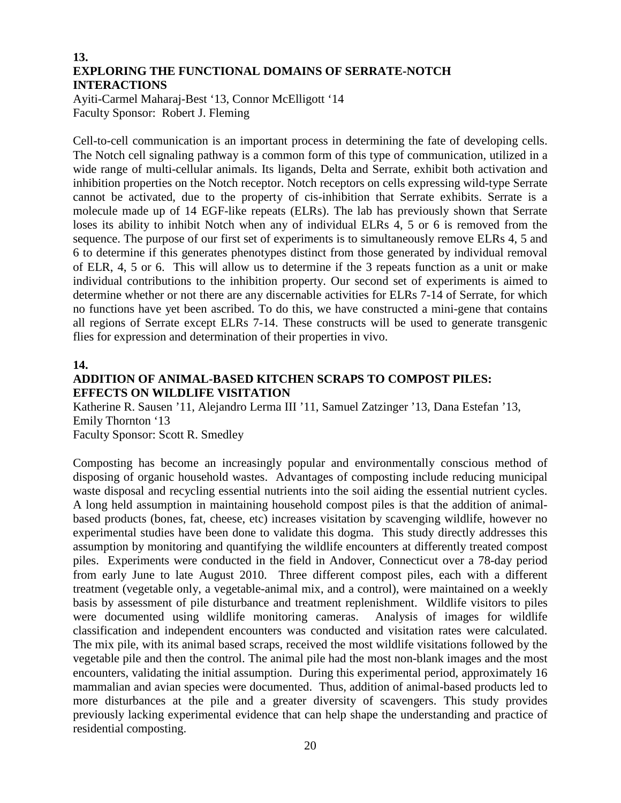#### **13. EXPLORING THE FUNCTIONAL DOMAINS OF SERRATE-NOTCH INTERACTIONS**

Ayiti-Carmel Maharaj-Best '13, Connor McElligott '14 Faculty Sponsor: Robert J. Fleming

Cell-to-cell communication is an important process in determining the fate of developing cells. The Notch cell signaling pathway is a common form of this type of communication, utilized in a wide range of multi-cellular animals. Its ligands, Delta and Serrate, exhibit both activation and inhibition properties on the Notch receptor. Notch receptors on cells expressing wild-type Serrate cannot be activated, due to the property of cis-inhibition that Serrate exhibits. Serrate is a molecule made up of 14 EGF-like repeats (ELRs). The lab has previously shown that Serrate loses its ability to inhibit Notch when any of individual ELRs 4, 5 or 6 is removed from the sequence. The purpose of our first set of experiments is to simultaneously remove ELRs 4, 5 and 6 to determine if this generates phenotypes distinct from those generated by individual removal of ELR, 4, 5 or 6. This will allow us to determine if the 3 repeats function as a unit or make individual contributions to the inhibition property. Our second set of experiments is aimed to determine whether or not there are any discernable activities for ELRs 7-14 of Serrate, for which no functions have yet been ascribed. To do this, we have constructed a mini-gene that contains all regions of Serrate except ELRs 7-14. These constructs will be used to generate transgenic flies for expression and determination of their properties in vivo.

#### **14.**

#### **ADDITION OF ANIMAL-BASED KITCHEN SCRAPS TO COMPOST PILES: EFFECTS ON WILDLIFE VISITATION**

Katherine R. Sausen '11, Alejandro Lerma III '11, Samuel Zatzinger '13, Dana Estefan '13, Emily Thornton '13

Faculty Sponsor: Scott R. Smedley

Composting has become an increasingly popular and environmentally conscious method of disposing of organic household wastes. Advantages of composting include reducing municipal waste disposal and recycling essential nutrients into the soil aiding the essential nutrient cycles. A long held assumption in maintaining household compost piles is that the addition of animalbased products (bones, fat, cheese, etc) increases visitation by scavenging wildlife, however no experimental studies have been done to validate this dogma. This study directly addresses this assumption by monitoring and quantifying the wildlife encounters at differently treated compost piles. Experiments were conducted in the field in Andover, Connecticut over a 78-day period from early June to late August 2010. Three different compost piles, each with a different treatment (vegetable only, a vegetable-animal mix, and a control), were maintained on a weekly basis by assessment of pile disturbance and treatment replenishment. Wildlife visitors to piles were documented using wildlife monitoring cameras. Analysis of images for wildlife classification and independent encounters was conducted and visitation rates were calculated. The mix pile, with its animal based scraps, received the most wildlife visitations followed by the vegetable pile and then the control. The animal pile had the most non-blank images and the most encounters, validating the initial assumption. During this experimental period, approximately 16 mammalian and avian species were documented. Thus, addition of animal-based products led to more disturbances at the pile and a greater diversity of scavengers. This study provides previously lacking experimental evidence that can help shape the understanding and practice of residential composting.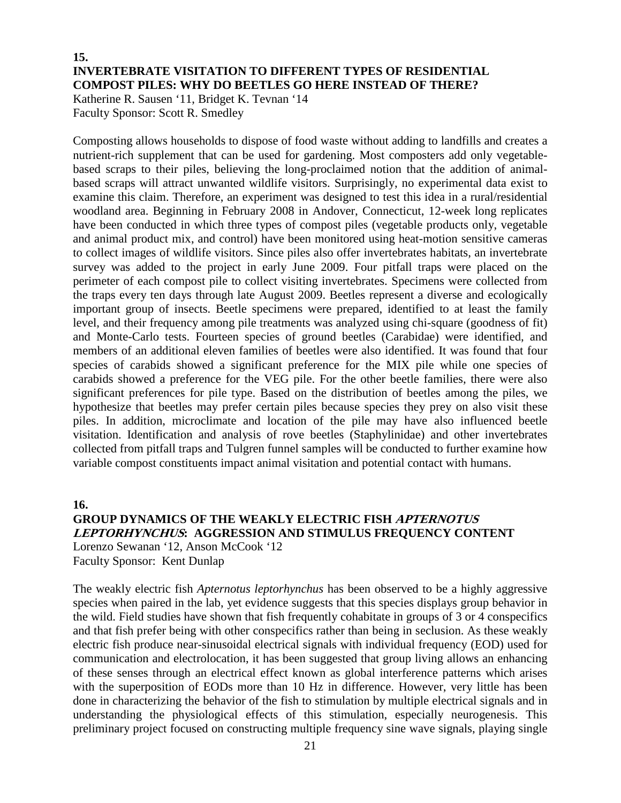#### **15. INVERTEBRATE VISITATION TO DIFFERENT TYPES OF RESIDENTIAL COMPOST PILES: WHY DO BEETLES GO HERE INSTEAD OF THERE?**

Katherine R. Sausen '11, Bridget K. Tevnan '14 Faculty Sponsor: Scott R. Smedley

Composting allows households to dispose of food waste without adding to landfills and creates a nutrient-rich supplement that can be used for gardening. Most composters add only vegetablebased scraps to their piles, believing the long-proclaimed notion that the addition of animalbased scraps will attract unwanted wildlife visitors. Surprisingly, no experimental data exist to examine this claim. Therefore, an experiment was designed to test this idea in a rural/residential woodland area. Beginning in February 2008 in Andover, Connecticut, 12-week long replicates have been conducted in which three types of compost piles (vegetable products only, vegetable and animal product mix, and control) have been monitored using heat-motion sensitive cameras to collect images of wildlife visitors. Since piles also offer invertebrates habitats, an invertebrate survey was added to the project in early June 2009. Four pitfall traps were placed on the perimeter of each compost pile to collect visiting invertebrates. Specimens were collected from the traps every ten days through late August 2009. Beetles represent a diverse and ecologically important group of insects. Beetle specimens were prepared, identified to at least the family level, and their frequency among pile treatments was analyzed using chi-square (goodness of fit) and Monte-Carlo tests. Fourteen species of ground beetles (Carabidae) were identified, and members of an additional eleven families of beetles were also identified. It was found that four species of carabids showed a significant preference for the MIX pile while one species of carabids showed a preference for the VEG pile. For the other beetle families, there were also significant preferences for pile type. Based on the distribution of beetles among the piles, we hypothesize that beetles may prefer certain piles because species they prey on also visit these piles. In addition, microclimate and location of the pile may have also influenced beetle visitation. Identification and analysis of rove beetles (Staphylinidae) and other invertebrates collected from pitfall traps and Tulgren funnel samples will be conducted to further examine how variable compost constituents impact animal visitation and potential contact with humans.

#### **16.**

#### **GROUP DYNAMICS OF THE WEAKLY ELECTRIC FISH APTERNOTUS LEPTORHYNCHUS: AGGRESSION AND STIMULUS FREQUENCY CONTENT** Lorenzo Sewanan '12, Anson McCook '12 Faculty Sponsor: Kent Dunlap

The weakly electric fish *Apternotus leptorhynchus* has been observed to be a highly aggressive species when paired in the lab, yet evidence suggests that this species displays group behavior in the wild. Field studies have shown that fish frequently cohabitate in groups of 3 or 4 conspecifics and that fish prefer being with other conspecifics rather than being in seclusion. As these weakly electric fish produce near-sinusoidal electrical signals with individual frequency (EOD) used for communication and electrolocation, it has been suggested that group living allows an enhancing of these senses through an electrical effect known as global interference patterns which arises with the superposition of EODs more than 10 Hz in difference. However, very little has been done in characterizing the behavior of the fish to stimulation by multiple electrical signals and in understanding the physiological effects of this stimulation, especially neurogenesis. This preliminary project focused on constructing multiple frequency sine wave signals, playing single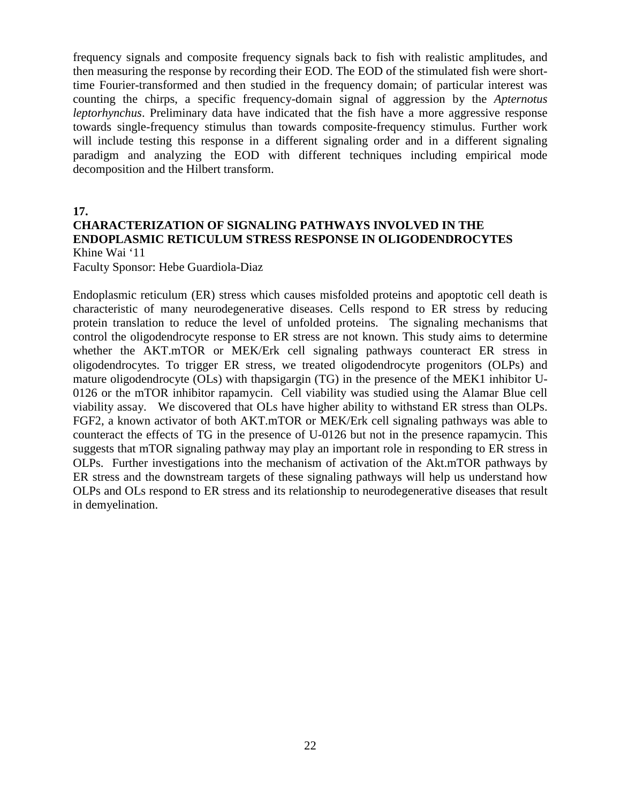frequency signals and composite frequency signals back to fish with realistic amplitudes, and then measuring the response by recording their EOD. The EOD of the stimulated fish were shorttime Fourier-transformed and then studied in the frequency domain; of particular interest was counting the chirps, a specific frequency-domain signal of aggression by the *Apternotus leptorhynchus*. Preliminary data have indicated that the fish have a more aggressive response towards single-frequency stimulus than towards composite-frequency stimulus. Further work will include testing this response in a different signaling order and in a different signaling paradigm and analyzing the EOD with different techniques including empirical mode decomposition and the Hilbert transform.

**17.**

### **CHARACTERIZATION OF SIGNALING PATHWAYS INVOLVED IN THE ENDOPLASMIC RETICULUM STRESS RESPONSE IN OLIGODENDROCYTES**

Khine Wai '11 Faculty Sponsor: Hebe Guardiola-Diaz

Endoplasmic reticulum (ER) stress which causes misfolded proteins and apoptotic cell death is characteristic of many neurodegenerative diseases. Cells respond to ER stress by reducing protein translation to reduce the level of unfolded proteins. The signaling mechanisms that control the oligodendrocyte response to ER stress are not known. This study aims to determine whether the AKT.mTOR or MEK/Erk cell signaling pathways counteract ER stress in oligodendrocytes. To trigger ER stress, we treated oligodendrocyte progenitors (OLPs) and mature oligodendrocyte (OLs) with thapsigargin (TG) in the presence of the MEK1 inhibitor U-0126 or the mTOR inhibitor rapamycin. Cell viability was studied using the Alamar Blue cell viability assay. We discovered that OLs have higher ability to withstand ER stress than OLPs. FGF2, a known activator of both AKT.mTOR or MEK/Erk cell signaling pathways was able to counteract the effects of TG in the presence of U-0126 but not in the presence rapamycin. This suggests that mTOR signaling pathway may play an important role in responding to ER stress in OLPs. Further investigations into the mechanism of activation of the Akt.mTOR pathways by ER stress and the downstream targets of these signaling pathways will help us understand how OLPs and OLs respond to ER stress and its relationship to neurodegenerative diseases that result in demyelination.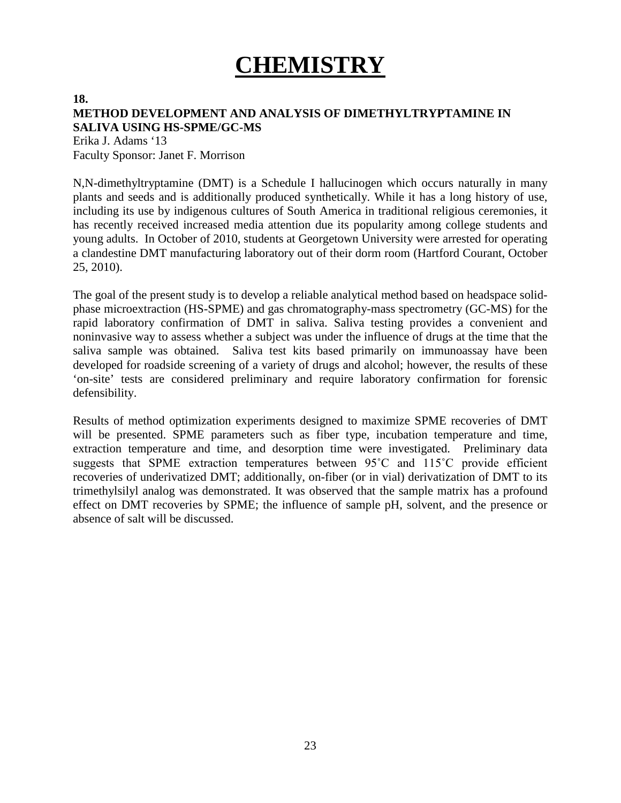# **CHEMISTRY**

#### **18. METHOD DEVELOPMENT AND ANALYSIS OF DIMETHYLTRYPTAMINE IN SALIVA USING HS-SPME/GC-MS**

Erika J. Adams '13 Faculty Sponsor: Janet F. Morrison

N,N-dimethyltryptamine (DMT) is a Schedule I hallucinogen which occurs naturally in many plants and seeds and is additionally produced synthetically. While it has a long history of use, including its use by indigenous cultures of South America in traditional religious ceremonies, it has recently received increased media attention due its popularity among college students and young adults. In October of 2010, students at Georgetown University were arrested for operating a clandestine DMT manufacturing laboratory out of their dorm room (Hartford Courant, October 25, 2010).

The goal of the present study is to develop a reliable analytical method based on headspace solidphase microextraction (HS-SPME) and gas chromatography-mass spectrometry (GC-MS) for the rapid laboratory confirmation of DMT in saliva. Saliva testing provides a convenient and noninvasive way to assess whether a subject was under the influence of drugs at the time that the saliva sample was obtained. Saliva test kits based primarily on immunoassay have been developed for roadside screening of a variety of drugs and alcohol; however, the results of these 'on-site' tests are considered preliminary and require laboratory confirmation for forensic defensibility.

Results of method optimization experiments designed to maximize SPME recoveries of DMT will be presented. SPME parameters such as fiber type, incubation temperature and time, extraction temperature and time, and desorption time were investigated. Preliminary data suggests that SPME extraction temperatures between 95˚C and 115˚C provide efficient recoveries of underivatized DMT; additionally, on-fiber (or in vial) derivatization of DMT to its trimethylsilyl analog was demonstrated. It was observed that the sample matrix has a profound effect on DMT recoveries by SPME; the influence of sample pH, solvent, and the presence or absence of salt will be discussed.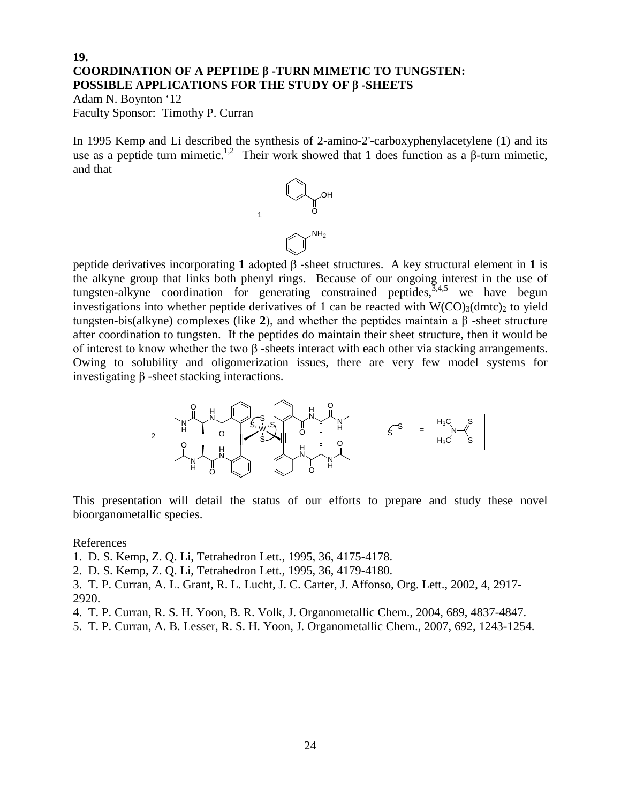#### **19. COORDINATION OF A PEPTIDE β -TURN MIMETIC TO TUNGSTEN: POSSIBLE APPLICATIONS FOR THE STUDY OF β -SHEETS**

Adam N. Boynton '12 Faculty Sponsor: Timothy P. Curran

In 1995 Kemp and Li described the synthesis of 2-amino-2'-carboxyphenylacetylene (**1**) and its use as a peptide turn mimetic.<sup>1,2</sup> Their work showed that 1 does function as a β-turn mimetic, and that



peptide derivatives incorporating **1** adopted β -sheet structures. A key structural element in **1** is the alkyne group that links both phenyl rings. Because of our ongoing interest in the use of tungsten-alkyne coordination for generating constrained peptides,  $3,4,5$  we have begun investigations into whether peptide derivatives of 1 can be reacted with  $W(CO)<sub>3</sub>(dmt)$ <sub>2</sub> to yield tungsten-bis(alkyne) complexes (like **2**), and whether the peptides maintain a β -sheet structure after coordination to tungsten. If the peptides do maintain their sheet structure, then it would be of interest to know whether the two β -sheets interact with each other via stacking arrangements. Owing to solubility and oligomerization issues, there are very few model systems for investigating β -sheet stacking interactions.



This presentation will detail the status of our efforts to prepare and study these novel bioorganometallic species.

References

1. D. S. Kemp, Z. Q. Li, Tetrahedron Lett., 1995, 36, 4175-4178.

2. D. S. Kemp, Z. Q. Li, Tetrahedron Lett., 1995, 36, 4179-4180.

3. T. P. Curran, A. L. Grant, R. L. Lucht, J. C. Carter, J. Affonso, Org. Lett., 2002, 4, 2917- 2920.

4. T. P. Curran, R. S. H. Yoon, B. R. Volk, J. Organometallic Chem., 2004, 689, 4837-4847.

5. T. P. Curran, A. B. Lesser, R. S. H. Yoon, J. Organometallic Chem., 2007, 692, 1243-1254.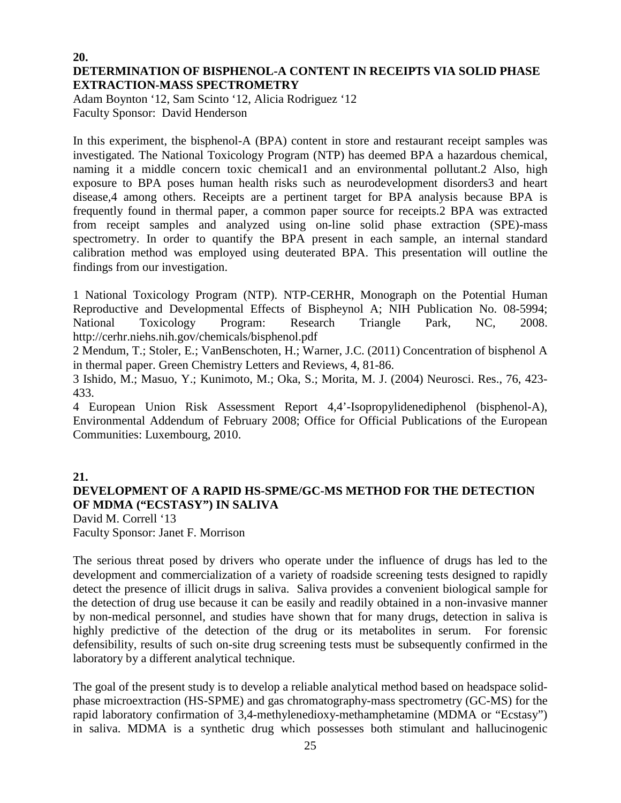#### **20. DETERMINATION OF BISPHENOL-A CONTENT IN RECEIPTS VIA SOLID PHASE EXTRACTION-MASS SPECTROMETRY**

Adam Boynton '12, Sam Scinto '12, Alicia Rodriguez '12 Faculty Sponsor: David Henderson

In this experiment, the bisphenol-A (BPA) content in store and restaurant receipt samples was investigated. The National Toxicology Program (NTP) has deemed BPA a hazardous chemical, naming it a middle concern toxic chemical1 and an environmental pollutant.2 Also, high exposure to BPA poses human health risks such as neurodevelopment disorders3 and heart disease,4 among others. Receipts are a pertinent target for BPA analysis because BPA is frequently found in thermal paper, a common paper source for receipts.2 BPA was extracted from receipt samples and analyzed using on-line solid phase extraction (SPE)-mass spectrometry. In order to quantify the BPA present in each sample, an internal standard calibration method was employed using deuterated BPA. This presentation will outline the findings from our investigation.

1 National Toxicology Program (NTP). NTP-CERHR, Monograph on the Potential Human Reproductive and Developmental Effects of Bispheynol A; NIH Publication No. 08-5994; National Toxicology Program: Research Triangle Park, NC, 2008. http://cerhr.niehs.nih.gov/chemicals/bisphenol.pdf

2 Mendum, T.; Stoler, E.; VanBenschoten, H.; Warner, J.C. (2011) Concentration of bisphenol A in thermal paper. Green Chemistry Letters and Reviews, 4, 81-86.

3 Ishido, M.; Masuo, Y.; Kunimoto, M.; Oka, S.; Morita, M. J. (2004) Neurosci. Res., 76, 423- 433.

4 European Union Risk Assessment Report 4,4'-Isopropylidenediphenol (bisphenol-A), Environmental Addendum of February 2008; Office for Official Publications of the European Communities: Luxembourg, 2010.

### **21. DEVELOPMENT OF A RAPID HS-SPME/GC-MS METHOD FOR THE DETECTION OF MDMA ("ECSTASY") IN SALIVA**

David M. Correll '13 Faculty Sponsor: Janet F. Morrison

The serious threat posed by drivers who operate under the influence of drugs has led to the development and commercialization of a variety of roadside screening tests designed to rapidly detect the presence of illicit drugs in saliva. Saliva provides a convenient biological sample for the detection of drug use because it can be easily and readily obtained in a non-invasive manner by non-medical personnel, and studies have shown that for many drugs, detection in saliva is highly predictive of the detection of the drug or its metabolites in serum. For forensic defensibility, results of such on-site drug screening tests must be subsequently confirmed in the laboratory by a different analytical technique.

The goal of the present study is to develop a reliable analytical method based on headspace solidphase microextraction (HS-SPME) and gas chromatography-mass spectrometry (GC-MS) for the rapid laboratory confirmation of 3,4-methylenedioxy-methamphetamine (MDMA or "Ecstasy") in saliva. MDMA is a synthetic drug which possesses both stimulant and hallucinogenic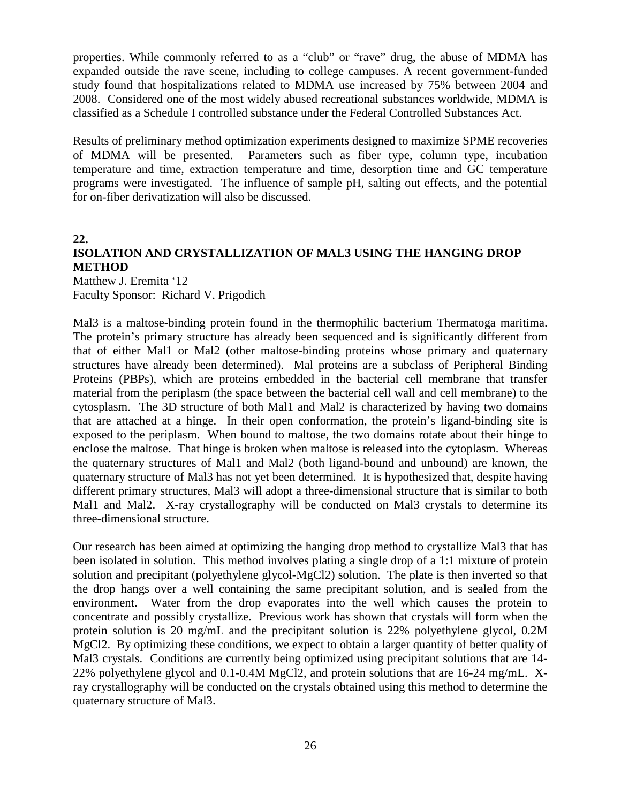properties. While commonly referred to as a "club" or "rave" drug, the abuse of MDMA has expanded outside the rave scene, including to college campuses. A recent government-funded study found that hospitalizations related to MDMA use increased by 75% between 2004 and 2008. Considered one of the most widely abused recreational substances worldwide, MDMA is classified as a Schedule I controlled substance under the Federal Controlled Substances Act.

Results of preliminary method optimization experiments designed to maximize SPME recoveries of MDMA will be presented. Parameters such as fiber type, column type, incubation temperature and time, extraction temperature and time, desorption time and GC temperature programs were investigated. The influence of sample pH, salting out effects, and the potential for on-fiber derivatization will also be discussed.

**22.**

### **ISOLATION AND CRYSTALLIZATION OF MAL3 USING THE HANGING DROP METHOD**

Matthew J. Eremita '12 Faculty Sponsor: Richard V. Prigodich

Mal3 is a maltose-binding protein found in the thermophilic bacterium Thermatoga maritima. The protein's primary structure has already been sequenced and is significantly different from that of either Mal1 or Mal2 (other maltose-binding proteins whose primary and quaternary structures have already been determined). Mal proteins are a subclass of Peripheral Binding Proteins (PBPs), which are proteins embedded in the bacterial cell membrane that transfer material from the periplasm (the space between the bacterial cell wall and cell membrane) to the cytosplasm. The 3D structure of both Mal1 and Mal2 is characterized by having two domains that are attached at a hinge. In their open conformation, the protein's ligand-binding site is exposed to the periplasm. When bound to maltose, the two domains rotate about their hinge to enclose the maltose. That hinge is broken when maltose is released into the cytoplasm. Whereas the quaternary structures of Mal1 and Mal2 (both ligand-bound and unbound) are known, the quaternary structure of Mal3 has not yet been determined. It is hypothesized that, despite having different primary structures, Mal3 will adopt a three-dimensional structure that is similar to both Mal1 and Mal2. X-ray crystallography will be conducted on Mal3 crystals to determine its three-dimensional structure.

Our research has been aimed at optimizing the hanging drop method to crystallize Mal3 that has been isolated in solution. This method involves plating a single drop of a 1:1 mixture of protein solution and precipitant (polyethylene glycol-MgCl2) solution. The plate is then inverted so that the drop hangs over a well containing the same precipitant solution, and is sealed from the environment. Water from the drop evaporates into the well which causes the protein to concentrate and possibly crystallize. Previous work has shown that crystals will form when the protein solution is 20 mg/mL and the precipitant solution is 22% polyethylene glycol, 0.2M MgCl2. By optimizing these conditions, we expect to obtain a larger quantity of better quality of Mal3 crystals. Conditions are currently being optimized using precipitant solutions that are 14- 22% polyethylene glycol and 0.1-0.4M MgCl2, and protein solutions that are 16-24 mg/mL. Xray crystallography will be conducted on the crystals obtained using this method to determine the quaternary structure of Mal3.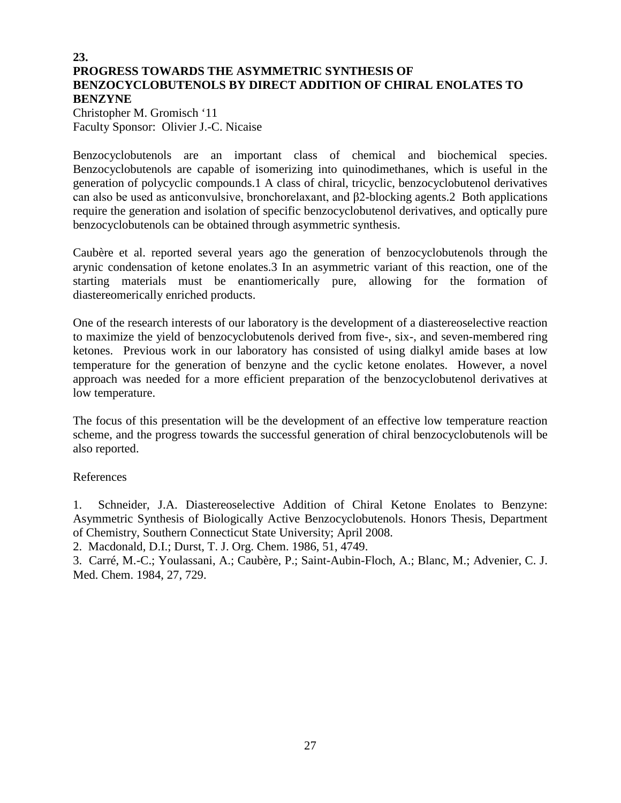#### **23. PROGRESS TOWARDS THE ASYMMETRIC SYNTHESIS OF BENZOCYCLOBUTENOLS BY DIRECT ADDITION OF CHIRAL ENOLATES TO BENZYNE**

Christopher M. Gromisch '11 Faculty Sponsor: Olivier J.-C. Nicaise

Benzocyclobutenols are an important class of chemical and biochemical species. Benzocyclobutenols are capable of isomerizing into quinodimethanes, which is useful in the generation of polycyclic compounds.1 A class of chiral, tricyclic, benzocyclobutenol derivatives can also be used as anticonvulsive, bronchorelaxant, and β2-blocking agents.2 Both applications require the generation and isolation of specific benzocyclobutenol derivatives, and optically pure benzocyclobutenols can be obtained through asymmetric synthesis.

Caubère et al. reported several years ago the generation of benzocyclobutenols through the arynic condensation of ketone enolates.3 In an asymmetric variant of this reaction, one of the starting materials must be enantiomerically pure, allowing for the formation of diastereomerically enriched products.

One of the research interests of our laboratory is the development of a diastereoselective reaction to maximize the yield of benzocyclobutenols derived from five-, six-, and seven-membered ring ketones. Previous work in our laboratory has consisted of using dialkyl amide bases at low temperature for the generation of benzyne and the cyclic ketone enolates. However, a novel approach was needed for a more efficient preparation of the benzocyclobutenol derivatives at low temperature.

The focus of this presentation will be the development of an effective low temperature reaction scheme, and the progress towards the successful generation of chiral benzocyclobutenols will be also reported.

#### References

1. Schneider, J.A. Diastereoselective Addition of Chiral Ketone Enolates to Benzyne: Asymmetric Synthesis of Biologically Active Benzocyclobutenols. Honors Thesis, Department of Chemistry, Southern Connecticut State University; April 2008.

2. Macdonald, D.I.; Durst, T. J. Org. Chem. 1986, 51, 4749.

3. Carré, M.-C.; Youlassani, A.; Caubère, P.; Saint-Aubin-Floch, A.; Blanc, M.; Advenier, C. J. Med. Chem. 1984, 27, 729.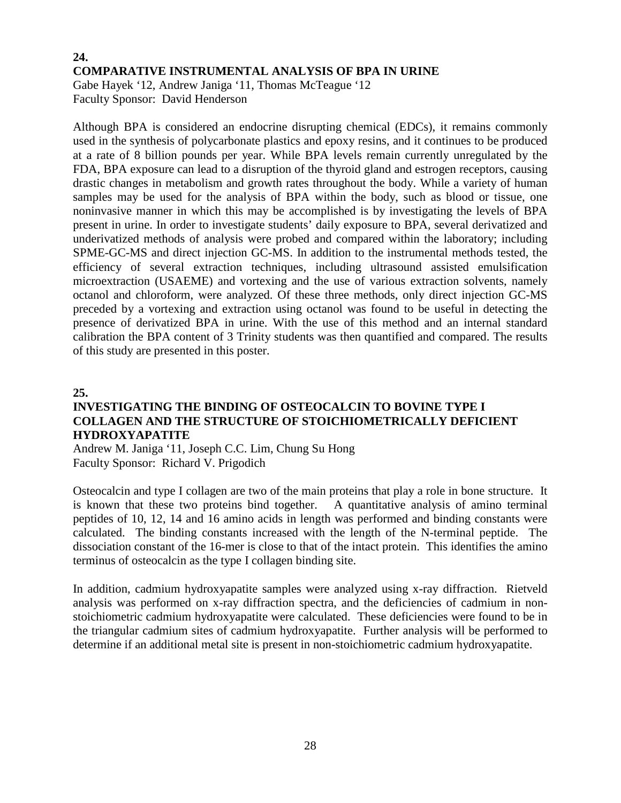### **24. COMPARATIVE INSTRUMENTAL ANALYSIS OF BPA IN URINE**

Gabe Hayek '12, Andrew Janiga '11, Thomas McTeague '12 Faculty Sponsor: David Henderson

Although BPA is considered an endocrine disrupting chemical (EDCs), it remains commonly used in the synthesis of polycarbonate plastics and epoxy resins, and it continues to be produced at a rate of 8 billion pounds per year. While BPA levels remain currently unregulated by the FDA, BPA exposure can lead to a disruption of the thyroid gland and estrogen receptors, causing drastic changes in metabolism and growth rates throughout the body. While a variety of human samples may be used for the analysis of BPA within the body, such as blood or tissue, one noninvasive manner in which this may be accomplished is by investigating the levels of BPA present in urine. In order to investigate students' daily exposure to BPA, several derivatized and underivatized methods of analysis were probed and compared within the laboratory; including SPME-GC-MS and direct injection GC-MS. In addition to the instrumental methods tested, the efficiency of several extraction techniques, including ultrasound assisted emulsification microextraction (USAEME) and vortexing and the use of various extraction solvents, namely octanol and chloroform, were analyzed. Of these three methods, only direct injection GC-MS preceded by a vortexing and extraction using octanol was found to be useful in detecting the presence of derivatized BPA in urine. With the use of this method and an internal standard calibration the BPA content of 3 Trinity students was then quantified and compared. The results of this study are presented in this poster.

#### **25.**

#### **INVESTIGATING THE BINDING OF OSTEOCALCIN TO BOVINE TYPE I COLLAGEN AND THE STRUCTURE OF STOICHIOMETRICALLY DEFICIENT HYDROXYAPATITE**

Andrew M. Janiga '11, Joseph C.C. Lim, Chung Su Hong Faculty Sponsor: Richard V. Prigodich

Osteocalcin and type I collagen are two of the main proteins that play a role in bone structure. It is known that these two proteins bind together. A quantitative analysis of amino terminal peptides of 10, 12, 14 and 16 amino acids in length was performed and binding constants were calculated. The binding constants increased with the length of the N-terminal peptide. The dissociation constant of the 16-mer is close to that of the intact protein. This identifies the amino terminus of osteocalcin as the type I collagen binding site.

In addition, cadmium hydroxyapatite samples were analyzed using x-ray diffraction. Rietveld analysis was performed on x-ray diffraction spectra, and the deficiencies of cadmium in nonstoichiometric cadmium hydroxyapatite were calculated. These deficiencies were found to be in the triangular cadmium sites of cadmium hydroxyapatite. Further analysis will be performed to determine if an additional metal site is present in non-stoichiometric cadmium hydroxyapatite.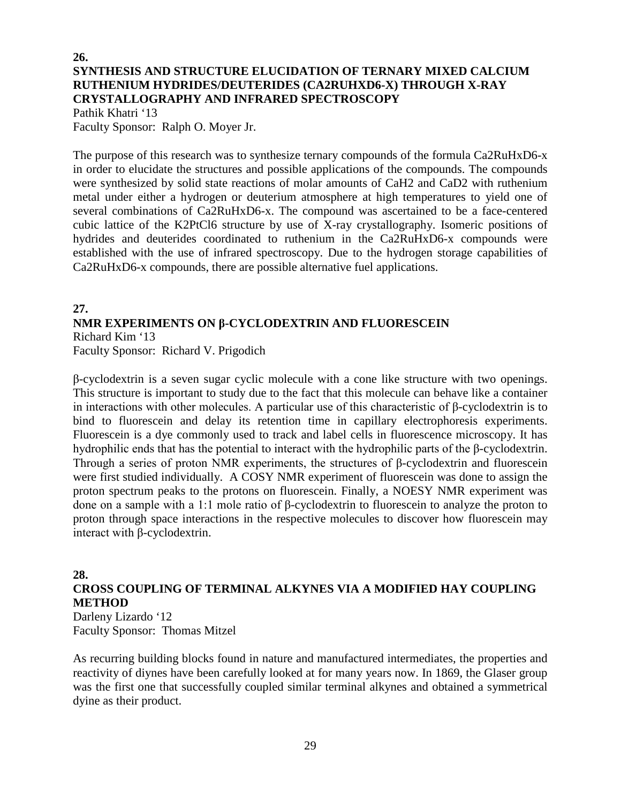#### **26. SYNTHESIS AND STRUCTURE ELUCIDATION OF TERNARY MIXED CALCIUM RUTHENIUM HYDRIDES/DEUTERIDES (CA2RUHXD6-X) THROUGH X-RAY CRYSTALLOGRAPHY AND INFRARED SPECTROSCOPY**  Pathik Khatri '13

Faculty Sponsor: Ralph O. Moyer Jr.

The purpose of this research was to synthesize ternary compounds of the formula Ca2RuHxD6-x in order to elucidate the structures and possible applications of the compounds. The compounds were synthesized by solid state reactions of molar amounts of CaH2 and CaD2 with ruthenium metal under either a hydrogen or deuterium atmosphere at high temperatures to yield one of several combinations of Ca2RuHxD6-x. The compound was ascertained to be a face-centered cubic lattice of the K2PtCl6 structure by use of X-ray crystallography. Isomeric positions of hydrides and deuterides coordinated to ruthenium in the Ca2RuHxD6-x compounds were established with the use of infrared spectroscopy. Due to the hydrogen storage capabilities of Ca2RuHxD6-x compounds, there are possible alternative fuel applications.

#### **27. NMR EXPERIMENTS ON β-CYCLODEXTRIN AND FLUORESCEIN** Richard Kim '13

Faculty Sponsor: Richard V. Prigodich

β-cyclodextrin is a seven sugar cyclic molecule with a cone like structure with two openings. This structure is important to study due to the fact that this molecule can behave like a container in interactions with other molecules. A particular use of this characteristic of β-cyclodextrin is to bind to fluorescein and delay its retention time in capillary electrophoresis experiments. Fluorescein is a dye commonly used to track and label cells in fluorescence microscopy. It has hydrophilic ends that has the potential to interact with the hydrophilic parts of the β-cyclodextrin. Through a series of proton NMR experiments, the structures of β-cyclodextrin and fluorescein were first studied individually. A COSY NMR experiment of fluorescein was done to assign the proton spectrum peaks to the protons on fluorescein. Finally, a NOESY NMR experiment was done on a sample with a 1:1 mole ratio of β-cyclodextrin to fluorescein to analyze the proton to proton through space interactions in the respective molecules to discover how fluorescein may interact with β-cyclodextrin.

#### **28.**

### **CROSS COUPLING OF TERMINAL ALKYNES VIA A MODIFIED HAY COUPLING METHOD**

Darleny Lizardo '12 Faculty Sponsor: Thomas Mitzel

As recurring building blocks found in nature and manufactured intermediates, the properties and reactivity of diynes have been carefully looked at for many years now. In 1869, the Glaser group was the first one that successfully coupled similar terminal alkynes and obtained a symmetrical dyine as their product.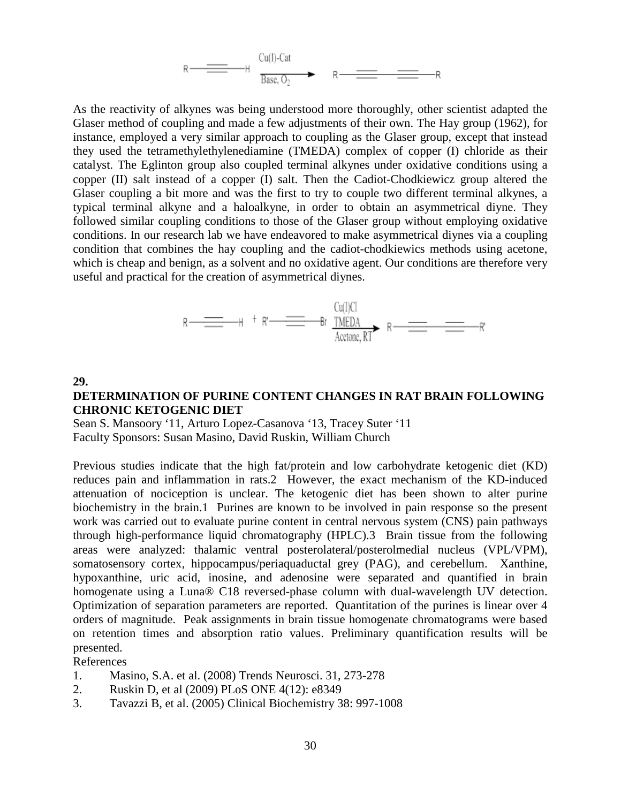$$
R \longrightarrow \begin{array}{cccc}\n & & & \text{Cu(I)-Cat} \\
\hline\n & & & \text{Base}, O_2\n \end{array} \qquad R \longrightarrow \begin{array}{cccc}\n & & & \text{R}\n \end{array} \longrightarrow R
$$

As the reactivity of alkynes was being understood more thoroughly, other scientist adapted the Glaser method of coupling and made a few adjustments of their own. The Hay group (1962), for instance, employed a very similar approach to coupling as the Glaser group, except that instead they used the tetramethylethylenediamine (TMEDA) complex of copper (I) chloride as their catalyst. The Eglinton group also coupled terminal alkynes under oxidative conditions using a copper (II) salt instead of a copper (I) salt. Then the Cadiot-Chodkiewicz group altered the Glaser coupling a bit more and was the first to try to couple two different terminal alkynes, a typical terminal alkyne and a haloalkyne, in order to obtain an asymmetrical diyne. They followed similar coupling conditions to those of the Glaser group without employing oxidative conditions. In our research lab we have endeavored to make asymmetrical diynes via a coupling condition that combines the hay coupling and the cadiot-chodkiewics methods using acetone, which is cheap and benign, as a solvent and no oxidative agent. Our conditions are therefore very useful and practical for the creation of asymmetrical diynes.



#### **29.**

#### **DETERMINATION OF PURINE CONTENT CHANGES IN RAT BRAIN FOLLOWING CHRONIC KETOGENIC DIET**

Sean S. Mansoory '11, Arturo Lopez-Casanova '13, Tracey Suter '11 Faculty Sponsors: Susan Masino, David Ruskin, William Church

Previous studies indicate that the high fat/protein and low carbohydrate ketogenic diet (KD) reduces pain and inflammation in rats.2 However, the exact mechanism of the KD-induced attenuation of nociception is unclear. The ketogenic diet has been shown to alter purine biochemistry in the brain.1 Purines are known to be involved in pain response so the present work was carried out to evaluate purine content in central nervous system (CNS) pain pathways through high-performance liquid chromatography (HPLC).3 Brain tissue from the following areas were analyzed: thalamic ventral posterolateral/posterolmedial nucleus (VPL/VPM), somatosensory cortex, hippocampus/periaquaductal grey (PAG), and cerebellum. Xanthine, hypoxanthine, uric acid, inosine, and adenosine were separated and quantified in brain homogenate using a Luna® C18 reversed-phase column with dual-wavelength UV detection. Optimization of separation parameters are reported. Quantitation of the purines is linear over 4 orders of magnitude. Peak assignments in brain tissue homogenate chromatograms were based on retention times and absorption ratio values. Preliminary quantification results will be presented.

References

- 1. Masino, S.A. et al. (2008) Trends Neurosci. 31, 273-278
- 2. Ruskin D, et al (2009) PLoS ONE 4(12): e8349
- 3. Tavazzi B, et al. (2005) Clinical Biochemistry 38: 997-1008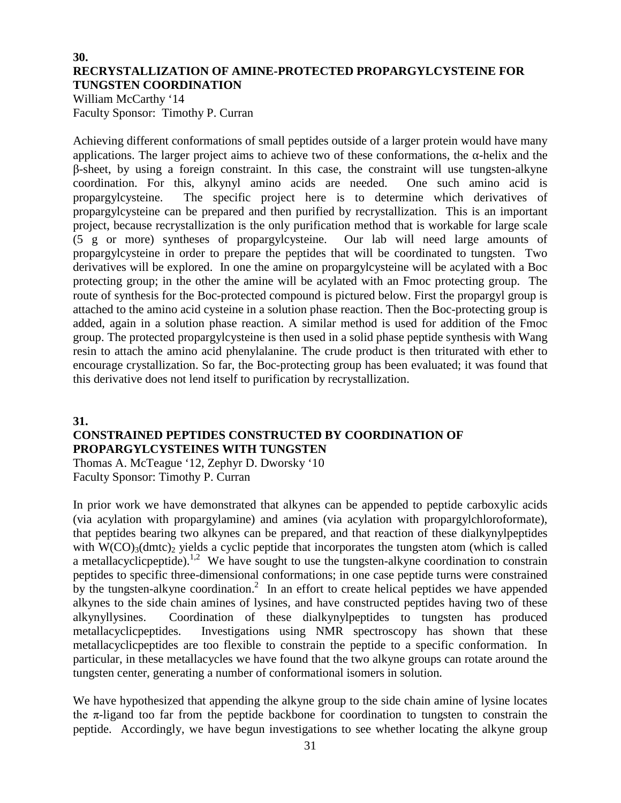#### **30. RECRYSTALLIZATION OF AMINE-PROTECTED PROPARGYLCYSTEINE FOR TUNGSTEN COORDINATION**

William McCarthy '14 Faculty Sponsor: Timothy P. Curran

Achieving different conformations of small peptides outside of a larger protein would have many applications. The larger project aims to achieve two of these conformations, the  $\alpha$ -helix and the β-sheet, by using a foreign constraint. In this case, the constraint will use tungsten-alkyne coordination. For this, alkynyl amino acids are needed. One such amino acid is propargylcysteine. The specific project here is to determine which derivatives of propargylcysteine can be prepared and then purified by recrystallization. This is an important project, because recrystallization is the only purification method that is workable for large scale<br>(5 g or more) syntheses of propargylcysteine. Our lab will need large amounts of  $(5 \text{ g} \text{ or more})$  syntheses of propargylcysteine. propargylcysteine in order to prepare the peptides that will be coordinated to tungsten. Two derivatives will be explored. In one the amine on propargylcysteine will be acylated with a Boc protecting group; in the other the amine will be acylated with an Fmoc protecting group. The route of synthesis for the Boc-protected compound is pictured below. First the propargyl group is attached to the amino acid cysteine in a solution phase reaction. Then the Boc-protecting group is added, again in a solution phase reaction. A similar method is used for addition of the Fmoc group. The protected propargylcysteine is then used in a solid phase peptide synthesis with Wang resin to attach the amino acid phenylalanine. The crude product is then triturated with ether to encourage crystallization. So far, the Boc-protecting group has been evaluated; it was found that this derivative does not lend itself to purification by recrystallization.

#### **31.**

#### **CONSTRAINED PEPTIDES CONSTRUCTED BY COORDINATION OF PROPARGYLCYSTEINES WITH TUNGSTEN**

Thomas A. McTeague '12, Zephyr D. Dworsky '10 Faculty Sponsor: Timothy P. Curran

In prior work we have demonstrated that alkynes can be appended to peptide carboxylic acids (via acylation with propargylamine) and amines (via acylation with propargylchloroformate), that peptides bearing two alkynes can be prepared, and that reaction of these dialkynylpeptides with  $W(CO)<sub>3</sub>(dmtc)<sub>2</sub>$  yields a cyclic peptide that incorporates the tungsten atom (which is called a metallacyclicpeptide).<sup>1,2</sup> We have sought to use the tungsten-alkyne coordination to constrain peptides to specific three-dimensional conformations; in one case peptide turns were constrained by the tungsten-alkyne coordination.<sup>2</sup> In an effort to create helical peptides we have appended alkynes to the side chain amines of lysines, and have constructed peptides having two of these alkynyllysines. Coordination of these dialkynylpeptides to tungsten has produced metallacyclicpeptides. Investigations using NMR spectroscopy has shown that these metallacyclicpeptides are too flexible to constrain the peptide to a specific conformation. In particular, in these metallacycles we have found that the two alkyne groups can rotate around the tungsten center, generating a number of conformational isomers in solution.

We have hypothesized that appending the alkyne group to the side chain amine of lysine locates the π-ligand too far from the peptide backbone for coordination to tungsten to constrain the peptide. Accordingly, we have begun investigations to see whether locating the alkyne group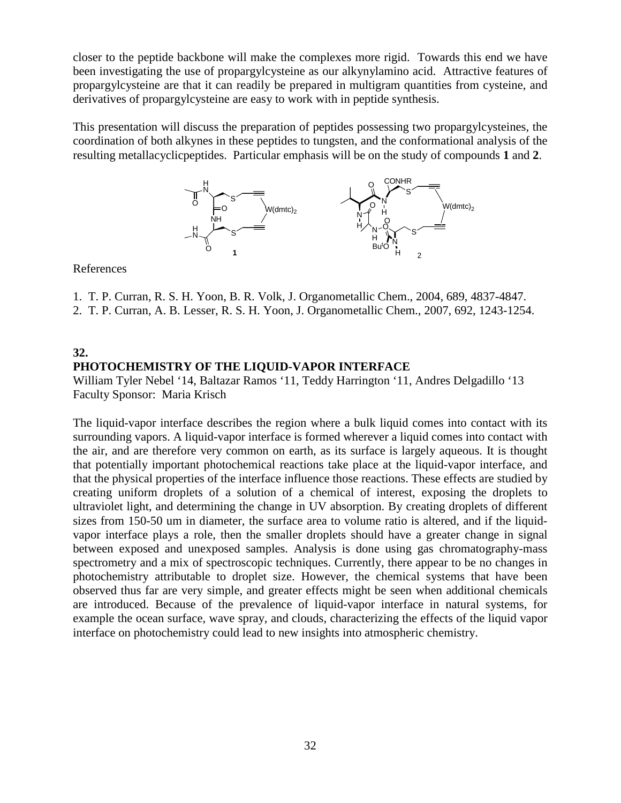closer to the peptide backbone will make the complexes more rigid. Towards this end we have been investigating the use of propargylcysteine as our alkynylamino acid. Attractive features of propargylcysteine are that it can readily be prepared in multigram quantities from cysteine, and derivatives of propargylcysteine are easy to work with in peptide synthesis.

This presentation will discuss the preparation of peptides possessing two propargylcysteines, the coordination of both alkynes in these peptides to tungsten, and the conformational analysis of the resulting metallacyclicpeptides. Particular emphasis will be on the study of compounds **1** and **2**.



References

- 1. T. P. Curran, R. S. H. Yoon, B. R. Volk, J. Organometallic Chem., 2004, 689, 4837-4847.
- 2. T. P. Curran, A. B. Lesser, R. S. H. Yoon, J. Organometallic Chem., 2007, 692, 1243-1254.

#### **32. PHOTOCHEMISTRY OF THE LIQUID-VAPOR INTERFACE**

William Tyler Nebel '14, Baltazar Ramos '11, Teddy Harrington '11, Andres Delgadillo '13 Faculty Sponsor: Maria Krisch

The liquid-vapor interface describes the region where a bulk liquid comes into contact with its surrounding vapors. A liquid-vapor interface is formed wherever a liquid comes into contact with the air, and are therefore very common on earth, as its surface is largely aqueous. It is thought that potentially important photochemical reactions take place at the liquid-vapor interface, and that the physical properties of the interface influence those reactions. These effects are studied by creating uniform droplets of a solution of a chemical of interest, exposing the droplets to ultraviolet light, and determining the change in UV absorption. By creating droplets of different sizes from 150-50 um in diameter, the surface area to volume ratio is altered, and if the liquidvapor interface plays a role, then the smaller droplets should have a greater change in signal between exposed and unexposed samples. Analysis is done using gas chromatography-mass spectrometry and a mix of spectroscopic techniques. Currently, there appear to be no changes in photochemistry attributable to droplet size. However, the chemical systems that have been observed thus far are very simple, and greater effects might be seen when additional chemicals are introduced. Because of the prevalence of liquid-vapor interface in natural systems, for example the ocean surface, wave spray, and clouds, characterizing the effects of the liquid vapor interface on photochemistry could lead to new insights into atmospheric chemistry.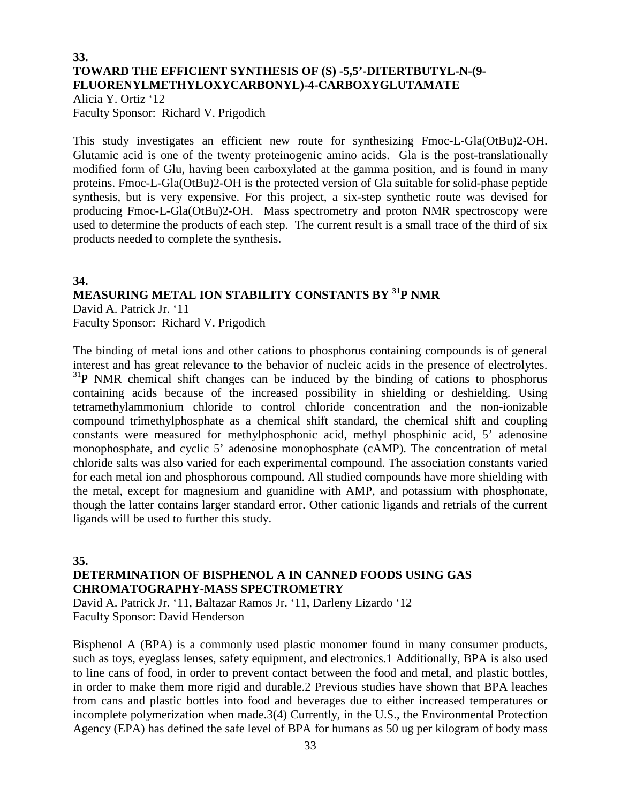#### **33. TOWARD THE EFFICIENT SYNTHESIS OF (S) -5,5'-DITERTBUTYL-N-(9- FLUORENYLMETHYLOXYCARBONYL)-4-CARBOXYGLUTAMATE**

Alicia Y. Ortiz '12 Faculty Sponsor: Richard V. Prigodich

This study investigates an efficient new route for synthesizing Fmoc-L-Gla(OtBu)2-OH. Glutamic acid is one of the twenty proteinogenic amino acids. Gla is the post-translationally modified form of Glu, having been carboxylated at the gamma position, and is found in many proteins. Fmoc-L-Gla(OtBu)2-OH is the protected version of Gla suitable for solid-phase peptide synthesis, but is very expensive. For this project, a six-step synthetic route was devised for producing Fmoc-L-Gla(OtBu)2-OH. Mass spectrometry and proton NMR spectroscopy were used to determine the products of each step. The current result is a small trace of the third of six products needed to complete the synthesis.

#### **34. MEASURING METAL ION STABILITY CONSTANTS BY 31P NMR** David A. Patrick Jr. '11

Faculty Sponsor: Richard V. Prigodich

The binding of metal ions and other cations to phosphorus containing compounds is of general interest and has great relevance to the behavior of nucleic acids in the presence of electrolytes. <sup>31</sup>P NMR chemical shift changes can be induced by the binding of cations to phosphorus containing acids because of the increased possibility in shielding or deshielding. Using tetramethylammonium chloride to control chloride concentration and the non-ionizable compound trimethylphosphate as a chemical shift standard, the chemical shift and coupling constants were measured for methylphosphonic acid, methyl phosphinic acid, 5' adenosine monophosphate, and cyclic 5' adenosine monophosphate (cAMP). The concentration of metal chloride salts was also varied for each experimental compound. The association constants varied for each metal ion and phosphorous compound. All studied compounds have more shielding with the metal, except for magnesium and guanidine with AMP, and potassium with phosphonate, though the latter contains larger standard error. Other cationic ligands and retrials of the current ligands will be used to further this study.

#### **35.**

### **DETERMINATION OF BISPHENOL A IN CANNED FOODS USING GAS CHROMATOGRAPHY-MASS SPECTROMETRY**

David A. Patrick Jr. '11, Baltazar Ramos Jr. '11, Darleny Lizardo '12 Faculty Sponsor: David Henderson

Bisphenol A (BPA) is a commonly used plastic monomer found in many consumer products, such as toys, eyeglass lenses, safety equipment, and electronics.1 Additionally, BPA is also used to line cans of food, in order to prevent contact between the food and metal, and plastic bottles, in order to make them more rigid and durable.2 Previous studies have shown that BPA leaches from cans and plastic bottles into food and beverages due to either increased temperatures or incomplete polymerization when made.3(4) Currently, in the U.S., the Environmental Protection Agency (EPA) has defined the safe level of BPA for humans as 50 ug per kilogram of body mass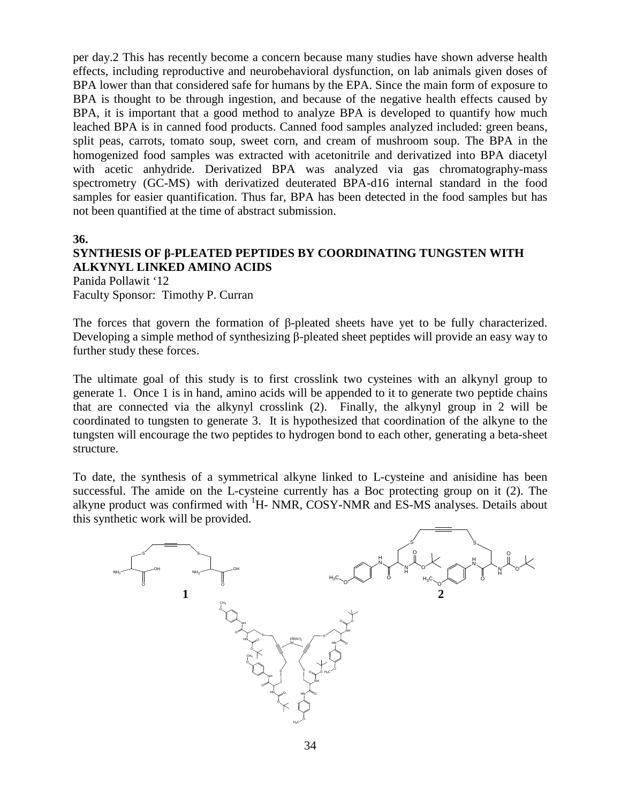per day.2 This has recently become a concern because many studies have shown adverse health effects, including reproductive and neurobehavioral dysfunction, on lab animals given doses of BPA lower than that considered safe for humans by the EPA. Since the main form of exposure to BPA is thought to be through ingestion, and because of the negative health effects caused by BPA, it is important that a good method to analyze BPA is developed to quantify how much leached BPA is in canned food products. Canned food samples analyzed included: green beans, split peas, carrots, tomato soup, sweet corn, and cream of mushroom soup. The BPA in the homogenized food samples was extracted with acetonitrile and derivatized into BPA diacetyl with acetic anhydride. Derivatized BPA was analyzed via gas chromatography-mass spectrometry (GC-MS) with derivatized deuterated BPA-d16 internal standard in the food samples for easier quantification. Thus far, BPA has been detected in the food samples but has not been quantified at the time of abstract submission.

#### **36.**

### **SYNTHESIS OF β-PLEATED PEPTIDES BY COORDINATING TUNGSTEN WITH ALKYNYL LINKED AMINO ACIDS**

Panida Pollawit '12 Faculty Sponsor: Timothy P. Curran

The forces that govern the formation of β-pleated sheets have yet to be fully characterized. Developing a simple method of synthesizing β-pleated sheet peptides will provide an easy way to further study these forces.

The ultimate goal of this study is to first crosslink two cysteines with an alkynyl group to generate 1. Once 1 is in hand, amino acids will be appended to it to generate two peptide chains that are connected via the alkynyl crosslink (2). Finally, the alkynyl group in 2 will be coordinated to tungsten to generate 3. It is hypothesized that coordination of the alkyne to the tungsten will encourage the two peptides to hydrogen bond to each other, generating a beta-sheet structure.

To date, the synthesis of a symmetrical alkyne linked to L-cysteine and anisidine has been successful. The amide on the L-cysteine currently has a Boc protecting group on it (2). The alkyne product was confirmed with <sup>1</sup>H- NMR, COSY-NMR and ES-MS analyses. Details about this synthetic work will be provided.

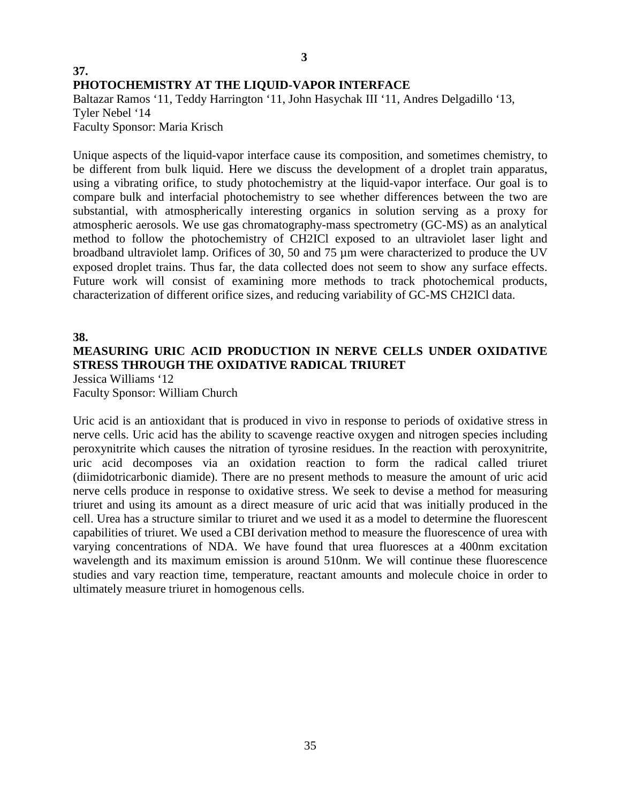#### **37. PHOTOCHEMISTRY AT THE LIQUID-VAPOR INTERFACE** Baltazar Ramos '11, Teddy Harrington '11, John Hasychak III '11, Andres Delgadillo '13,

Tyler Nebel '14 Faculty Sponsor: Maria Krisch

Unique aspects of the liquid-vapor interface cause its composition, and sometimes chemistry, to be different from bulk liquid. Here we discuss the development of a droplet train apparatus, using a vibrating orifice, to study photochemistry at the liquid-vapor interface. Our goal is to compare bulk and interfacial photochemistry to see whether differences between the two are substantial, with atmospherically interesting organics in solution serving as a proxy for atmospheric aerosols. We use gas chromatography-mass spectrometry (GC-MS) as an analytical method to follow the photochemistry of CH2ICl exposed to an ultraviolet laser light and broadband ultraviolet lamp. Orifices of 30, 50 and 75 µm were characterized to produce the UV exposed droplet trains. Thus far, the data collected does not seem to show any surface effects. Future work will consist of examining more methods to track photochemical products, characterization of different orifice sizes, and reducing variability of GC-MS CH2ICl data.

#### **38.**

### **MEASURING URIC ACID PRODUCTION IN NERVE CELLS UNDER OXIDATIVE STRESS THROUGH THE OXIDATIVE RADICAL TRIURET**

Jessica Williams '12 Faculty Sponsor: William Church

Uric acid is an antioxidant that is produced in vivo in response to periods of oxidative stress in nerve cells. Uric acid has the ability to scavenge reactive oxygen and nitrogen species including peroxynitrite which causes the nitration of tyrosine residues. In the reaction with peroxynitrite, uric acid decomposes via an oxidation reaction to form the radical called triuret (diimidotricarbonic diamide). There are no present methods to measure the amount of uric acid nerve cells produce in response to oxidative stress. We seek to devise a method for measuring triuret and using its amount as a direct measure of uric acid that was initially produced in the cell. Urea has a structure similar to triuret and we used it as a model to determine the fluorescent capabilities of triuret. We used a CBI derivation method to measure the fluorescence of urea with varying concentrations of NDA. We have found that urea fluoresces at a 400nm excitation wavelength and its maximum emission is around 510nm. We will continue these fluorescence studies and vary reaction time, temperature, reactant amounts and molecule choice in order to ultimately measure triuret in homogenous cells.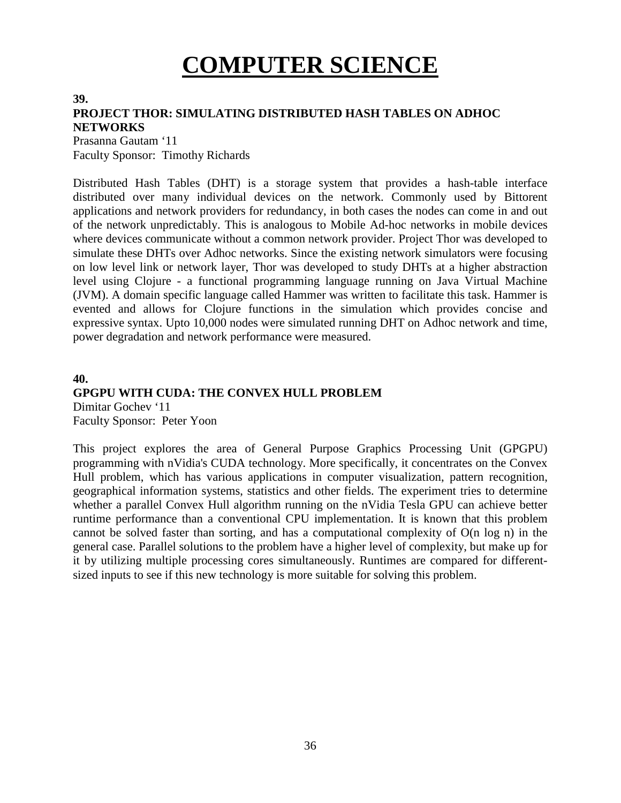# **COMPUTER SCIENCE**

**39.**

# **PROJECT THOR: SIMULATING DISTRIBUTED HASH TABLES ON ADHOC NETWORKS**

Prasanna Gautam '11 Faculty Sponsor: Timothy Richards

Distributed Hash Tables (DHT) is a storage system that provides a hash-table interface distributed over many individual devices on the network. Commonly used by Bittorent applications and network providers for redundancy, in both cases the nodes can come in and out of the network unpredictably. This is analogous to Mobile Ad-hoc networks in mobile devices where devices communicate without a common network provider. Project Thor was developed to simulate these DHTs over Adhoc networks. Since the existing network simulators were focusing on low level link or network layer, Thor was developed to study DHTs at a higher abstraction level using Clojure - a functional programming language running on Java Virtual Machine (JVM). A domain specific language called Hammer was written to facilitate this task. Hammer is evented and allows for Clojure functions in the simulation which provides concise and expressive syntax. Upto 10,000 nodes were simulated running DHT on Adhoc network and time, power degradation and network performance were measured.

# **40. GPGPU WITH CUDA: THE CONVEX HULL PROBLEM** Dimitar Gochev '11 Faculty Sponsor: Peter Yoon

This project explores the area of General Purpose Graphics Processing Unit (GPGPU) programming with nVidia's CUDA technology. More specifically, it concentrates on the Convex Hull problem, which has various applications in computer visualization, pattern recognition, geographical information systems, statistics and other fields. The experiment tries to determine whether a parallel Convex Hull algorithm running on the nVidia Tesla GPU can achieve better runtime performance than a conventional CPU implementation. It is known that this problem cannot be solved faster than sorting, and has a computational complexity of O(n log n) in the general case. Parallel solutions to the problem have a higher level of complexity, but make up for it by utilizing multiple processing cores simultaneously. Runtimes are compared for differentsized inputs to see if this new technology is more suitable for solving this problem.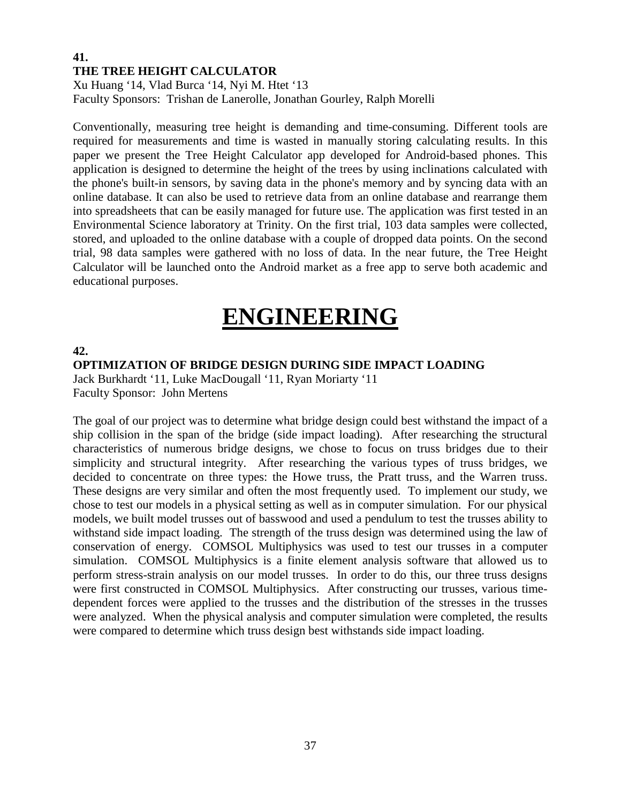#### **41. THE TREE HEIGHT CALCULATOR**

Xu Huang '14, Vlad Burca '14, Nyi M. Htet '13 Faculty Sponsors: Trishan de Lanerolle, Jonathan Gourley, Ralph Morelli

Conventionally, measuring tree height is demanding and time-consuming. Different tools are required for measurements and time is wasted in manually storing calculating results. In this paper we present the Tree Height Calculator app developed for Android-based phones. This application is designed to determine the height of the trees by using inclinations calculated with the phone's built-in sensors, by saving data in the phone's memory and by syncing data with an online database. It can also be used to retrieve data from an online database and rearrange them into spreadsheets that can be easily managed for future use. The application was first tested in an Environmental Science laboratory at Trinity. On the first trial, 103 data samples were collected, stored, and uploaded to the online database with a couple of dropped data points. On the second trial, 98 data samples were gathered with no loss of data. In the near future, the Tree Height Calculator will be launched onto the Android market as a free app to serve both academic and educational purposes.

# **ENGINEERING**

# **42.**

# **OPTIMIZATION OF BRIDGE DESIGN DURING SIDE IMPACT LOADING**

Jack Burkhardt '11, Luke MacDougall '11, Ryan Moriarty '11 Faculty Sponsor: John Mertens

The goal of our project was to determine what bridge design could best withstand the impact of a ship collision in the span of the bridge (side impact loading). After researching the structural characteristics of numerous bridge designs, we chose to focus on truss bridges due to their simplicity and structural integrity. After researching the various types of truss bridges, we decided to concentrate on three types: the Howe truss, the Pratt truss, and the Warren truss. These designs are very similar and often the most frequently used. To implement our study, we chose to test our models in a physical setting as well as in computer simulation. For our physical models, we built model trusses out of basswood and used a pendulum to test the trusses ability to withstand side impact loading. The strength of the truss design was determined using the law of conservation of energy. COMSOL Multiphysics was used to test our trusses in a computer simulation. COMSOL Multiphysics is a finite element analysis software that allowed us to perform stress-strain analysis on our model trusses. In order to do this, our three truss designs were first constructed in COMSOL Multiphysics. After constructing our trusses, various timedependent forces were applied to the trusses and the distribution of the stresses in the trusses were analyzed. When the physical analysis and computer simulation were completed, the results were compared to determine which truss design best withstands side impact loading.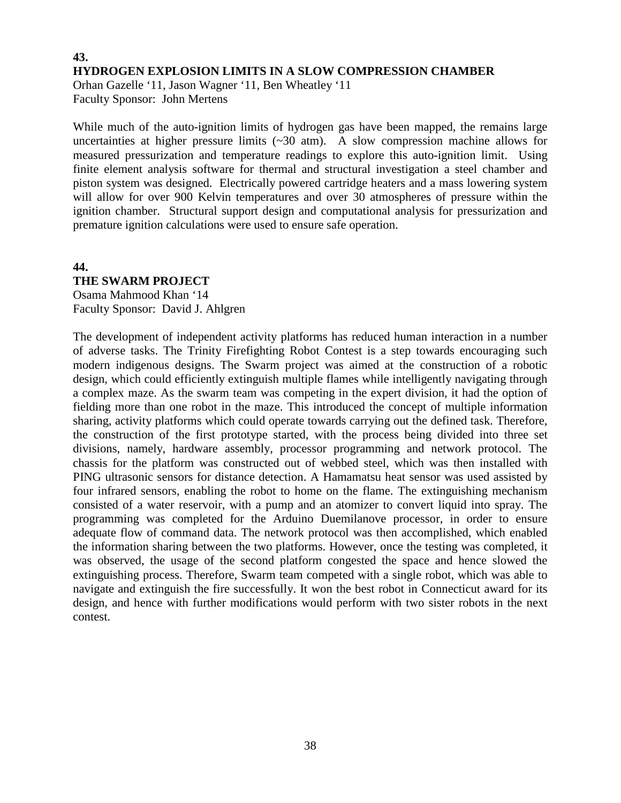# **43. HYDROGEN EXPLOSION LIMITS IN A SLOW COMPRESSION CHAMBER**

Orhan Gazelle '11, Jason Wagner '11, Ben Wheatley '11 Faculty Sponsor: John Mertens

While much of the auto-ignition limits of hydrogen gas have been mapped, the remains large uncertainties at higher pressure limits (~30 atm). A slow compression machine allows for measured pressurization and temperature readings to explore this auto-ignition limit. Using finite element analysis software for thermal and structural investigation a steel chamber and piston system was designed. Electrically powered cartridge heaters and a mass lowering system will allow for over 900 Kelvin temperatures and over 30 atmospheres of pressure within the ignition chamber. Structural support design and computational analysis for pressurization and premature ignition calculations were used to ensure safe operation.

# **44. THE SWARM PROJECT** Osama Mahmood Khan '14 Faculty Sponsor: David J. Ahlgren

The development of independent activity platforms has reduced human interaction in a number of adverse tasks. The Trinity Firefighting Robot Contest is a step towards encouraging such modern indigenous designs. The Swarm project was aimed at the construction of a robotic design, which could efficiently extinguish multiple flames while intelligently navigating through a complex maze. As the swarm team was competing in the expert division, it had the option of fielding more than one robot in the maze. This introduced the concept of multiple information sharing, activity platforms which could operate towards carrying out the defined task. Therefore, the construction of the first prototype started, with the process being divided into three set divisions, namely, hardware assembly, processor programming and network protocol. The chassis for the platform was constructed out of webbed steel, which was then installed with PING ultrasonic sensors for distance detection. A Hamamatsu heat sensor was used assisted by four infrared sensors, enabling the robot to home on the flame. The extinguishing mechanism consisted of a water reservoir, with a pump and an atomizer to convert liquid into spray. The programming was completed for the Arduino Duemilanove processor, in order to ensure adequate flow of command data. The network protocol was then accomplished, which enabled the information sharing between the two platforms. However, once the testing was completed, it was observed, the usage of the second platform congested the space and hence slowed the extinguishing process. Therefore, Swarm team competed with a single robot, which was able to navigate and extinguish the fire successfully. It won the best robot in Connecticut award for its design, and hence with further modifications would perform with two sister robots in the next contest.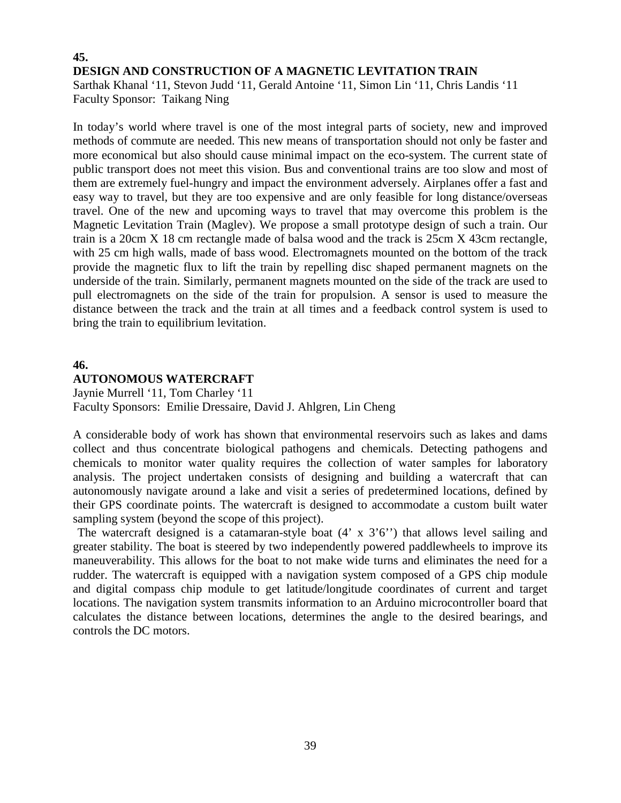### **45. DESIGN AND CONSTRUCTION OF A MAGNETIC LEVITATION TRAIN** Sarthak Khanal '11, Stevon Judd '11, Gerald Antoine '11, Simon Lin '11, Chris Landis '11 Faculty Sponsor: Taikang Ning

In today's world where travel is one of the most integral parts of society, new and improved methods of commute are needed. This new means of transportation should not only be faster and more economical but also should cause minimal impact on the eco-system. The current state of public transport does not meet this vision. Bus and conventional trains are too slow and most of them are extremely fuel-hungry and impact the environment adversely. Airplanes offer a fast and easy way to travel, but they are too expensive and are only feasible for long distance/overseas travel. One of the new and upcoming ways to travel that may overcome this problem is the Magnetic Levitation Train (Maglev). We propose a small prototype design of such a train. Our train is a 20cm X 18 cm rectangle made of balsa wood and the track is 25cm X 43cm rectangle, with 25 cm high walls, made of bass wood. Electromagnets mounted on the bottom of the track provide the magnetic flux to lift the train by repelling disc shaped permanent magnets on the underside of the train. Similarly, permanent magnets mounted on the side of the track are used to pull electromagnets on the side of the train for propulsion. A sensor is used to measure the distance between the track and the train at all times and a feedback control system is used to bring the train to equilibrium levitation.

# **46. AUTONOMOUS WATERCRAFT**

Jaynie Murrell '11, Tom Charley '11 Faculty Sponsors: Emilie Dressaire, David J. Ahlgren, Lin Cheng

A considerable body of work has shown that environmental reservoirs such as lakes and dams collect and thus concentrate biological pathogens and chemicals. Detecting pathogens and chemicals to monitor water quality requires the collection of water samples for laboratory analysis. The project undertaken consists of designing and building a watercraft that can autonomously navigate around a lake and visit a series of predetermined locations, defined by their GPS coordinate points. The watercraft is designed to accommodate a custom built water sampling system (beyond the scope of this project).

The watercraft designed is a catamaran-style boat (4' x 3'6'') that allows level sailing and greater stability. The boat is steered by two independently powered paddlewheels to improve its maneuverability. This allows for the boat to not make wide turns and eliminates the need for a rudder. The watercraft is equipped with a navigation system composed of a GPS chip module and digital compass chip module to get latitude/longitude coordinates of current and target locations. The navigation system transmits information to an Arduino microcontroller board that calculates the distance between locations, determines the angle to the desired bearings, and controls the DC motors.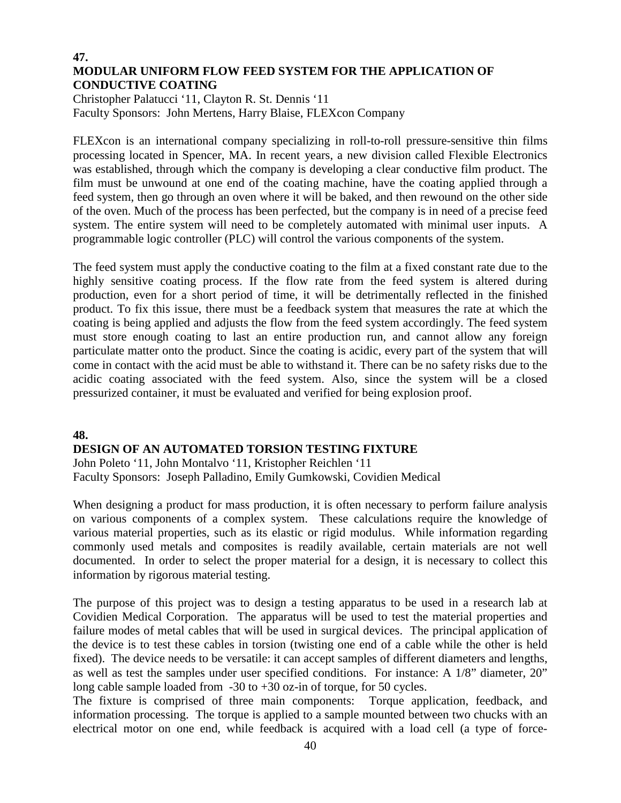### **47. MODULAR UNIFORM FLOW FEED SYSTEM FOR THE APPLICATION OF CONDUCTIVE COATING**

Christopher Palatucci '11, Clayton R. St. Dennis '11 Faculty Sponsors: John Mertens, Harry Blaise, FLEXcon Company

FLEXcon is an international company specializing in roll-to-roll pressure-sensitive thin films processing located in Spencer, MA. In recent years, a new division called Flexible Electronics was established, through which the company is developing a clear conductive film product. The film must be unwound at one end of the coating machine, have the coating applied through a feed system, then go through an oven where it will be baked, and then rewound on the other side of the oven. Much of the process has been perfected, but the company is in need of a precise feed system. The entire system will need to be completely automated with minimal user inputs. A programmable logic controller (PLC) will control the various components of the system.

The feed system must apply the conductive coating to the film at a fixed constant rate due to the highly sensitive coating process. If the flow rate from the feed system is altered during production, even for a short period of time, it will be detrimentally reflected in the finished product. To fix this issue, there must be a feedback system that measures the rate at which the coating is being applied and adjusts the flow from the feed system accordingly. The feed system must store enough coating to last an entire production run, and cannot allow any foreign particulate matter onto the product. Since the coating is acidic, every part of the system that will come in contact with the acid must be able to withstand it. There can be no safety risks due to the acidic coating associated with the feed system. Also, since the system will be a closed pressurized container, it must be evaluated and verified for being explosion proof.

# **48.**

# **DESIGN OF AN AUTOMATED TORSION TESTING FIXTURE**

John Poleto '11, John Montalvo '11, Kristopher Reichlen '11 Faculty Sponsors: Joseph Palladino, Emily Gumkowski, Covidien Medical

When designing a product for mass production, it is often necessary to perform failure analysis on various components of a complex system. These calculations require the knowledge of various material properties, such as its elastic or rigid modulus. While information regarding commonly used metals and composites is readily available, certain materials are not well documented. In order to select the proper material for a design, it is necessary to collect this information by rigorous material testing.

The purpose of this project was to design a testing apparatus to be used in a research lab at Covidien Medical Corporation. The apparatus will be used to test the material properties and failure modes of metal cables that will be used in surgical devices. The principal application of the device is to test these cables in torsion (twisting one end of a cable while the other is held fixed). The device needs to be versatile: it can accept samples of different diameters and lengths, as well as test the samples under user specified conditions. For instance: A 1/8" diameter, 20" long cable sample loaded from  $-30$  to  $+30$  oz-in of torque, for 50 cycles.

The fixture is comprised of three main components: Torque application, feedback, and information processing. The torque is applied to a sample mounted between two chucks with an electrical motor on one end, while feedback is acquired with a load cell (a type of force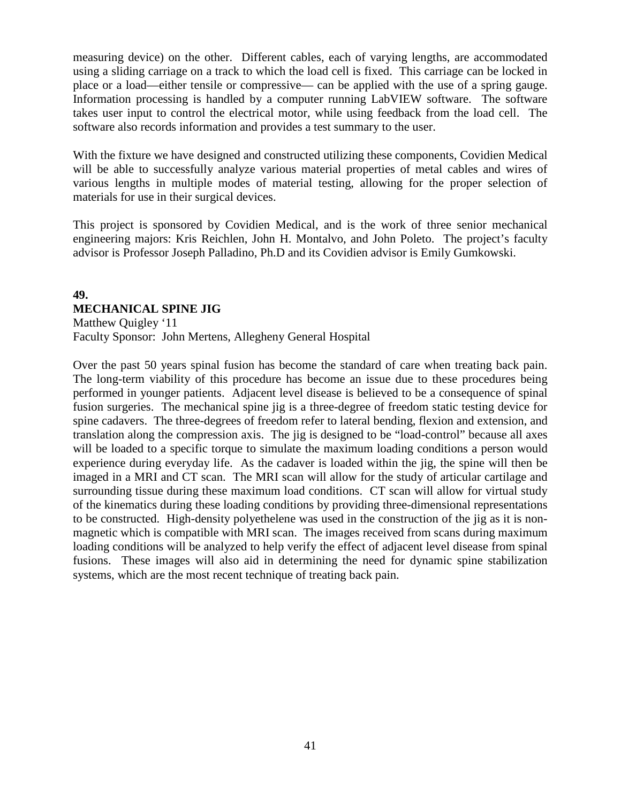measuring device) on the other. Different cables, each of varying lengths, are accommodated using a sliding carriage on a track to which the load cell is fixed. This carriage can be locked in place or a load—either tensile or compressive— can be applied with the use of a spring gauge. Information processing is handled by a computer running LabVIEW software. The software takes user input to control the electrical motor, while using feedback from the load cell. The software also records information and provides a test summary to the user.

With the fixture we have designed and constructed utilizing these components, Covidien Medical will be able to successfully analyze various material properties of metal cables and wires of various lengths in multiple modes of material testing, allowing for the proper selection of materials for use in their surgical devices.

This project is sponsored by Covidien Medical, and is the work of three senior mechanical engineering majors: Kris Reichlen, John H. Montalvo, and John Poleto. The project's faculty advisor is Professor Joseph Palladino, Ph.D and its Covidien advisor is Emily Gumkowski.

# **49. MECHANICAL SPINE JIG**

Matthew Quigley '11 Faculty Sponsor: John Mertens, Allegheny General Hospital

Over the past 50 years spinal fusion has become the standard of care when treating back pain. The long-term viability of this procedure has become an issue due to these procedures being performed in younger patients. Adjacent level disease is believed to be a consequence of spinal fusion surgeries. The mechanical spine jig is a three-degree of freedom static testing device for spine cadavers. The three-degrees of freedom refer to lateral bending, flexion and extension, and translation along the compression axis. The jig is designed to be "load-control" because all axes will be loaded to a specific torque to simulate the maximum loading conditions a person would experience during everyday life. As the cadaver is loaded within the jig, the spine will then be imaged in a MRI and CT scan. The MRI scan will allow for the study of articular cartilage and surrounding tissue during these maximum load conditions. CT scan will allow for virtual study of the kinematics during these loading conditions by providing three-dimensional representations to be constructed. High-density polyethelene was used in the construction of the jig as it is nonmagnetic which is compatible with MRI scan. The images received from scans during maximum loading conditions will be analyzed to help verify the effect of adjacent level disease from spinal fusions. These images will also aid in determining the need for dynamic spine stabilization systems, which are the most recent technique of treating back pain.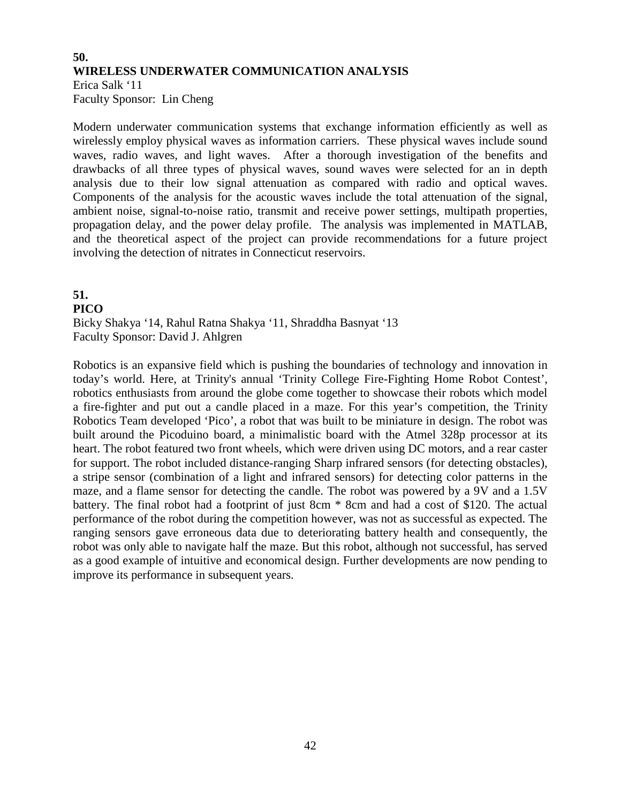# **50. WIRELESS UNDERWATER COMMUNICATION ANALYSIS**  Erica Salk '11

Faculty Sponsor: Lin Cheng

Modern underwater communication systems that exchange information efficiently as well as wirelessly employ physical waves as information carriers. These physical waves include sound waves, radio waves, and light waves. After a thorough investigation of the benefits and drawbacks of all three types of physical waves, sound waves were selected for an in depth analysis due to their low signal attenuation as compared with radio and optical waves. Components of the analysis for the acoustic waves include the total attenuation of the signal, ambient noise, signal-to-noise ratio, transmit and receive power settings, multipath properties, propagation delay, and the power delay profile. The analysis was implemented in MATLAB, and the theoretical aspect of the project can provide recommendations for a future project involving the detection of nitrates in Connecticut reservoirs.

# **51.**

### **PICO**

Bicky Shakya '14, Rahul Ratna Shakya '11, Shraddha Basnyat '13 Faculty Sponsor: David J. Ahlgren

Robotics is an expansive field which is pushing the boundaries of technology and innovation in today's world. Here, at Trinity's annual 'Trinity College Fire-Fighting Home Robot Contest', robotics enthusiasts from around the globe come together to showcase their robots which model a fire-fighter and put out a candle placed in a maze. For this year's competition, the Trinity Robotics Team developed 'Pico', a robot that was built to be miniature in design. The robot was built around the Picoduino board, a minimalistic board with the Atmel 328p processor at its heart. The robot featured two front wheels, which were driven using DC motors, and a rear caster for support. The robot included distance-ranging Sharp infrared sensors (for detecting obstacles), a stripe sensor (combination of a light and infrared sensors) for detecting color patterns in the maze, and a flame sensor for detecting the candle. The robot was powered by a 9V and a 1.5V battery. The final robot had a footprint of just 8cm \* 8cm and had a cost of \$120. The actual performance of the robot during the competition however, was not as successful as expected. The ranging sensors gave erroneous data due to deteriorating battery health and consequently, the robot was only able to navigate half the maze. But this robot, although not successful, has served as a good example of intuitive and economical design. Further developments are now pending to improve its performance in subsequent years.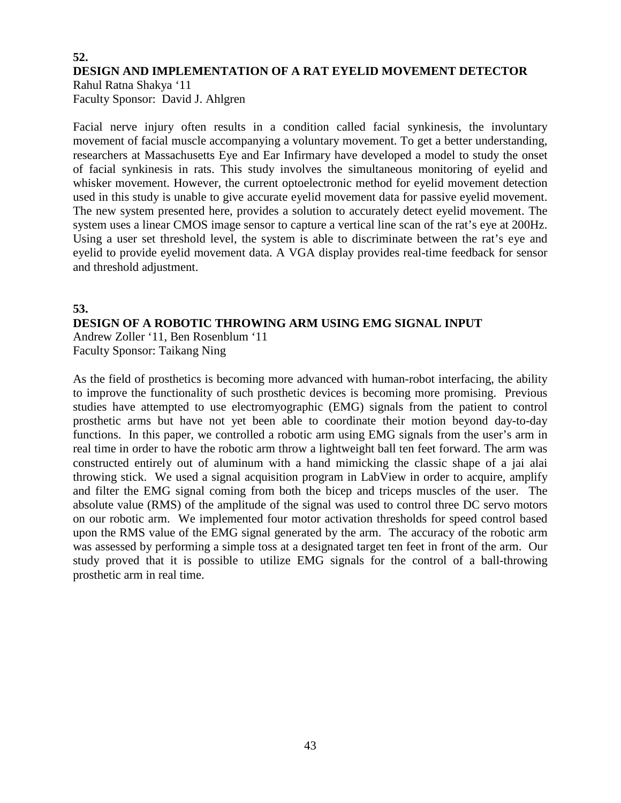# **52. DESIGN AND IMPLEMENTATION OF A RAT EYELID MOVEMENT DETECTOR**

Rahul Ratna Shakya '11 Faculty Sponsor: David J. Ahlgren

Facial nerve injury often results in a condition called facial synkinesis, the involuntary movement of facial muscle accompanying a voluntary movement. To get a better understanding, researchers at Massachusetts Eye and Ear Infirmary have developed a model to study the onset of facial synkinesis in rats. This study involves the simultaneous monitoring of eyelid and whisker movement. However, the current optoelectronic method for eyelid movement detection used in this study is unable to give accurate eyelid movement data for passive eyelid movement. The new system presented here, provides a solution to accurately detect eyelid movement. The system uses a linear CMOS image sensor to capture a vertical line scan of the rat's eye at 200Hz. Using a user set threshold level, the system is able to discriminate between the rat's eye and eyelid to provide eyelid movement data. A VGA display provides real-time feedback for sensor and threshold adjustment.

#### **53.**

### **DESIGN OF A ROBOTIC THROWING ARM USING EMG SIGNAL INPUT**

Andrew Zoller '11, Ben Rosenblum '11 Faculty Sponsor: Taikang Ning

As the field of prosthetics is becoming more advanced with human-robot interfacing, the ability to improve the functionality of such prosthetic devices is becoming more promising. Previous studies have attempted to use electromyographic (EMG) signals from the patient to control prosthetic arms but have not yet been able to coordinate their motion beyond day-to-day functions. In this paper, we controlled a robotic arm using EMG signals from the user's arm in real time in order to have the robotic arm throw a lightweight ball ten feet forward. The arm was constructed entirely out of aluminum with a hand mimicking the classic shape of a jai alai throwing stick. We used a signal acquisition program in LabView in order to acquire, amplify and filter the EMG signal coming from both the bicep and triceps muscles of the user. The absolute value (RMS) of the amplitude of the signal was used to control three DC servo motors on our robotic arm. We implemented four motor activation thresholds for speed control based upon the RMS value of the EMG signal generated by the arm. The accuracy of the robotic arm was assessed by performing a simple toss at a designated target ten feet in front of the arm. Our study proved that it is possible to utilize EMG signals for the control of a ball-throwing prosthetic arm in real time.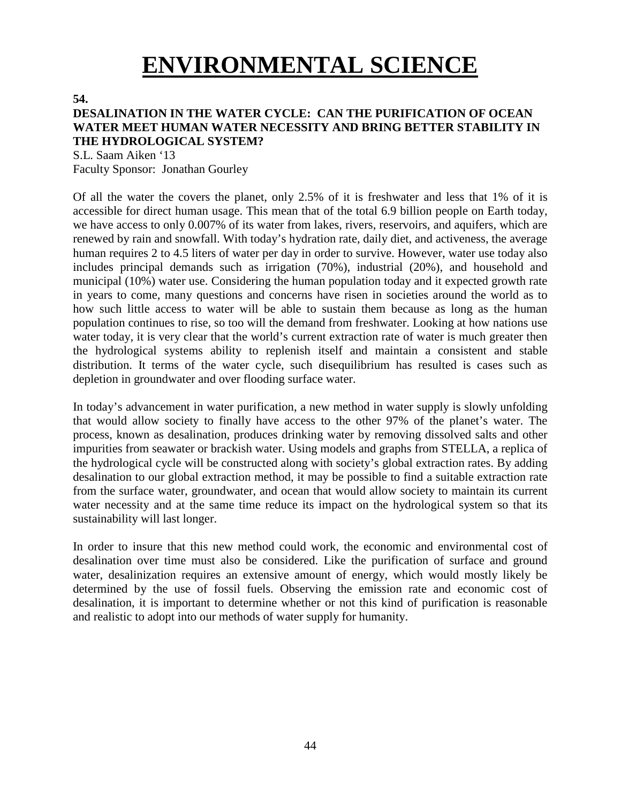# **ENVIRONMENTAL SCIENCE**

#### **54.**

# **DESALINATION IN THE WATER CYCLE: CAN THE PURIFICATION OF OCEAN WATER MEET HUMAN WATER NECESSITY AND BRING BETTER STABILITY IN THE HYDROLOGICAL SYSTEM?**

S.L. Saam Aiken '13 Faculty Sponsor: Jonathan Gourley

Of all the water the covers the planet, only 2.5% of it is freshwater and less that 1% of it is accessible for direct human usage. This mean that of the total 6.9 billion people on Earth today, we have access to only 0.007% of its water from lakes, rivers, reservoirs, and aquifers, which are renewed by rain and snowfall. With today's hydration rate, daily diet, and activeness, the average human requires 2 to 4.5 liters of water per day in order to survive. However, water use today also includes principal demands such as irrigation (70%), industrial (20%), and household and municipal (10%) water use. Considering the human population today and it expected growth rate in years to come, many questions and concerns have risen in societies around the world as to how such little access to water will be able to sustain them because as long as the human population continues to rise, so too will the demand from freshwater. Looking at how nations use water today, it is very clear that the world's current extraction rate of water is much greater then the hydrological systems ability to replenish itself and maintain a consistent and stable distribution. It terms of the water cycle, such disequilibrium has resulted is cases such as depletion in groundwater and over flooding surface water.

In today's advancement in water purification, a new method in water supply is slowly unfolding that would allow society to finally have access to the other 97% of the planet's water. The process, known as desalination, produces drinking water by removing dissolved salts and other impurities from seawater or brackish water. Using models and graphs from STELLA, a replica of the hydrological cycle will be constructed along with society's global extraction rates. By adding desalination to our global extraction method, it may be possible to find a suitable extraction rate from the surface water, groundwater, and ocean that would allow society to maintain its current water necessity and at the same time reduce its impact on the hydrological system so that its sustainability will last longer.

In order to insure that this new method could work, the economic and environmental cost of desalination over time must also be considered. Like the purification of surface and ground water, desalinization requires an extensive amount of energy, which would mostly likely be determined by the use of fossil fuels. Observing the emission rate and economic cost of desalination, it is important to determine whether or not this kind of purification is reasonable and realistic to adopt into our methods of water supply for humanity.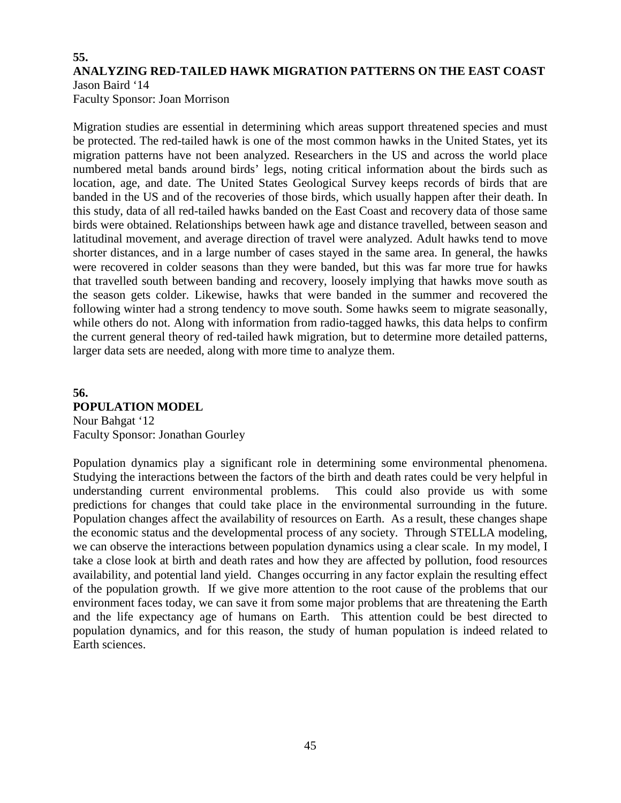# **55. ANALYZING RED-TAILED HAWK MIGRATION PATTERNS ON THE EAST COAST**

Jason Baird '14 Faculty Sponsor: Joan Morrison

Migration studies are essential in determining which areas support threatened species and must be protected. The red-tailed hawk is one of the most common hawks in the United States, yet its migration patterns have not been analyzed. Researchers in the US and across the world place numbered metal bands around birds' legs, noting critical information about the birds such as location, age, and date. The United States Geological Survey keeps records of birds that are banded in the US and of the recoveries of those birds, which usually happen after their death. In this study, data of all red-tailed hawks banded on the East Coast and recovery data of those same birds were obtained. Relationships between hawk age and distance travelled, between season and latitudinal movement, and average direction of travel were analyzed. Adult hawks tend to move shorter distances, and in a large number of cases stayed in the same area. In general, the hawks were recovered in colder seasons than they were banded, but this was far more true for hawks that travelled south between banding and recovery, loosely implying that hawks move south as the season gets colder. Likewise, hawks that were banded in the summer and recovered the following winter had a strong tendency to move south. Some hawks seem to migrate seasonally, while others do not. Along with information from radio-tagged hawks, this data helps to confirm the current general theory of red-tailed hawk migration, but to determine more detailed patterns, larger data sets are needed, along with more time to analyze them.

# **56. POPULATION MODEL** Nour Bahgat '12 Faculty Sponsor: Jonathan Gourley

Population dynamics play a significant role in determining some environmental phenomena. Studying the interactions between the factors of the birth and death rates could be very helpful in understanding current environmental problems. This could also provide us with some understanding current environmental problems. predictions for changes that could take place in the environmental surrounding in the future. Population changes affect the availability of resources on Earth. As a result, these changes shape the economic status and the developmental process of any society. Through STELLA modeling, we can observe the interactions between population dynamics using a clear scale. In my model, I take a close look at birth and death rates and how they are affected by pollution, food resources availability, and potential land yield. Changes occurring in any factor explain the resulting effect of the population growth. If we give more attention to the root cause of the problems that our environment faces today, we can save it from some major problems that are threatening the Earth and the life expectancy age of humans on Earth. This attention could be best directed to population dynamics, and for this reason, the study of human population is indeed related to Earth sciences.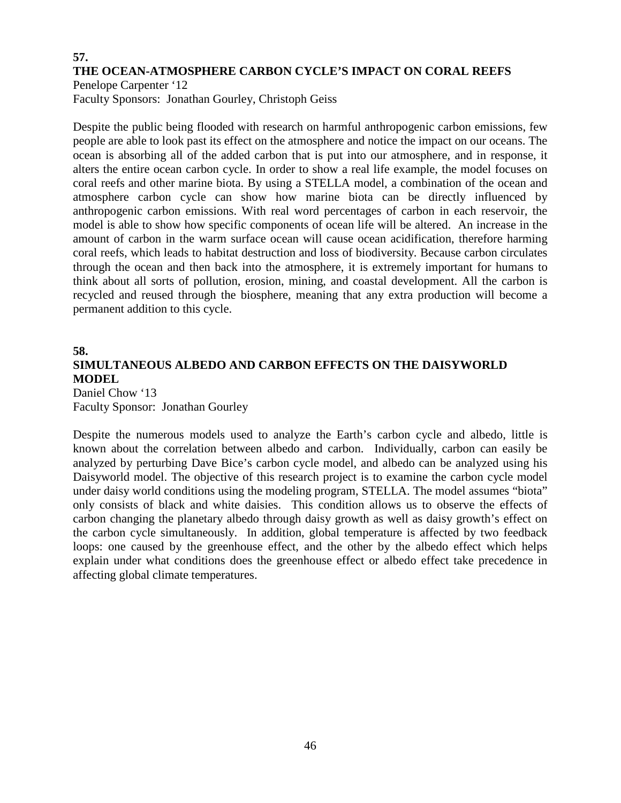# **57. THE OCEAN-ATMOSPHERE CARBON CYCLE'S IMPACT ON CORAL REEFS**

Penelope Carpenter '12

Faculty Sponsors: Jonathan Gourley, Christoph Geiss

Despite the public being flooded with research on harmful anthropogenic carbon emissions, few people are able to look past its effect on the atmosphere and notice the impact on our oceans. The ocean is absorbing all of the added carbon that is put into our atmosphere, and in response, it alters the entire ocean carbon cycle. In order to show a real life example, the model focuses on coral reefs and other marine biota. By using a STELLA model, a combination of the ocean and atmosphere carbon cycle can show how marine biota can be directly influenced by anthropogenic carbon emissions. With real word percentages of carbon in each reservoir, the model is able to show how specific components of ocean life will be altered. An increase in the amount of carbon in the warm surface ocean will cause ocean acidification, therefore harming coral reefs, which leads to habitat destruction and loss of biodiversity. Because carbon circulates through the ocean and then back into the atmosphere, it is extremely important for humans to think about all sorts of pollution, erosion, mining, and coastal development. All the carbon is recycled and reused through the biosphere, meaning that any extra production will become a permanent addition to this cycle.

#### **58.**

# **SIMULTANEOUS ALBEDO AND CARBON EFFECTS ON THE DAISYWORLD MODEL**

Daniel Chow '13 Faculty Sponsor: Jonathan Gourley

Despite the numerous models used to analyze the Earth's carbon cycle and albedo, little is known about the correlation between albedo and carbon. Individually, carbon can easily be analyzed by perturbing Dave Bice's carbon cycle model, and albedo can be analyzed using his Daisyworld model. The objective of this research project is to examine the carbon cycle model under daisy world conditions using the modeling program, STELLA. The model assumes "biota" only consists of black and white daisies. This condition allows us to observe the effects of carbon changing the planetary albedo through daisy growth as well as daisy growth's effect on the carbon cycle simultaneously. In addition, global temperature is affected by two feedback loops: one caused by the greenhouse effect, and the other by the albedo effect which helps explain under what conditions does the greenhouse effect or albedo effect take precedence in affecting global climate temperatures.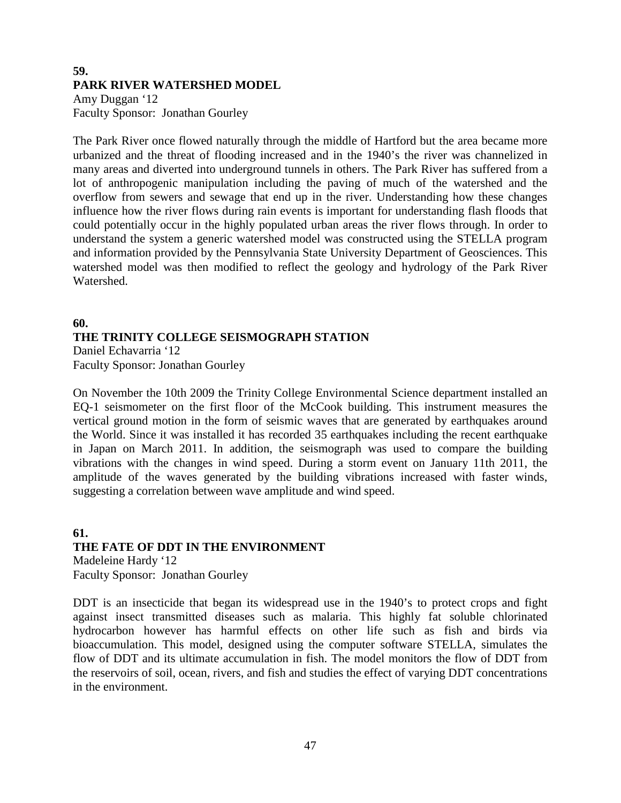#### **59. PARK RIVER WATERSHED MODEL**

Amy Duggan '12 Faculty Sponsor: Jonathan Gourley

The Park River once flowed naturally through the middle of Hartford but the area became more urbanized and the threat of flooding increased and in the 1940's the river was channelized in many areas and diverted into underground tunnels in others. The Park River has suffered from a lot of anthropogenic manipulation including the paving of much of the watershed and the overflow from sewers and sewage that end up in the river. Understanding how these changes influence how the river flows during rain events is important for understanding flash floods that could potentially occur in the highly populated urban areas the river flows through. In order to understand the system a generic watershed model was constructed using the STELLA program and information provided by the Pennsylvania State University Department of Geosciences. This watershed model was then modified to reflect the geology and hydrology of the Park River Watershed.

#### **60. THE TRINITY COLLEGE SEISMOGRAPH STATION** Daniel Echavarria '12

Faculty Sponsor: Jonathan Gourley

On November the 10th 2009 the Trinity College Environmental Science department installed an EQ-1 seismometer on the first floor of the McCook building. This instrument measures the vertical ground motion in the form of seismic waves that are generated by earthquakes around the World. Since it was installed it has recorded 35 earthquakes including the recent earthquake in Japan on March 2011. In addition, the seismograph was used to compare the building vibrations with the changes in wind speed. During a storm event on January 11th 2011, the amplitude of the waves generated by the building vibrations increased with faster winds, suggesting a correlation between wave amplitude and wind speed.

# **61. THE FATE OF DDT IN THE ENVIRONMENT** Madeleine Hardy '12

Faculty Sponsor: Jonathan Gourley

DDT is an insecticide that began its widespread use in the 1940's to protect crops and fight against insect transmitted diseases such as malaria. This highly fat soluble chlorinated hydrocarbon however has harmful effects on other life such as fish and birds via bioaccumulation. This model, designed using the computer software STELLA, simulates the flow of DDT and its ultimate accumulation in fish. The model monitors the flow of DDT from the reservoirs of soil, ocean, rivers, and fish and studies the effect of varying DDT concentrations in the environment.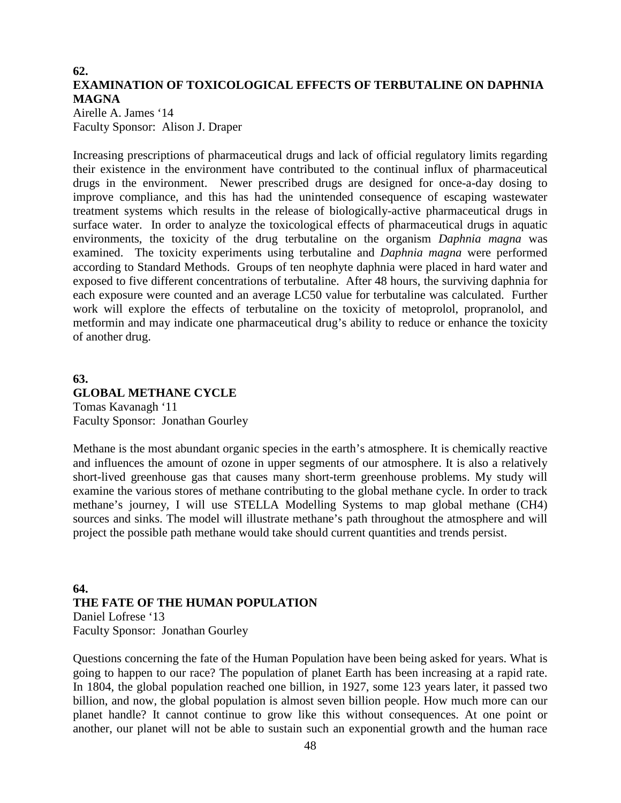# **62. EXAMINATION OF TOXICOLOGICAL EFFECTS OF TERBUTALINE ON DAPHNIA MAGNA**

Airelle A. James '14 Faculty Sponsor: Alison J. Draper

Increasing prescriptions of pharmaceutical drugs and lack of official regulatory limits regarding their existence in the environment have contributed to the continual influx of pharmaceutical drugs in the environment. Newer prescribed drugs are designed for once-a-day dosing to improve compliance, and this has had the unintended consequence of escaping wastewater treatment systems which results in the release of biologically-active pharmaceutical drugs in surface water. In order to analyze the toxicological effects of pharmaceutical drugs in aquatic environments, the toxicity of the drug terbutaline on the organism *Daphnia magna* was examined. The toxicity experiments using terbutaline and *Daphnia magna* were performed according to Standard Methods. Groups of ten neophyte daphnia were placed in hard water and exposed to five different concentrations of terbutaline. After 48 hours, the surviving daphnia for each exposure were counted and an average LC50 value for terbutaline was calculated. Further work will explore the effects of terbutaline on the toxicity of metoprolol, propranolol, and metformin and may indicate one pharmaceutical drug's ability to reduce or enhance the toxicity of another drug.

### **63. GLOBAL METHANE CYCLE** Tomas Kavanagh '11 Faculty Sponsor: Jonathan Gourley

Methane is the most abundant organic species in the earth's atmosphere. It is chemically reactive and influences the amount of ozone in upper segments of our atmosphere. It is also a relatively short-lived greenhouse gas that causes many short-term greenhouse problems. My study will examine the various stores of methane contributing to the global methane cycle. In order to track methane's journey, I will use STELLA Modelling Systems to map global methane (CH4) sources and sinks. The model will illustrate methane's path throughout the atmosphere and will project the possible path methane would take should current quantities and trends persist.

### **64. THE FATE OF THE HUMAN POPULATION** Daniel Lofrese '13 Faculty Sponsor: Jonathan Gourley

Questions concerning the fate of the Human Population have been being asked for years. What is going to happen to our race? The population of planet Earth has been increasing at a rapid rate. In 1804, the global population reached one billion, in 1927, some 123 years later, it passed two billion, and now, the global population is almost seven billion people. How much more can our planet handle? It cannot continue to grow like this without consequences. At one point or another, our planet will not be able to sustain such an exponential growth and the human race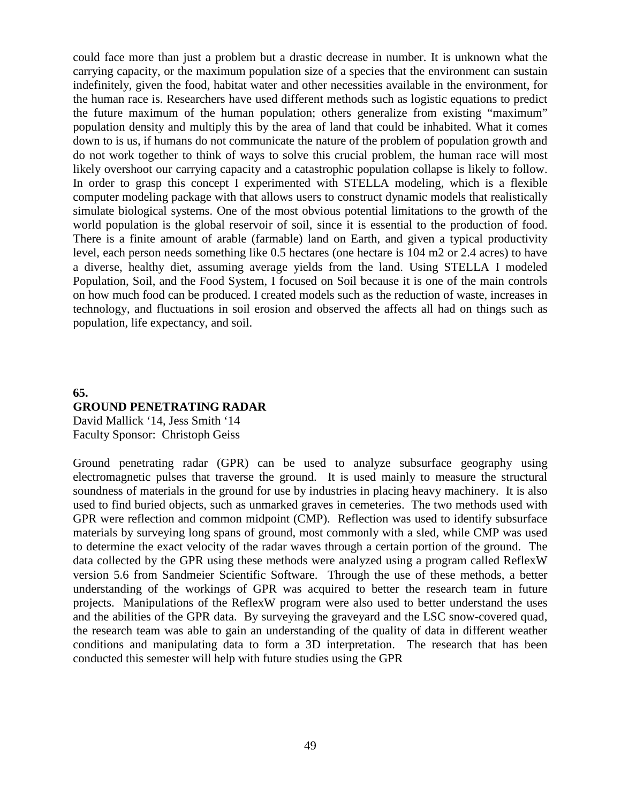could face more than just a problem but a drastic decrease in number. It is unknown what the carrying capacity, or the maximum population size of a species that the environment can sustain indefinitely, given the food, habitat water and other necessities available in the environment, for the human race is. Researchers have used different methods such as logistic equations to predict the future maximum of the human population; others generalize from existing "maximum" population density and multiply this by the area of land that could be inhabited. What it comes down to is us, if humans do not communicate the nature of the problem of population growth and do not work together to think of ways to solve this crucial problem, the human race will most likely overshoot our carrying capacity and a catastrophic population collapse is likely to follow. In order to grasp this concept I experimented with STELLA modeling, which is a flexible computer modeling package with that allows users to construct dynamic models that realistically simulate biological systems. One of the most obvious potential limitations to the growth of the world population is the global reservoir of soil, since it is essential to the production of food. There is a finite amount of arable (farmable) land on Earth, and given a typical productivity level, each person needs something like 0.5 hectares (one hectare is 104 m2 or 2.4 acres) to have a diverse, healthy diet, assuming average yields from the land. Using STELLA I modeled Population, Soil, and the Food System, I focused on Soil because it is one of the main controls on how much food can be produced. I created models such as the reduction of waste, increases in technology, and fluctuations in soil erosion and observed the affects all had on things such as population, life expectancy, and soil.

## **65. GROUND PENETRATING RADAR** David Mallick '14, Jess Smith '14 Faculty Sponsor: Christoph Geiss

Ground penetrating radar (GPR) can be used to analyze subsurface geography using electromagnetic pulses that traverse the ground. It is used mainly to measure the structural soundness of materials in the ground for use by industries in placing heavy machinery. It is also used to find buried objects, such as unmarked graves in cemeteries. The two methods used with GPR were reflection and common midpoint (CMP). Reflection was used to identify subsurface materials by surveying long spans of ground, most commonly with a sled, while CMP was used to determine the exact velocity of the radar waves through a certain portion of the ground. The data collected by the GPR using these methods were analyzed using a program called ReflexW version 5.6 from Sandmeier Scientific Software. Through the use of these methods, a better understanding of the workings of GPR was acquired to better the research team in future projects. Manipulations of the ReflexW program were also used to better understand the uses and the abilities of the GPR data. By surveying the graveyard and the LSC snow-covered quad, the research team was able to gain an understanding of the quality of data in different weather conditions and manipulating data to form a 3D interpretation. The research that has been conducted this semester will help with future studies using the GPR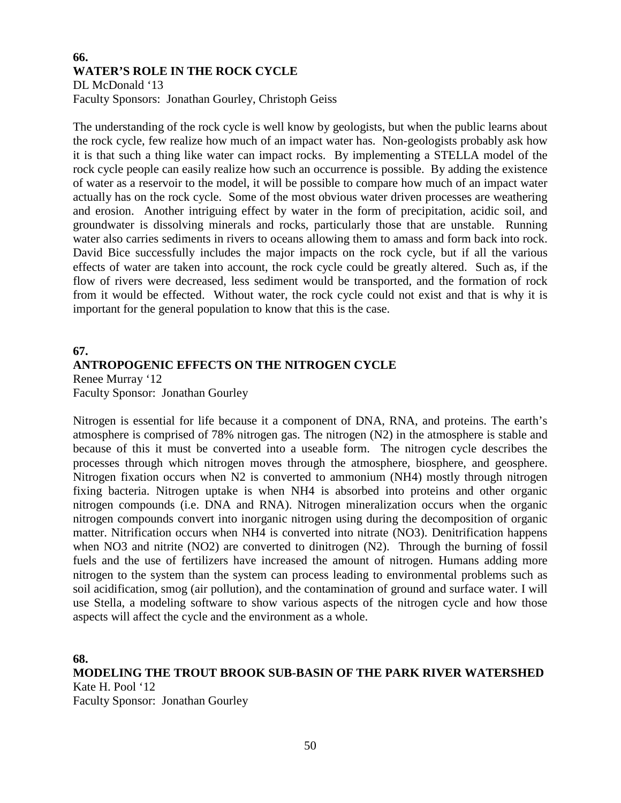#### **66. WATER'S ROLE IN THE ROCK CYCLE** DL McDonald '13

Faculty Sponsors: Jonathan Gourley, Christoph Geiss

The understanding of the rock cycle is well know by geologists, but when the public learns about the rock cycle, few realize how much of an impact water has. Non-geologists probably ask how it is that such a thing like water can impact rocks. By implementing a STELLA model of the rock cycle people can easily realize how such an occurrence is possible. By adding the existence of water as a reservoir to the model, it will be possible to compare how much of an impact water actually has on the rock cycle. Some of the most obvious water driven processes are weathering and erosion. Another intriguing effect by water in the form of precipitation, acidic soil, and groundwater is dissolving minerals and rocks, particularly those that are unstable. Running water also carries sediments in rivers to oceans allowing them to amass and form back into rock. David Bice successfully includes the major impacts on the rock cycle, but if all the various effects of water are taken into account, the rock cycle could be greatly altered. Such as, if the flow of rivers were decreased, less sediment would be transported, and the formation of rock from it would be effected. Without water, the rock cycle could not exist and that is why it is important for the general population to know that this is the case.

# **67.**

# **ANTROPOGENIC EFFECTS ON THE NITROGEN CYCLE**

Renee Murray '12 Faculty Sponsor: Jonathan Gourley

Nitrogen is essential for life because it a component of DNA, RNA, and proteins. The earth's atmosphere is comprised of 78% nitrogen gas. The nitrogen (N2) in the atmosphere is stable and because of this it must be converted into a useable form. The nitrogen cycle describes the processes through which nitrogen moves through the atmosphere, biosphere, and geosphere. Nitrogen fixation occurs when N2 is converted to ammonium (NH4) mostly through nitrogen fixing bacteria. Nitrogen uptake is when NH4 is absorbed into proteins and other organic nitrogen compounds (i.e. DNA and RNA). Nitrogen mineralization occurs when the organic nitrogen compounds convert into inorganic nitrogen using during the decomposition of organic matter. Nitrification occurs when NH4 is converted into nitrate (NO3). Denitrification happens when NO3 and nitrite (NO2) are converted to dinitrogen (N2). Through the burning of fossil fuels and the use of fertilizers have increased the amount of nitrogen. Humans adding more nitrogen to the system than the system can process leading to environmental problems such as soil acidification, smog (air pollution), and the contamination of ground and surface water. I will use Stella, a modeling software to show various aspects of the nitrogen cycle and how those aspects will affect the cycle and the environment as a whole.

**68.**

**MODELING THE TROUT BROOK SUB-BASIN OF THE PARK RIVER WATERSHED** Kate H. Pool '12

Faculty Sponsor: Jonathan Gourley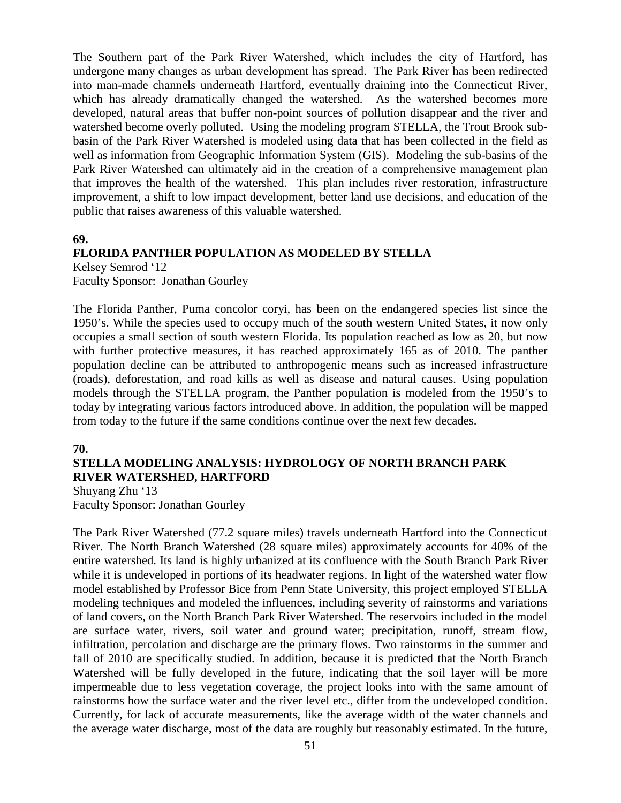The Southern part of the Park River Watershed, which includes the city of Hartford, has undergone many changes as urban development has spread. The Park River has been redirected into man-made channels underneath Hartford, eventually draining into the Connecticut River, which has already dramatically changed the watershed. As the watershed becomes more developed, natural areas that buffer non-point sources of pollution disappear and the river and watershed become overly polluted. Using the modeling program STELLA, the Trout Brook subbasin of the Park River Watershed is modeled using data that has been collected in the field as well as information from Geographic Information System (GIS). Modeling the sub-basins of the Park River Watershed can ultimately aid in the creation of a comprehensive management plan that improves the health of the watershed. This plan includes river restoration, infrastructure improvement, a shift to low impact development, better land use decisions, and education of the public that raises awareness of this valuable watershed.

#### **69.**

### **FLORIDA PANTHER POPULATION AS MODELED BY STELLA**

Kelsey Semrod '12 Faculty Sponsor: Jonathan Gourley

The Florida Panther, Puma concolor coryi, has been on the endangered species list since the 1950's. While the species used to occupy much of the south western United States, it now only occupies a small section of south western Florida. Its population reached as low as 20, but now with further protective measures, it has reached approximately 165 as of 2010. The panther population decline can be attributed to anthropogenic means such as increased infrastructure (roads), deforestation, and road kills as well as disease and natural causes. Using population models through the STELLA program, the Panther population is modeled from the 1950's to today by integrating various factors introduced above. In addition, the population will be mapped from today to the future if the same conditions continue over the next few decades.

#### **70.**

# **STELLA MODELING ANALYSIS: HYDROLOGY OF NORTH BRANCH PARK RIVER WATERSHED, HARTFORD**

Shuyang Zhu '13 Faculty Sponsor: Jonathan Gourley

The Park River Watershed (77.2 square miles) travels underneath Hartford into the Connecticut River. The North Branch Watershed (28 square miles) approximately accounts for 40% of the entire watershed. Its land is highly urbanized at its confluence with the South Branch Park River while it is undeveloped in portions of its headwater regions. In light of the watershed water flow model established by Professor Bice from Penn State University, this project employed STELLA modeling techniques and modeled the influences, including severity of rainstorms and variations of land covers, on the North Branch Park River Watershed. The reservoirs included in the model are surface water, rivers, soil water and ground water; precipitation, runoff, stream flow, infiltration, percolation and discharge are the primary flows. Two rainstorms in the summer and fall of 2010 are specifically studied. In addition, because it is predicted that the North Branch Watershed will be fully developed in the future, indicating that the soil layer will be more impermeable due to less vegetation coverage, the project looks into with the same amount of rainstorms how the surface water and the river level etc., differ from the undeveloped condition. Currently, for lack of accurate measurements, like the average width of the water channels and the average water discharge, most of the data are roughly but reasonably estimated. In the future,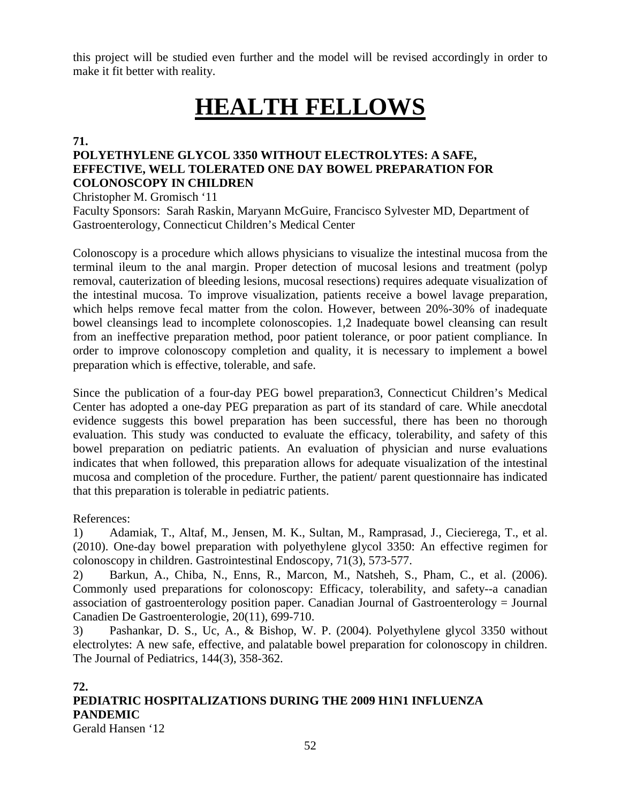this project will be studied even further and the model will be revised accordingly in order to make it fit better with reality.

# **HEALTH FELLOWS**

**71.**

# **POLYETHYLENE GLYCOL 3350 WITHOUT ELECTROLYTES: A SAFE, EFFECTIVE, WELL TOLERATED ONE DAY BOWEL PREPARATION FOR COLONOSCOPY IN CHILDREN**

Christopher M. Gromisch '11

Faculty Sponsors: Sarah Raskin, Maryann McGuire, Francisco Sylvester MD, Department of Gastroenterology, Connecticut Children's Medical Center

Colonoscopy is a procedure which allows physicians to visualize the intestinal mucosa from the terminal ileum to the anal margin. Proper detection of mucosal lesions and treatment (polyp removal, cauterization of bleeding lesions, mucosal resections) requires adequate visualization of the intestinal mucosa. To improve visualization, patients receive a bowel lavage preparation, which helps remove fecal matter from the colon. However, between 20%-30% of inadequate bowel cleansings lead to incomplete colonoscopies. 1,2 Inadequate bowel cleansing can result from an ineffective preparation method, poor patient tolerance, or poor patient compliance. In order to improve colonoscopy completion and quality, it is necessary to implement a bowel preparation which is effective, tolerable, and safe.

Since the publication of a four-day PEG bowel preparation3, Connecticut Children's Medical Center has adopted a one-day PEG preparation as part of its standard of care. While anecdotal evidence suggests this bowel preparation has been successful, there has been no thorough evaluation. This study was conducted to evaluate the efficacy, tolerability, and safety of this bowel preparation on pediatric patients. An evaluation of physician and nurse evaluations indicates that when followed, this preparation allows for adequate visualization of the intestinal mucosa and completion of the procedure. Further, the patient/ parent questionnaire has indicated that this preparation is tolerable in pediatric patients.

References:

1) Adamiak, T., Altaf, M., Jensen, M. K., Sultan, M., Ramprasad, J., Ciecierega, T., et al. (2010). One-day bowel preparation with polyethylene glycol 3350: An effective regimen for colonoscopy in children. Gastrointestinal Endoscopy, 71(3), 573-577.

2) Barkun, A., Chiba, N., Enns, R., Marcon, M., Natsheh, S., Pham, C., et al. (2006). Commonly used preparations for colonoscopy: Efficacy, tolerability, and safety--a canadian association of gastroenterology position paper. Canadian Journal of Gastroenterology = Journal Canadien De Gastroenterologie, 20(11), 699-710.

3) Pashankar, D. S., Uc, A., & Bishop, W. P. (2004). Polyethylene glycol 3350 without electrolytes: A new safe, effective, and palatable bowel preparation for colonoscopy in children. The Journal of Pediatrics, 144(3), 358-362.

# **72. PEDIATRIC HOSPITALIZATIONS DURING THE 2009 H1N1 INFLUENZA PANDEMIC**

Gerald Hansen '12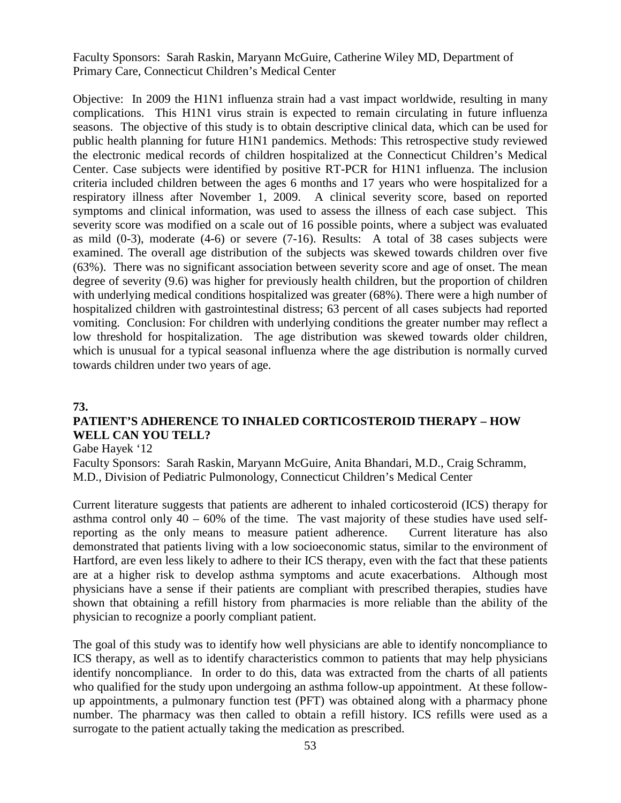Faculty Sponsors: Sarah Raskin, Maryann McGuire, Catherine Wiley MD, Department of Primary Care, Connecticut Children's Medical Center

Objective: In 2009 the H1N1 influenza strain had a vast impact worldwide, resulting in many complications. This H1N1 virus strain is expected to remain circulating in future influenza seasons. The objective of this study is to obtain descriptive clinical data, which can be used for public health planning for future H1N1 pandemics. Methods: This retrospective study reviewed the electronic medical records of children hospitalized at the Connecticut Children's Medical Center. Case subjects were identified by positive RT-PCR for H1N1 influenza. The inclusion criteria included children between the ages 6 months and 17 years who were hospitalized for a respiratory illness after November 1, 2009. A clinical severity score, based on reported symptoms and clinical information, was used to assess the illness of each case subject. This severity score was modified on a scale out of 16 possible points, where a subject was evaluated as mild  $(0-3)$ , moderate  $(4-6)$  or severe  $(7-16)$ . Results: A total of 38 cases subjects were examined. The overall age distribution of the subjects was skewed towards children over five (63%). There was no significant association between severity score and age of onset. The mean degree of severity (9.6) was higher for previously health children, but the proportion of children with underlying medical conditions hospitalized was greater (68%). There were a high number of hospitalized children with gastrointestinal distress; 63 percent of all cases subjects had reported vomiting. Conclusion: For children with underlying conditions the greater number may reflect a low threshold for hospitalization. The age distribution was skewed towards older children, which is unusual for a typical seasonal influenza where the age distribution is normally curved towards children under two years of age.

#### **73.**

# **PATIENT'S ADHERENCE TO INHALED CORTICOSTEROID THERAPY – HOW WELL CAN YOU TELL?**

Gabe Hayek '12

Faculty Sponsors: Sarah Raskin, Maryann McGuire, Anita Bhandari, M.D., Craig Schramm, M.D., Division of Pediatric Pulmonology, Connecticut Children's Medical Center

Current literature suggests that patients are adherent to inhaled corticosteroid (ICS) therapy for asthma control only  $40 - 60\%$  of the time. The vast majority of these studies have used selfreporting as the only means to measure patient adherence. Current literature has also demonstrated that patients living with a low socioeconomic status, similar to the environment of Hartford, are even less likely to adhere to their ICS therapy, even with the fact that these patients are at a higher risk to develop asthma symptoms and acute exacerbations. Although most physicians have a sense if their patients are compliant with prescribed therapies, studies have shown that obtaining a refill history from pharmacies is more reliable than the ability of the physician to recognize a poorly compliant patient.

The goal of this study was to identify how well physicians are able to identify noncompliance to ICS therapy, as well as to identify characteristics common to patients that may help physicians identify noncompliance. In order to do this, data was extracted from the charts of all patients who qualified for the study upon undergoing an asthma follow-up appointment. At these followup appointments, a pulmonary function test (PFT) was obtained along with a pharmacy phone number. The pharmacy was then called to obtain a refill history. ICS refills were used as a surrogate to the patient actually taking the medication as prescribed.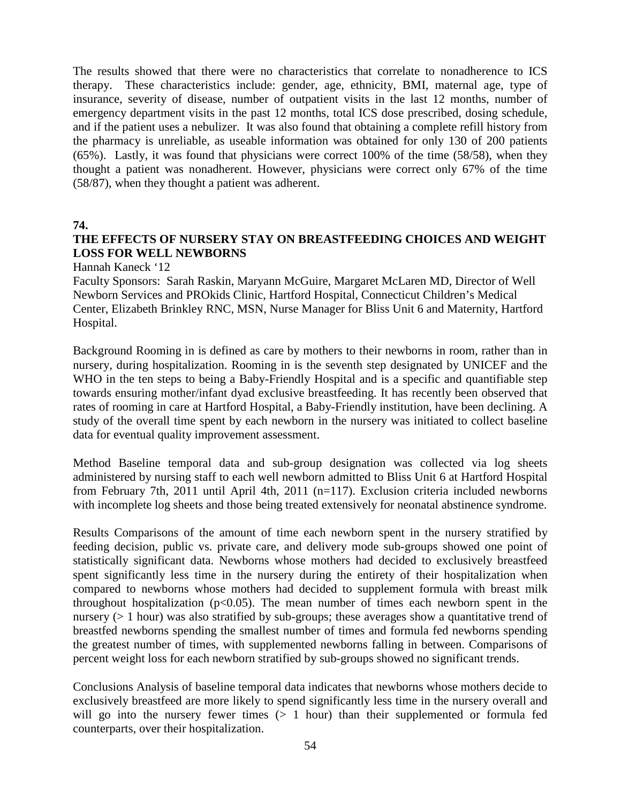The results showed that there were no characteristics that correlate to nonadherence to ICS therapy. These characteristics include: gender, age, ethnicity, BMI, maternal age, type of insurance, severity of disease, number of outpatient visits in the last 12 months, number of emergency department visits in the past 12 months, total ICS dose prescribed, dosing schedule, and if the patient uses a nebulizer. It was also found that obtaining a complete refill history from the pharmacy is unreliable, as useable information was obtained for only 130 of 200 patients (65%). Lastly, it was found that physicians were correct 100% of the time (58/58), when they thought a patient was nonadherent. However, physicians were correct only 67% of the time (58/87), when they thought a patient was adherent.

### **74.**

# **THE EFFECTS OF NURSERY STAY ON BREASTFEEDING CHOICES AND WEIGHT LOSS FOR WELL NEWBORNS**

Hannah Kaneck '12

Faculty Sponsors: Sarah Raskin, Maryann McGuire, Margaret McLaren MD, Director of Well Newborn Services and PROkids Clinic, Hartford Hospital, Connecticut Children's Medical Center, Elizabeth Brinkley RNC, MSN, Nurse Manager for Bliss Unit 6 and Maternity, Hartford Hospital.

Background Rooming in is defined as care by mothers to their newborns in room, rather than in nursery, during hospitalization. Rooming in is the seventh step designated by UNICEF and the WHO in the ten steps to being a Baby-Friendly Hospital and is a specific and quantifiable step towards ensuring mother/infant dyad exclusive breastfeeding. It has recently been observed that rates of rooming in care at Hartford Hospital, a Baby-Friendly institution, have been declining. A study of the overall time spent by each newborn in the nursery was initiated to collect baseline data for eventual quality improvement assessment.

Method Baseline temporal data and sub-group designation was collected via log sheets administered by nursing staff to each well newborn admitted to Bliss Unit 6 at Hartford Hospital from February 7th, 2011 until April 4th, 2011 (n=117). Exclusion criteria included newborns with incomplete log sheets and those being treated extensively for neonatal abstinence syndrome.

Results Comparisons of the amount of time each newborn spent in the nursery stratified by feeding decision, public vs. private care, and delivery mode sub-groups showed one point of statistically significant data. Newborns whose mothers had decided to exclusively breastfeed spent significantly less time in the nursery during the entirety of their hospitalization when compared to newborns whose mothers had decided to supplement formula with breast milk throughout hospitalization  $(p<0.05)$ . The mean number of times each newborn spent in the nursery ( $> 1$  hour) was also stratified by sub-groups; these averages show a quantitative trend of breastfed newborns spending the smallest number of times and formula fed newborns spending the greatest number of times, with supplemented newborns falling in between. Comparisons of percent weight loss for each newborn stratified by sub-groups showed no significant trends.

Conclusions Analysis of baseline temporal data indicates that newborns whose mothers decide to exclusively breastfeed are more likely to spend significantly less time in the nursery overall and will go into the nursery fewer times  $(> 1$  hour) than their supplemented or formula fed counterparts, over their hospitalization.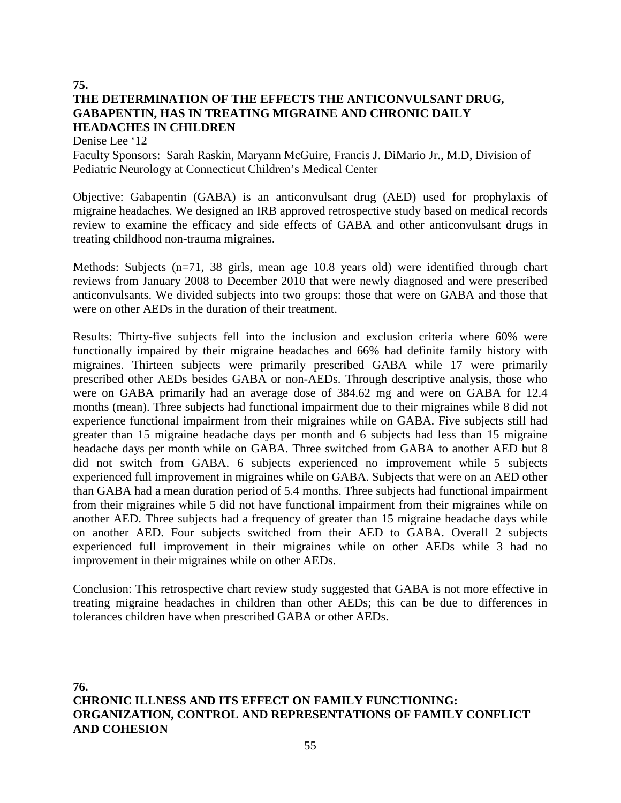# **75. THE DETERMINATION OF THE EFFECTS THE ANTICONVULSANT DRUG, GABAPENTIN, HAS IN TREATING MIGRAINE AND CHRONIC DAILY HEADACHES IN CHILDREN**

Denise Lee '12

Faculty Sponsors: Sarah Raskin, Maryann McGuire, Francis J. DiMario Jr., M.D, Division of Pediatric Neurology at Connecticut Children's Medical Center

Objective: Gabapentin (GABA) is an anticonvulsant drug (AED) used for prophylaxis of migraine headaches. We designed an IRB approved retrospective study based on medical records review to examine the efficacy and side effects of GABA and other anticonvulsant drugs in treating childhood non-trauma migraines.

Methods: Subjects (n=71, 38 girls, mean age 10.8 years old) were identified through chart reviews from January 2008 to December 2010 that were newly diagnosed and were prescribed anticonvulsants. We divided subjects into two groups: those that were on GABA and those that were on other AEDs in the duration of their treatment.

Results: Thirty-five subjects fell into the inclusion and exclusion criteria where 60% were functionally impaired by their migraine headaches and 66% had definite family history with migraines. Thirteen subjects were primarily prescribed GABA while 17 were primarily prescribed other AEDs besides GABA or non-AEDs. Through descriptive analysis, those who were on GABA primarily had an average dose of 384.62 mg and were on GABA for 12.4 months (mean). Three subjects had functional impairment due to their migraines while 8 did not experience functional impairment from their migraines while on GABA. Five subjects still had greater than 15 migraine headache days per month and 6 subjects had less than 15 migraine headache days per month while on GABA. Three switched from GABA to another AED but 8 did not switch from GABA. 6 subjects experienced no improvement while 5 subjects experienced full improvement in migraines while on GABA. Subjects that were on an AED other than GABA had a mean duration period of 5.4 months. Three subjects had functional impairment from their migraines while 5 did not have functional impairment from their migraines while on another AED. Three subjects had a frequency of greater than 15 migraine headache days while on another AED. Four subjects switched from their AED to GABA. Overall 2 subjects experienced full improvement in their migraines while on other AEDs while 3 had no improvement in their migraines while on other AEDs.

Conclusion: This retrospective chart review study suggested that GABA is not more effective in treating migraine headaches in children than other AEDs; this can be due to differences in tolerances children have when prescribed GABA or other AEDs.

**76. CHRONIC ILLNESS AND ITS EFFECT ON FAMILY FUNCTIONING: ORGANIZATION, CONTROL AND REPRESENTATIONS OF FAMILY CONFLICT AND COHESION**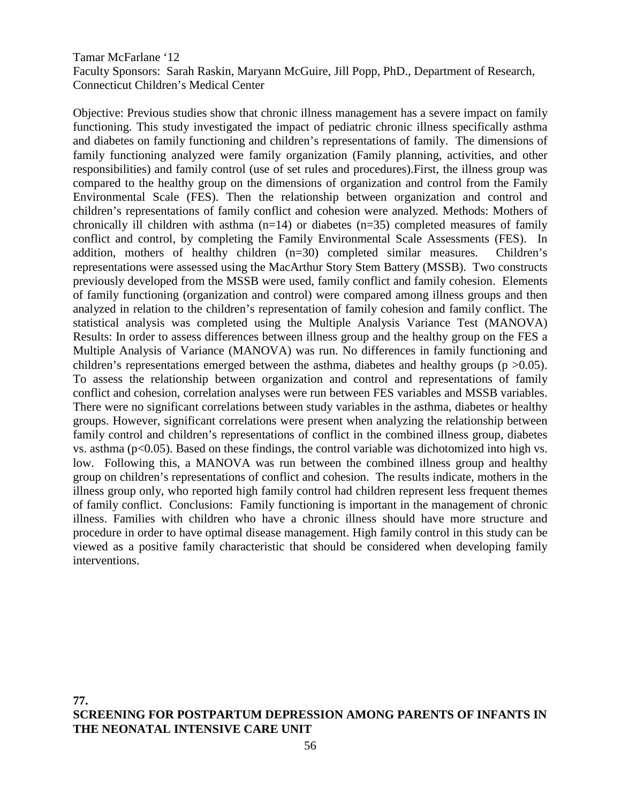Tamar McFarlane '12 Faculty Sponsors: Sarah Raskin, Maryann McGuire, Jill Popp, PhD., Department of Research, Connecticut Children's Medical Center

Objective: Previous studies show that chronic illness management has a severe impact on family functioning. This study investigated the impact of pediatric chronic illness specifically asthma and diabetes on family functioning and children's representations of family. The dimensions of family functioning analyzed were family organization (Family planning, activities, and other responsibilities) and family control (use of set rules and procedures).First, the illness group was compared to the healthy group on the dimensions of organization and control from the Family Environmental Scale (FES). Then the relationship between organization and control and children's representations of family conflict and cohesion were analyzed. Methods: Mothers of chronically ill children with asthma  $(n=14)$  or diabetes  $(n=35)$  completed measures of family conflict and control, by completing the Family Environmental Scale Assessments (FES). In addition, mothers of healthy children (n=30) completed similar measures. Children's representations were assessed using the MacArthur Story Stem Battery (MSSB). Two constructs previously developed from the MSSB were used, family conflict and family cohesion. Elements of family functioning (organization and control) were compared among illness groups and then analyzed in relation to the children's representation of family cohesion and family conflict. The statistical analysis was completed using the Multiple Analysis Variance Test (MANOVA) Results: In order to assess differences between illness group and the healthy group on the FES a Multiple Analysis of Variance (MANOVA) was run. No differences in family functioning and children's representations emerged between the asthma, diabetes and healthy groups ( $p > 0.05$ ). To assess the relationship between organization and control and representations of family conflict and cohesion, correlation analyses were run between FES variables and MSSB variables. There were no significant correlations between study variables in the asthma, diabetes or healthy groups. However, significant correlations were present when analyzing the relationship between family control and children's representations of conflict in the combined illness group, diabetes vs. asthma ( $p<0.05$ ). Based on these findings, the control variable was dichotomized into high vs. low. Following this, a MANOVA was run between the combined illness group and healthy group on children's representations of conflict and cohesion. The results indicate, mothers in the illness group only, who reported high family control had children represent less frequent themes of family conflict. Conclusions: Family functioning is important in the management of chronic illness. Families with children who have a chronic illness should have more structure and procedure in order to have optimal disease management. High family control in this study can be viewed as a positive family characteristic that should be considered when developing family interventions.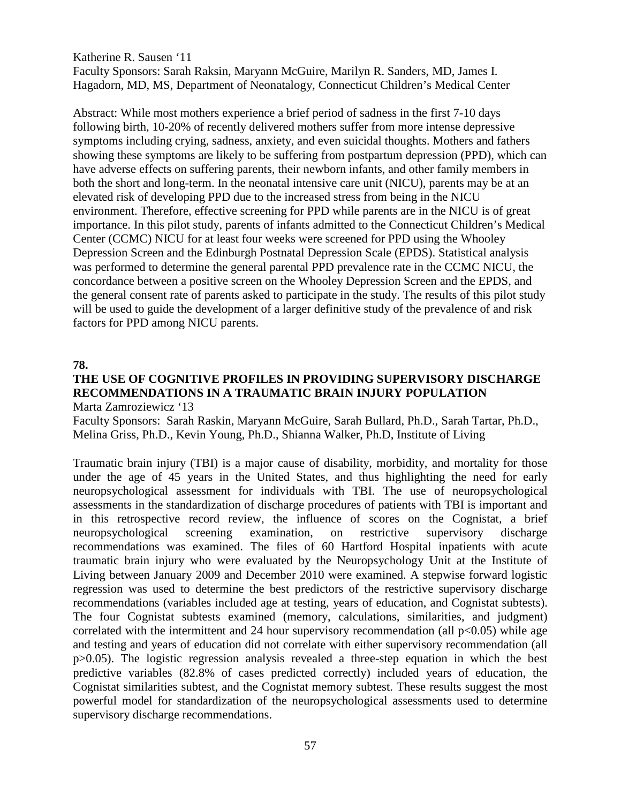Katherine R. Sausen '11 Faculty Sponsors: Sarah Raksin, Maryann McGuire, Marilyn R. Sanders, MD, James I. Hagadorn, MD, MS, Department of Neonatalogy, Connecticut Children's Medical Center

Abstract: While most mothers experience a brief period of sadness in the first 7-10 days following birth, 10-20% of recently delivered mothers suffer from more intense depressive symptoms including crying, sadness, anxiety, and even suicidal thoughts. Mothers and fathers showing these symptoms are likely to be suffering from postpartum depression (PPD), which can have adverse effects on suffering parents, their newborn infants, and other family members in both the short and long-term. In the neonatal intensive care unit (NICU), parents may be at an elevated risk of developing PPD due to the increased stress from being in the NICU environment. Therefore, effective screening for PPD while parents are in the NICU is of great importance. In this pilot study, parents of infants admitted to the Connecticut Children's Medical Center (CCMC) NICU for at least four weeks were screened for PPD using the Whooley Depression Screen and the Edinburgh Postnatal Depression Scale (EPDS). Statistical analysis was performed to determine the general parental PPD prevalence rate in the CCMC NICU, the concordance between a positive screen on the Whooley Depression Screen and the EPDS, and the general consent rate of parents asked to participate in the study. The results of this pilot study will be used to guide the development of a larger definitive study of the prevalence of and risk factors for PPD among NICU parents.

#### **78.**

#### **THE USE OF COGNITIVE PROFILES IN PROVIDING SUPERVISORY DISCHARGE RECOMMENDATIONS IN A TRAUMATIC BRAIN INJURY POPULATION** Marta Zamroziewicz '13

Faculty Sponsors: Sarah Raskin, Maryann McGuire, Sarah Bullard, Ph.D., Sarah Tartar, Ph.D., Melina Griss, Ph.D., Kevin Young, Ph.D., Shianna Walker, Ph.D, Institute of Living

Traumatic brain injury (TBI) is a major cause of disability, morbidity, and mortality for those under the age of 45 years in the United States, and thus highlighting the need for early neuropsychological assessment for individuals with TBI. The use of neuropsychological assessments in the standardization of discharge procedures of patients with TBI is important and in this retrospective record review, the influence of scores on the Cognistat, a brief neuropsychological screening examination, on restrictive supervisory discharge recommendations was examined. The files of 60 Hartford Hospital inpatients with acute traumatic brain injury who were evaluated by the Neuropsychology Unit at the Institute of Living between January 2009 and December 2010 were examined. A stepwise forward logistic regression was used to determine the best predictors of the restrictive supervisory discharge recommendations (variables included age at testing, years of education, and Cognistat subtests). The four Cognistat subtests examined (memory, calculations, similarities, and judgment) correlated with the intermittent and 24 hour supervisory recommendation (all  $p<0.05$ ) while age and testing and years of education did not correlate with either supervisory recommendation (all p>0.05). The logistic regression analysis revealed a three-step equation in which the best predictive variables (82.8% of cases predicted correctly) included years of education, the Cognistat similarities subtest, and the Cognistat memory subtest. These results suggest the most powerful model for standardization of the neuropsychological assessments used to determine supervisory discharge recommendations.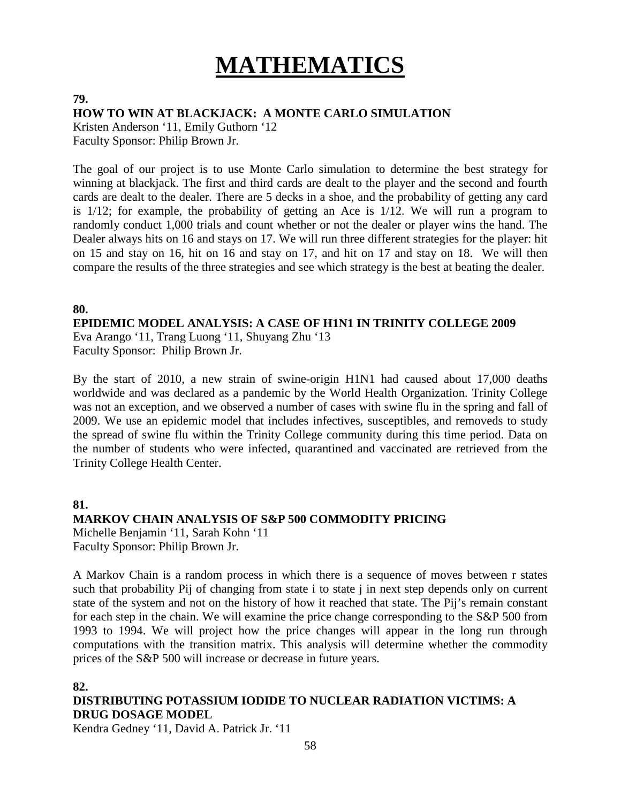# **MATHEMATICS**

### **79.**

# **HOW TO WIN AT BLACKJACK: A MONTE CARLO SIMULATION**

Kristen Anderson '11, Emily Guthorn '12 Faculty Sponsor: Philip Brown Jr.

The goal of our project is to use Monte Carlo simulation to determine the best strategy for winning at blackjack. The first and third cards are dealt to the player and the second and fourth cards are dealt to the dealer. There are 5 decks in a shoe, and the probability of getting any card is 1/12; for example, the probability of getting an Ace is 1/12. We will run a program to randomly conduct 1,000 trials and count whether or not the dealer or player wins the hand. The Dealer always hits on 16 and stays on 17. We will run three different strategies for the player: hit on 15 and stay on 16, hit on 16 and stay on 17, and hit on 17 and stay on 18. We will then compare the results of the three strategies and see which strategy is the best at beating the dealer.

#### **80.**

**EPIDEMIC MODEL ANALYSIS: A CASE OF H1N1 IN TRINITY COLLEGE 2009** Eva Arango '11, Trang Luong '11, Shuyang Zhu '13 Faculty Sponsor: Philip Brown Jr.

By the start of 2010, a new strain of swine-origin H1N1 had caused about 17,000 deaths worldwide and was declared as a pandemic by the World Health Organization. Trinity College was not an exception, and we observed a number of cases with swine flu in the spring and fall of 2009. We use an epidemic model that includes infectives, susceptibles, and removeds to study the spread of swine flu within the Trinity College community during this time period. Data on the number of students who were infected, quarantined and vaccinated are retrieved from the Trinity College Health Center.

# **81.**

### **MARKOV CHAIN ANALYSIS OF S&P 500 COMMODITY PRICING** Michelle Benjamin '11, Sarah Kohn '11 Faculty Sponsor: Philip Brown Jr.

A Markov Chain is a random process in which there is a sequence of moves between r states such that probability Pij of changing from state i to state j in next step depends only on current state of the system and not on the history of how it reached that state. The Pij's remain constant for each step in the chain. We will examine the price change corresponding to the S&P 500 from 1993 to 1994. We will project how the price changes will appear in the long run through computations with the transition matrix. This analysis will determine whether the commodity prices of the S&P 500 will increase or decrease in future years.

#### **82.**

# **DISTRIBUTING POTASSIUM IODIDE TO NUCLEAR RADIATION VICTIMS: A DRUG DOSAGE MODEL**

Kendra Gedney '11, David A. Patrick Jr. '11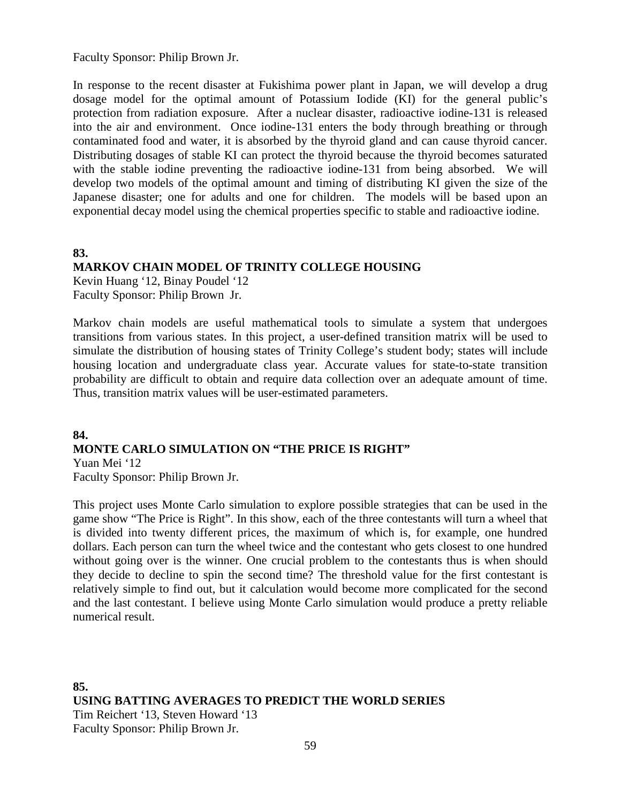Faculty Sponsor: Philip Brown Jr.

In response to the recent disaster at Fukishima power plant in Japan, we will develop a drug dosage model for the optimal amount of Potassium Iodide (KI) for the general public's protection from radiation exposure. After a nuclear disaster, radioactive iodine-131 is released into the air and environment. Once iodine-131 enters the body through breathing or through contaminated food and water, it is absorbed by the thyroid gland and can cause thyroid cancer. Distributing dosages of stable KI can protect the thyroid because the thyroid becomes saturated with the stable iodine preventing the radioactive iodine-131 from being absorbed. We will develop two models of the optimal amount and timing of distributing KI given the size of the Japanese disaster; one for adults and one for children. The models will be based upon an exponential decay model using the chemical properties specific to stable and radioactive iodine.

**83.**

# **MARKOV CHAIN MODEL OF TRINITY COLLEGE HOUSING**

Kevin Huang '12, Binay Poudel '12 Faculty Sponsor: Philip Brown Jr.

Markov chain models are useful mathematical tools to simulate a system that undergoes transitions from various states. In this project, a user-defined transition matrix will be used to simulate the distribution of housing states of Trinity College's student body; states will include housing location and undergraduate class year. Accurate values for state-to-state transition probability are difficult to obtain and require data collection over an adequate amount of time. Thus, transition matrix values will be user-estimated parameters.

#### **84. MONTE CARLO SIMULATION ON "THE PRICE IS RIGHT"** Yuan Mei '12

Faculty Sponsor: Philip Brown Jr.

This project uses Monte Carlo simulation to explore possible strategies that can be used in the game show "The Price is Right". In this show, each of the three contestants will turn a wheel that is divided into twenty different prices, the maximum of which is, for example, one hundred dollars. Each person can turn the wheel twice and the contestant who gets closest to one hundred without going over is the winner. One crucial problem to the contestants thus is when should they decide to decline to spin the second time? The threshold value for the first contestant is relatively simple to find out, but it calculation would become more complicated for the second and the last contestant. I believe using Monte Carlo simulation would produce a pretty reliable numerical result.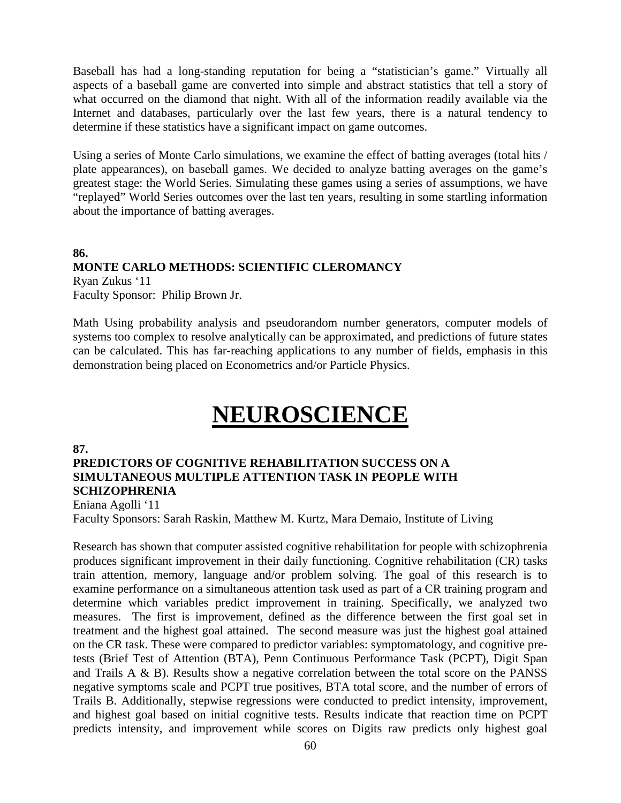Baseball has had a long-standing reputation for being a "statistician's game." Virtually all aspects of a baseball game are converted into simple and abstract statistics that tell a story of what occurred on the diamond that night. With all of the information readily available via the Internet and databases, particularly over the last few years, there is a natural tendency to determine if these statistics have a significant impact on game outcomes.

Using a series of Monte Carlo simulations, we examine the effect of batting averages (total hits / plate appearances), on baseball games. We decided to analyze batting averages on the game's greatest stage: the World Series. Simulating these games using a series of assumptions, we have "replayed" World Series outcomes over the last ten years, resulting in some startling information about the importance of batting averages.

**86. MONTE CARLO METHODS: SCIENTIFIC CLEROMANCY**  Ryan Zukus '11 Faculty Sponsor: Philip Brown Jr.

Math Using probability analysis and pseudorandom number generators, computer models of systems too complex to resolve analytically can be approximated, and predictions of future states can be calculated. This has far-reaching applications to any number of fields, emphasis in this demonstration being placed on Econometrics and/or Particle Physics.

# **NEUROSCIENCE**

#### **87.**

# **PREDICTORS OF COGNITIVE REHABILITATION SUCCESS ON A SIMULTANEOUS MULTIPLE ATTENTION TASK IN PEOPLE WITH SCHIZOPHRENIA**

Eniana Agolli '11

Faculty Sponsors: Sarah Raskin, Matthew M. Kurtz, Mara Demaio, Institute of Living

Research has shown that computer assisted cognitive rehabilitation for people with schizophrenia produces significant improvement in their daily functioning. Cognitive rehabilitation (CR) tasks train attention, memory, language and/or problem solving. The goal of this research is to examine performance on a simultaneous attention task used as part of a CR training program and determine which variables predict improvement in training. Specifically, we analyzed two measures. The first is improvement, defined as the difference between the first goal set in treatment and the highest goal attained. The second measure was just the highest goal attained on the CR task. These were compared to predictor variables: symptomatology, and cognitive pretests (Brief Test of Attention (BTA), Penn Continuous Performance Task (PCPT), Digit Span and Trails A & B). Results show a negative correlation between the total score on the PANSS negative symptoms scale and PCPT true positives, BTA total score, and the number of errors of Trails B. Additionally, stepwise regressions were conducted to predict intensity, improvement, and highest goal based on initial cognitive tests. Results indicate that reaction time on PCPT predicts intensity, and improvement while scores on Digits raw predicts only highest goal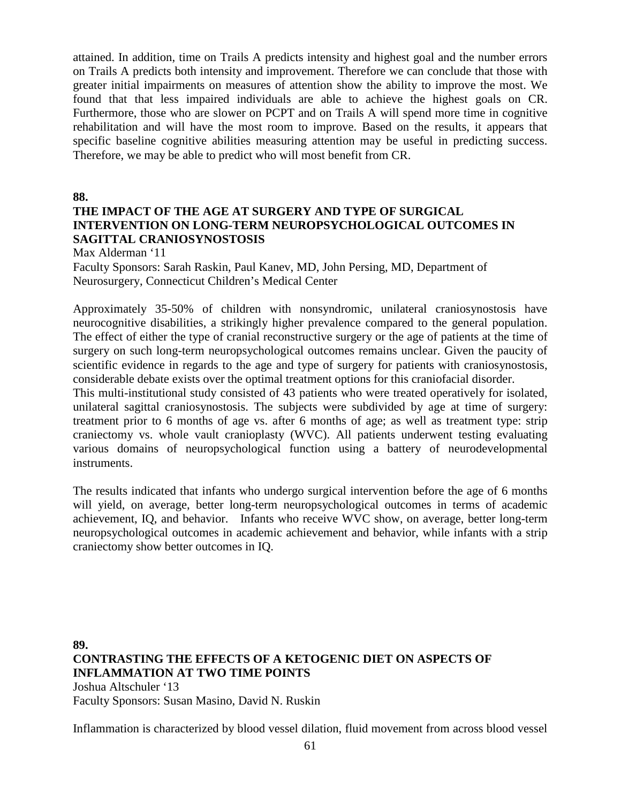attained. In addition, time on Trails A predicts intensity and highest goal and the number errors on Trails A predicts both intensity and improvement. Therefore we can conclude that those with greater initial impairments on measures of attention show the ability to improve the most. We found that that less impaired individuals are able to achieve the highest goals on CR. Furthermore, those who are slower on PCPT and on Trails A will spend more time in cognitive rehabilitation and will have the most room to improve. Based on the results, it appears that specific baseline cognitive abilities measuring attention may be useful in predicting success. Therefore, we may be able to predict who will most benefit from CR.

#### **88.**

### **THE IMPACT OF THE AGE AT SURGERY AND TYPE OF SURGICAL INTERVENTION ON LONG-TERM NEUROPSYCHOLOGICAL OUTCOMES IN SAGITTAL CRANIOSYNOSTOSIS**

Max Alderman '11

Faculty Sponsors: Sarah Raskin, Paul Kanev, MD, John Persing, MD, Department of Neurosurgery, Connecticut Children's Medical Center

Approximately 35-50% of children with nonsyndromic, unilateral craniosynostosis have neurocognitive disabilities, a strikingly higher prevalence compared to the general population. The effect of either the type of cranial reconstructive surgery or the age of patients at the time of surgery on such long-term neuropsychological outcomes remains unclear. Given the paucity of scientific evidence in regards to the age and type of surgery for patients with craniosynostosis, considerable debate exists over the optimal treatment options for this craniofacial disorder.

This multi-institutional study consisted of 43 patients who were treated operatively for isolated, unilateral sagittal craniosynostosis. The subjects were subdivided by age at time of surgery: treatment prior to 6 months of age vs. after 6 months of age; as well as treatment type: strip craniectomy vs. whole vault cranioplasty (WVC). All patients underwent testing evaluating various domains of neuropsychological function using a battery of neurodevelopmental instruments.

The results indicated that infants who undergo surgical intervention before the age of 6 months will yield, on average, better long-term neuropsychological outcomes in terms of academic achievement, IQ, and behavior. Infants who receive WVC show, on average, better long-term neuropsychological outcomes in academic achievement and behavior, while infants with a strip craniectomy show better outcomes in IQ.

**89. CONTRASTING THE EFFECTS OF A KETOGENIC DIET ON ASPECTS OF INFLAMMATION AT TWO TIME POINTS**  Joshua Altschuler '13 Faculty Sponsors: Susan Masino, David N. Ruskin

Inflammation is characterized by blood vessel dilation, fluid movement from across blood vessel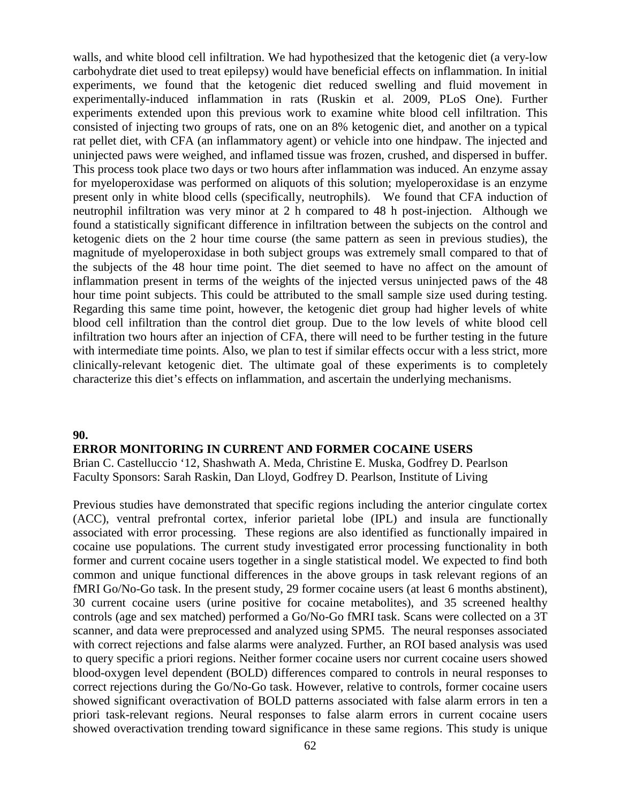walls, and white blood cell infiltration. We had hypothesized that the ketogenic diet (a very-low carbohydrate diet used to treat epilepsy) would have beneficial effects on inflammation. In initial experiments, we found that the ketogenic diet reduced swelling and fluid movement in experimentally-induced inflammation in rats (Ruskin et al. 2009, PLoS One). Further experiments extended upon this previous work to examine white blood cell infiltration. This consisted of injecting two groups of rats, one on an 8% ketogenic diet, and another on a typical rat pellet diet, with CFA (an inflammatory agent) or vehicle into one hindpaw. The injected and uninjected paws were weighed, and inflamed tissue was frozen, crushed, and dispersed in buffer. This process took place two days or two hours after inflammation was induced. An enzyme assay for myeloperoxidase was performed on aliquots of this solution; myeloperoxidase is an enzyme present only in white blood cells (specifically, neutrophils). We found that CFA induction of neutrophil infiltration was very minor at 2 h compared to 48 h post-injection. Although we found a statistically significant difference in infiltration between the subjects on the control and ketogenic diets on the 2 hour time course (the same pattern as seen in previous studies), the magnitude of myeloperoxidase in both subject groups was extremely small compared to that of the subjects of the 48 hour time point. The diet seemed to have no affect on the amount of inflammation present in terms of the weights of the injected versus uninjected paws of the 48 hour time point subjects. This could be attributed to the small sample size used during testing. Regarding this same time point, however, the ketogenic diet group had higher levels of white blood cell infiltration than the control diet group. Due to the low levels of white blood cell infiltration two hours after an injection of CFA, there will need to be further testing in the future with intermediate time points. Also, we plan to test if similar effects occur with a less strict, more clinically-relevant ketogenic diet. The ultimate goal of these experiments is to completely characterize this diet's effects on inflammation, and ascertain the underlying mechanisms.

#### **90.**

#### **ERROR MONITORING IN CURRENT AND FORMER COCAINE USERS**

Brian C. Castelluccio '12, Shashwath A. Meda, Christine E. Muska, Godfrey D. Pearlson Faculty Sponsors: Sarah Raskin, Dan Lloyd, Godfrey D. Pearlson, Institute of Living

Previous studies have demonstrated that specific regions including the anterior cingulate cortex (ACC), ventral prefrontal cortex, inferior parietal lobe (IPL) and insula are functionally associated with error processing. These regions are also identified as functionally impaired in cocaine use populations. The current study investigated error processing functionality in both former and current cocaine users together in a single statistical model. We expected to find both common and unique functional differences in the above groups in task relevant regions of an fMRI Go/No-Go task. In the present study, 29 former cocaine users (at least 6 months abstinent), 30 current cocaine users (urine positive for cocaine metabolites), and 35 screened healthy controls (age and sex matched) performed a Go/No-Go fMRI task. Scans were collected on a 3T scanner, and data were preprocessed and analyzed using SPM5. The neural responses associated with correct rejections and false alarms were analyzed. Further, an ROI based analysis was used to query specific a priori regions. Neither former cocaine users nor current cocaine users showed blood-oxygen level dependent (BOLD) differences compared to controls in neural responses to correct rejections during the Go/No-Go task. However, relative to controls, former cocaine users showed significant overactivation of BOLD patterns associated with false alarm errors in ten a priori task-relevant regions. Neural responses to false alarm errors in current cocaine users showed overactivation trending toward significance in these same regions. This study is unique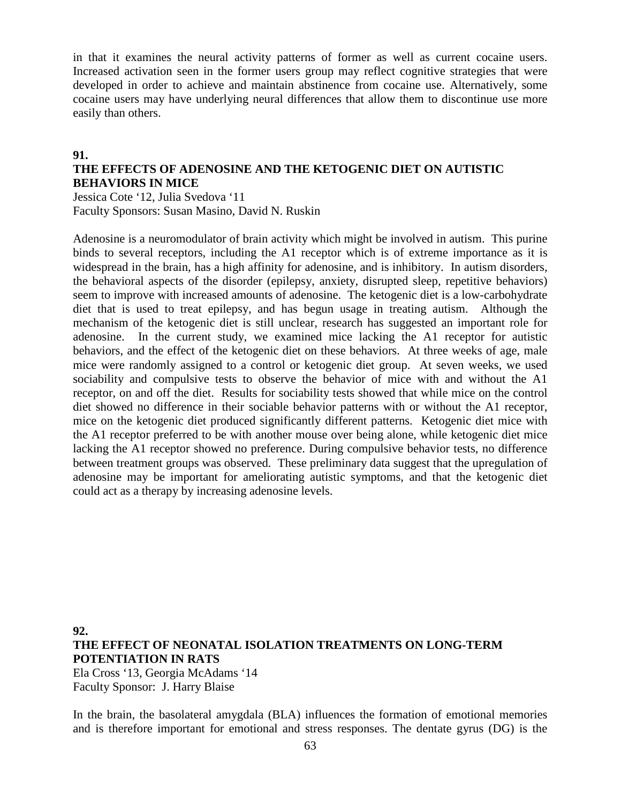in that it examines the neural activity patterns of former as well as current cocaine users. Increased activation seen in the former users group may reflect cognitive strategies that were developed in order to achieve and maintain abstinence from cocaine use. Alternatively, some cocaine users may have underlying neural differences that allow them to discontinue use more easily than others.

#### **91.**

# **THE EFFECTS OF ADENOSINE AND THE KETOGENIC DIET ON AUTISTIC BEHAVIORS IN MICE**

Jessica Cote '12, Julia Svedova '11 Faculty Sponsors: Susan Masino, David N. Ruskin

Adenosine is a neuromodulator of brain activity which might be involved in autism. This purine binds to several receptors, including the A1 receptor which is of extreme importance as it is widespread in the brain, has a high affinity for adenosine, and is inhibitory. In autism disorders, the behavioral aspects of the disorder (epilepsy, anxiety, disrupted sleep, repetitive behaviors) seem to improve with increased amounts of adenosine. The ketogenic diet is a low-carbohydrate diet that is used to treat epilepsy, and has begun usage in treating autism. Although the mechanism of the ketogenic diet is still unclear, research has suggested an important role for adenosine. In the current study, we examined mice lacking the A1 receptor for autistic behaviors, and the effect of the ketogenic diet on these behaviors. At three weeks of age, male mice were randomly assigned to a control or ketogenic diet group. At seven weeks, we used sociability and compulsive tests to observe the behavior of mice with and without the A1 receptor, on and off the diet. Results for sociability tests showed that while mice on the control diet showed no difference in their sociable behavior patterns with or without the A1 receptor, mice on the ketogenic diet produced significantly different patterns. Ketogenic diet mice with the A1 receptor preferred to be with another mouse over being alone, while ketogenic diet mice lacking the A1 receptor showed no preference. During compulsive behavior tests, no difference between treatment groups was observed. These preliminary data suggest that the upregulation of adenosine may be important for ameliorating autistic symptoms, and that the ketogenic diet could act as a therapy by increasing adenosine levels.

# **92. THE EFFECT OF NEONATAL ISOLATION TREATMENTS ON LONG-TERM POTENTIATION IN RATS**

Ela Cross '13, Georgia McAdams '14 Faculty Sponsor: J. Harry Blaise

In the brain, the basolateral amygdala (BLA) influences the formation of emotional memories and is therefore important for emotional and stress responses. The dentate gyrus (DG) is the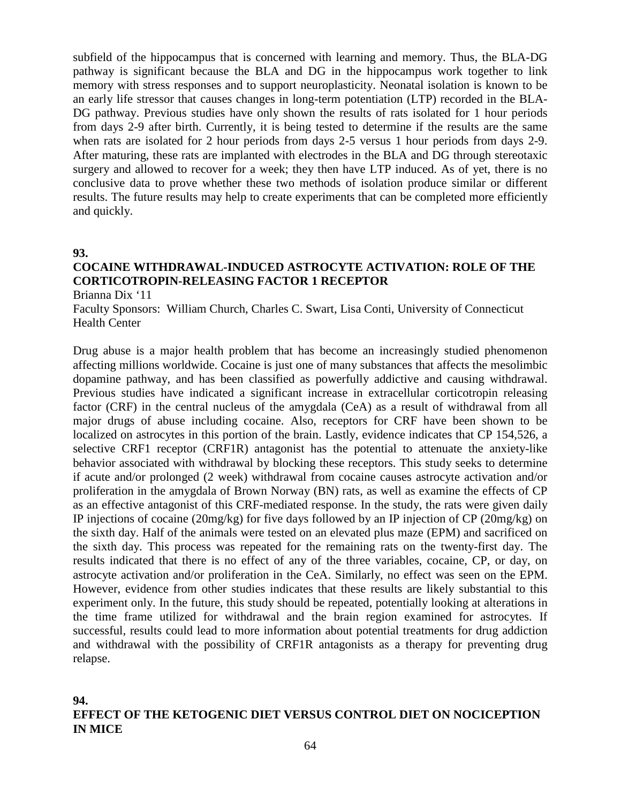subfield of the hippocampus that is concerned with learning and memory. Thus, the BLA-DG pathway is significant because the BLA and DG in the hippocampus work together to link memory with stress responses and to support neuroplasticity. Neonatal isolation is known to be an early life stressor that causes changes in long-term potentiation (LTP) recorded in the BLA-DG pathway. Previous studies have only shown the results of rats isolated for 1 hour periods from days 2-9 after birth. Currently, it is being tested to determine if the results are the same when rats are isolated for 2 hour periods from days 2-5 versus 1 hour periods from days 2-9. After maturing, these rats are implanted with electrodes in the BLA and DG through stereotaxic surgery and allowed to recover for a week; they then have LTP induced. As of yet, there is no conclusive data to prove whether these two methods of isolation produce similar or different results. The future results may help to create experiments that can be completed more efficiently and quickly.

#### **93.**

# **COCAINE WITHDRAWAL-INDUCED ASTROCYTE ACTIVATION: ROLE OF THE CORTICOTROPIN-RELEASING FACTOR 1 RECEPTOR**

Brianna Dix '11

Faculty Sponsors: William Church, Charles C. Swart, Lisa Conti, University of Connecticut Health Center

Drug abuse is a major health problem that has become an increasingly studied phenomenon affecting millions worldwide. Cocaine is just one of many substances that affects the mesolimbic dopamine pathway, and has been classified as powerfully addictive and causing withdrawal. Previous studies have indicated a significant increase in extracellular corticotropin releasing factor (CRF) in the central nucleus of the amygdala (CeA) as a result of withdrawal from all major drugs of abuse including cocaine. Also, receptors for CRF have been shown to be localized on astrocytes in this portion of the brain. Lastly, evidence indicates that CP 154,526, a selective CRF1 receptor (CRF1R) antagonist has the potential to attenuate the anxiety-like behavior associated with withdrawal by blocking these receptors. This study seeks to determine if acute and/or prolonged (2 week) withdrawal from cocaine causes astrocyte activation and/or proliferation in the amygdala of Brown Norway (BN) rats, as well as examine the effects of CP as an effective antagonist of this CRF-mediated response. In the study, the rats were given daily IP injections of cocaine (20mg/kg) for five days followed by an IP injection of CP (20mg/kg) on the sixth day. Half of the animals were tested on an elevated plus maze (EPM) and sacrificed on the sixth day. This process was repeated for the remaining rats on the twenty-first day. The results indicated that there is no effect of any of the three variables, cocaine, CP, or day, on astrocyte activation and/or proliferation in the CeA. Similarly, no effect was seen on the EPM. However, evidence from other studies indicates that these results are likely substantial to this experiment only. In the future, this study should be repeated, potentially looking at alterations in the time frame utilized for withdrawal and the brain region examined for astrocytes. If successful, results could lead to more information about potential treatments for drug addiction and withdrawal with the possibility of CRF1R antagonists as a therapy for preventing drug relapse.

#### **94. EFFECT OF THE KETOGENIC DIET VERSUS CONTROL DIET ON NOCICEPTION IN MICE**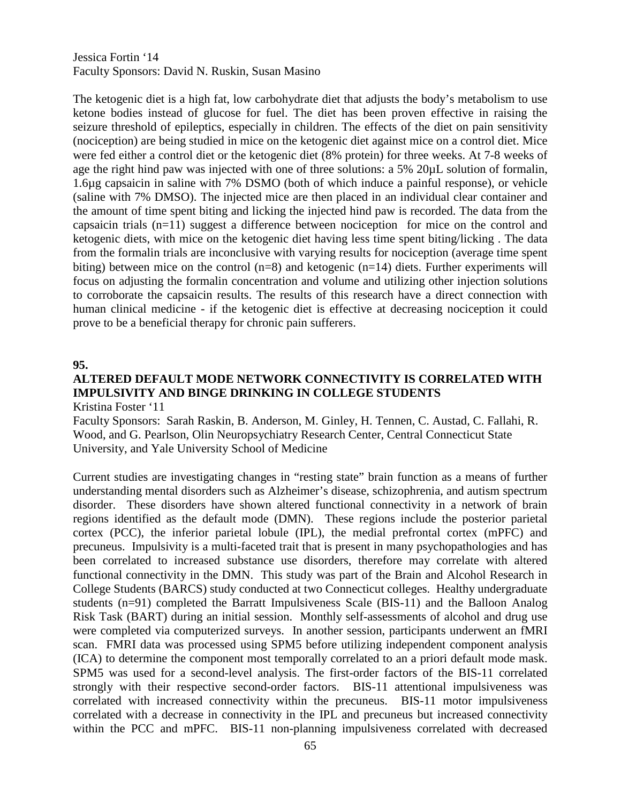Jessica Fortin '14 Faculty Sponsors: David N. Ruskin, Susan Masino

The ketogenic diet is a high fat, low carbohydrate diet that adjusts the body's metabolism to use ketone bodies instead of glucose for fuel. The diet has been proven effective in raising the seizure threshold of epileptics, especially in children. The effects of the diet on pain sensitivity (nociception) are being studied in mice on the ketogenic diet against mice on a control diet. Mice were fed either a control diet or the ketogenic diet (8% protein) for three weeks. At 7-8 weeks of age the right hind paw was injected with one of three solutions: a 5% 20µL solution of formalin, 1.6µg capsaicin in saline with 7% DSMO (both of which induce a painful response), or vehicle (saline with 7% DMSO). The injected mice are then placed in an individual clear container and the amount of time spent biting and licking the injected hind paw is recorded. The data from the capsaicin trials (n=11) suggest a difference between nociception for mice on the control and ketogenic diets, with mice on the ketogenic diet having less time spent biting/licking . The data from the formalin trials are inconclusive with varying results for nociception (average time spent biting) between mice on the control  $(n=8)$  and ketogenic  $(n=14)$  diets. Further experiments will focus on adjusting the formalin concentration and volume and utilizing other injection solutions to corroborate the capsaicin results. The results of this research have a direct connection with human clinical medicine - if the ketogenic diet is effective at decreasing nociception it could prove to be a beneficial therapy for chronic pain sufferers.

#### **95.**

#### **ALTERED DEFAULT MODE NETWORK CONNECTIVITY IS CORRELATED WITH IMPULSIVITY AND BINGE DRINKING IN COLLEGE STUDENTS** Kristina Foster '11

Faculty Sponsors: Sarah Raskin, B. Anderson, M. Ginley, H. Tennen, C. Austad, C. Fallahi, R. Wood, and G. Pearlson, Olin Neuropsychiatry Research Center, Central Connecticut State University, and Yale University School of Medicine

Current studies are investigating changes in "resting state" brain function as a means of further understanding mental disorders such as Alzheimer's disease, schizophrenia, and autism spectrum disorder. These disorders have shown altered functional connectivity in a network of brain regions identified as the default mode (DMN). These regions include the posterior parietal cortex (PCC), the inferior parietal lobule (IPL), the medial prefrontal cortex (mPFC) and precuneus. Impulsivity is a multi-faceted trait that is present in many psychopathologies and has been correlated to increased substance use disorders, therefore may correlate with altered functional connectivity in the DMN. This study was part of the Brain and Alcohol Research in College Students (BARCS) study conducted at two Connecticut colleges. Healthy undergraduate students (n=91) completed the Barratt Impulsiveness Scale (BIS-11) and the Balloon Analog Risk Task (BART) during an initial session. Monthly self-assessments of alcohol and drug use were completed via computerized surveys. In another session, participants underwent an fMRI scan. FMRI data was processed using SPM5 before utilizing independent component analysis (ICA) to determine the component most temporally correlated to an a priori default mode mask. SPM5 was used for a second-level analysis. The first-order factors of the BIS-11 correlated strongly with their respective second-order factors. BIS-11 attentional impulsiveness was correlated with increased connectivity within the precuneus. BIS-11 motor impulsiveness correlated with a decrease in connectivity in the IPL and precuneus but increased connectivity within the PCC and mPFC. BIS-11 non-planning impulsiveness correlated with decreased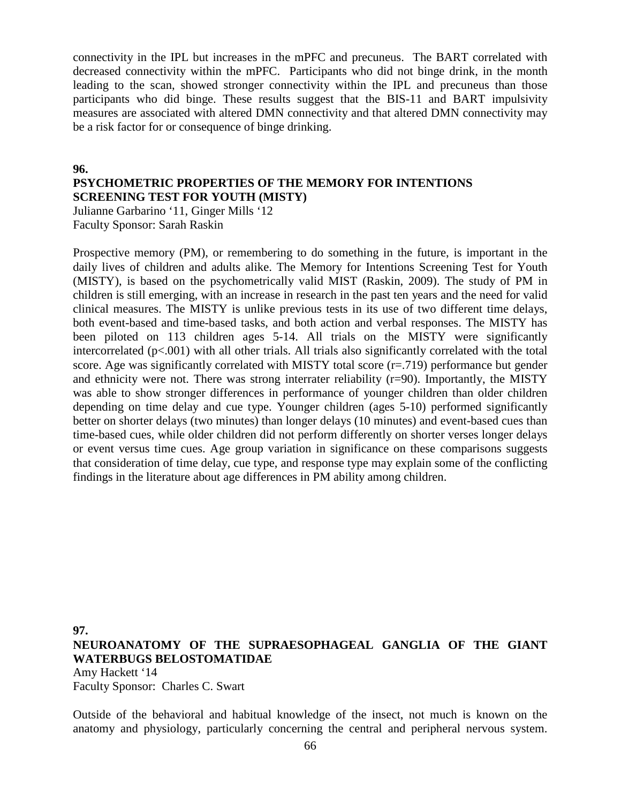connectivity in the IPL but increases in the mPFC and precuneus. The BART correlated with decreased connectivity within the mPFC. Participants who did not binge drink, in the month leading to the scan, showed stronger connectivity within the IPL and precuneus than those participants who did binge. These results suggest that the BIS-11 and BART impulsivity measures are associated with altered DMN connectivity and that altered DMN connectivity may be a risk factor for or consequence of binge drinking.

#### **96.**

**PSYCHOMETRIC PROPERTIES OF THE MEMORY FOR INTENTIONS SCREENING TEST FOR YOUTH (MISTY)**

Julianne Garbarino '11, Ginger Mills '12 Faculty Sponsor: Sarah Raskin

Prospective memory (PM), or remembering to do something in the future, is important in the daily lives of children and adults alike. The Memory for Intentions Screening Test for Youth (MISTY), is based on the psychometrically valid MIST (Raskin, 2009). The study of PM in children is still emerging, with an increase in research in the past ten years and the need for valid clinical measures. The MISTY is unlike previous tests in its use of two different time delays, both event-based and time-based tasks, and both action and verbal responses. The MISTY has been piloted on 113 children ages 5-14. All trials on the MISTY were significantly intercorrelated (p<.001) with all other trials. All trials also significantly correlated with the total score. Age was significantly correlated with MISTY total score (r=.719) performance but gender and ethnicity were not. There was strong interrater reliability  $(r=90)$ . Importantly, the MISTY was able to show stronger differences in performance of younger children than older children depending on time delay and cue type. Younger children (ages 5-10) performed significantly better on shorter delays (two minutes) than longer delays (10 minutes) and event-based cues than time-based cues, while older children did not perform differently on shorter verses longer delays or event versus time cues. Age group variation in significance on these comparisons suggests that consideration of time delay, cue type, and response type may explain some of the conflicting findings in the literature about age differences in PM ability among children.

# **97. NEUROANATOMY OF THE SUPRAESOPHAGEAL GANGLIA OF THE GIANT WATERBUGS BELOSTOMATIDAE** Amy Hackett '14

Faculty Sponsor: Charles C. Swart

Outside of the behavioral and habitual knowledge of the insect, not much is known on the anatomy and physiology, particularly concerning the central and peripheral nervous system.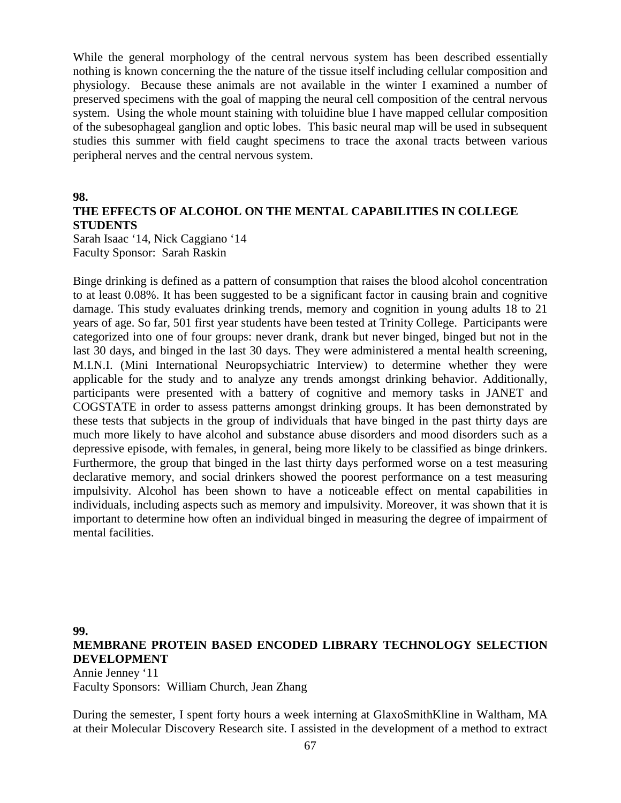While the general morphology of the central nervous system has been described essentially nothing is known concerning the the nature of the tissue itself including cellular composition and physiology. Because these animals are not available in the winter I examined a number of preserved specimens with the goal of mapping the neural cell composition of the central nervous system. Using the whole mount staining with toluidine blue I have mapped cellular composition of the subesophageal ganglion and optic lobes. This basic neural map will be used in subsequent studies this summer with field caught specimens to trace the axonal tracts between various peripheral nerves and the central nervous system.

#### **98.**

### **THE EFFECTS OF ALCOHOL ON THE MENTAL CAPABILITIES IN COLLEGE STUDENTS**

Sarah Isaac '14, Nick Caggiano '14 Faculty Sponsor: Sarah Raskin

Binge drinking is defined as a pattern of consumption that raises the blood alcohol concentration to at least 0.08%. It has been suggested to be a significant factor in causing brain and cognitive damage. This study evaluates drinking trends, memory and cognition in young adults 18 to 21 years of age. So far, 501 first year students have been tested at Trinity College. Participants were categorized into one of four groups: never drank, drank but never binged, binged but not in the last 30 days, and binged in the last 30 days. They were administered a mental health screening, M.I.N.I. (Mini International Neuropsychiatric Interview) to determine whether they were applicable for the study and to analyze any trends amongst drinking behavior. Additionally, participants were presented with a battery of cognitive and memory tasks in JANET and COGSTATE in order to assess patterns amongst drinking groups. It has been demonstrated by these tests that subjects in the group of individuals that have binged in the past thirty days are much more likely to have alcohol and substance abuse disorders and mood disorders such as a depressive episode, with females, in general, being more likely to be classified as binge drinkers. Furthermore, the group that binged in the last thirty days performed worse on a test measuring declarative memory, and social drinkers showed the poorest performance on a test measuring impulsivity. Alcohol has been shown to have a noticeable effect on mental capabilities in individuals, including aspects such as memory and impulsivity. Moreover, it was shown that it is important to determine how often an individual binged in measuring the degree of impairment of mental facilities.

# **99. MEMBRANE PROTEIN BASED ENCODED LIBRARY TECHNOLOGY SELECTION DEVELOPMENT**

Annie Jenney '11 Faculty Sponsors: William Church, Jean Zhang

During the semester, I spent forty hours a week interning at GlaxoSmithKline in Waltham, MA at their Molecular Discovery Research site. I assisted in the development of a method to extract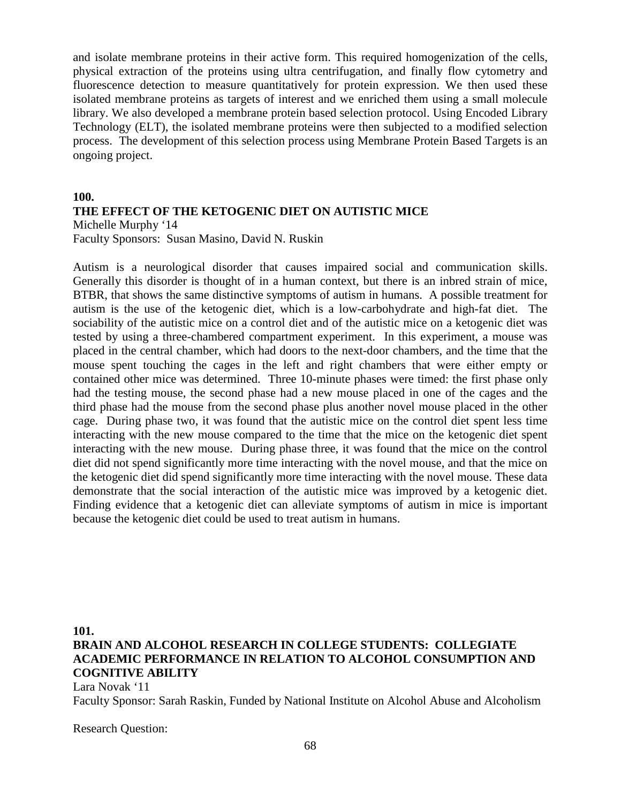and isolate membrane proteins in their active form. This required homogenization of the cells, physical extraction of the proteins using ultra centrifugation, and finally flow cytometry and fluorescence detection to measure quantitatively for protein expression. We then used these isolated membrane proteins as targets of interest and we enriched them using a small molecule library. We also developed a membrane protein based selection protocol. Using Encoded Library Technology (ELT), the isolated membrane proteins were then subjected to a modified selection process. The development of this selection process using Membrane Protein Based Targets is an ongoing project.

#### **100.**

#### **THE EFFECT OF THE KETOGENIC DIET ON AUTISTIC MICE**

Michelle Murphy '14

Faculty Sponsors: Susan Masino, David N. Ruskin

Autism is a neurological disorder that causes impaired social and communication skills. Generally this disorder is thought of in a human context, but there is an inbred strain of mice, BTBR, that shows the same distinctive symptoms of autism in humans. A possible treatment for autism is the use of the ketogenic diet, which is a low-carbohydrate and high-fat diet. The sociability of the autistic mice on a control diet and of the autistic mice on a ketogenic diet was tested by using a three-chambered compartment experiment. In this experiment, a mouse was placed in the central chamber, which had doors to the next-door chambers, and the time that the mouse spent touching the cages in the left and right chambers that were either empty or contained other mice was determined. Three 10-minute phases were timed: the first phase only had the testing mouse, the second phase had a new mouse placed in one of the cages and the third phase had the mouse from the second phase plus another novel mouse placed in the other cage. During phase two, it was found that the autistic mice on the control diet spent less time interacting with the new mouse compared to the time that the mice on the ketogenic diet spent interacting with the new mouse. During phase three, it was found that the mice on the control diet did not spend significantly more time interacting with the novel mouse, and that the mice on the ketogenic diet did spend significantly more time interacting with the novel mouse. These data demonstrate that the social interaction of the autistic mice was improved by a ketogenic diet. Finding evidence that a ketogenic diet can alleviate symptoms of autism in mice is important because the ketogenic diet could be used to treat autism in humans.

**101.**

# **BRAIN AND ALCOHOL RESEARCH IN COLLEGE STUDENTS: COLLEGIATE ACADEMIC PERFORMANCE IN RELATION TO ALCOHOL CONSUMPTION AND COGNITIVE ABILITY**

Lara Novak '11 Faculty Sponsor: Sarah Raskin, Funded by National Institute on Alcohol Abuse and Alcoholism

Research Question: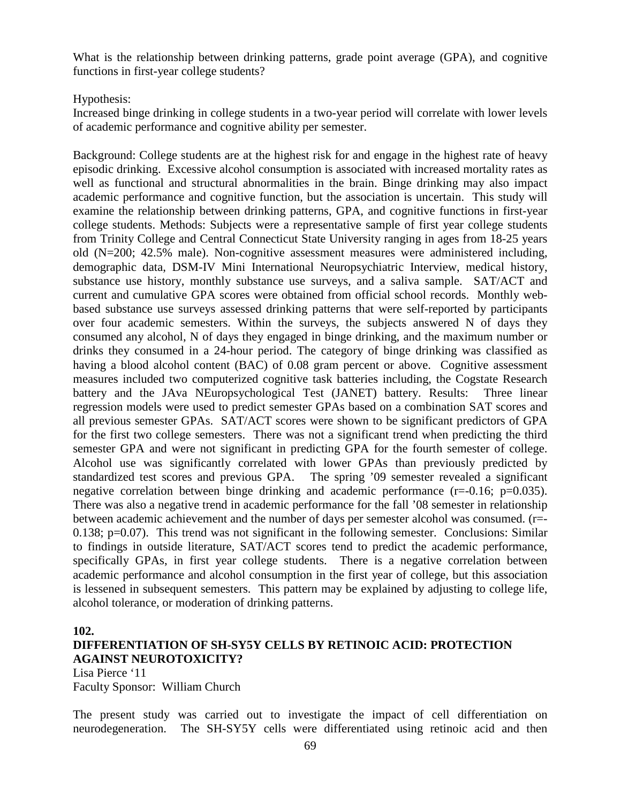What is the relationship between drinking patterns, grade point average (GPA), and cognitive functions in first-year college students?

Hypothesis:

Increased binge drinking in college students in a two-year period will correlate with lower levels of academic performance and cognitive ability per semester.

Background: College students are at the highest risk for and engage in the highest rate of heavy episodic drinking. Excessive alcohol consumption is associated with increased mortality rates as well as functional and structural abnormalities in the brain. Binge drinking may also impact academic performance and cognitive function, but the association is uncertain. This study will examine the relationship between drinking patterns, GPA, and cognitive functions in first-year college students. Methods: Subjects were a representative sample of first year college students from Trinity College and Central Connecticut State University ranging in ages from 18-25 years old (N=200; 42.5% male). Non-cognitive assessment measures were administered including, demographic data, DSM-IV Mini International Neuropsychiatric Interview, medical history, substance use history, monthly substance use surveys, and a saliva sample. SAT/ACT and current and cumulative GPA scores were obtained from official school records. Monthly webbased substance use surveys assessed drinking patterns that were self-reported by participants over four academic semesters. Within the surveys, the subjects answered N of days they consumed any alcohol, N of days they engaged in binge drinking, and the maximum number or drinks they consumed in a 24-hour period. The category of binge drinking was classified as having a blood alcohol content (BAC) of 0.08 gram percent or above. Cognitive assessment measures included two computerized cognitive task batteries including, the Cogstate Research battery and the JAva NEuropsychological Test (JANET) battery. Results: Three linear regression models were used to predict semester GPAs based on a combination SAT scores and all previous semester GPAs. SAT/ACT scores were shown to be significant predictors of GPA for the first two college semesters. There was not a significant trend when predicting the third semester GPA and were not significant in predicting GPA for the fourth semester of college. Alcohol use was significantly correlated with lower GPAs than previously predicted by standardized test scores and previous GPA. The spring '09 semester revealed a significant negative correlation between binge drinking and academic performance (r=-0.16; p=0.035). There was also a negative trend in academic performance for the fall '08 semester in relationship between academic achievement and the number of days per semester alcohol was consumed. (r=- 0.138;  $p=0.07$ ). This trend was not significant in the following semester. Conclusions: Similar to findings in outside literature, SAT/ACT scores tend to predict the academic performance, specifically GPAs, in first year college students. There is a negative correlation between academic performance and alcohol consumption in the first year of college, but this association is lessened in subsequent semesters. This pattern may be explained by adjusting to college life, alcohol tolerance, or moderation of drinking patterns.

**102.**

# **DIFFERENTIATION OF SH-SY5Y CELLS BY RETINOIC ACID: PROTECTION AGAINST NEUROTOXICITY?**

Lisa Pierce '11 Faculty Sponsor: William Church

The present study was carried out to investigate the impact of cell differentiation on neurodegeneration. The SH-SY5Y cells were differentiated using retinoic acid and then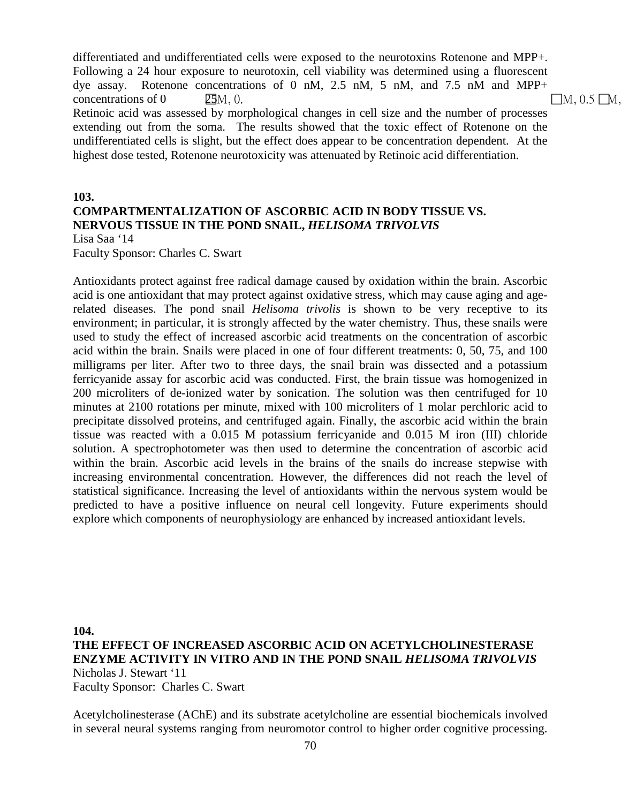differentiated and undifferentiated cells were exposed to the neurotoxins Rotenone and MPP+. Following a 24 hour exposure to neurotoxin, cell viability was determined using a fluorescent dye assay. Rotenone concentrations of 0 nM, 2.5 nM, 5 nM, and 7.5 nM and MPP+ concentrations of 0  $25M$ , 0. Retinoic acid was assessed by morphological changes in cell size and the number of processes extending out from the soma. The results showed that the toxic effect of Rotenone on the undifferentiated cells is slight, but the effect does appear to be concentration dependent. At the highest dose tested, Rotenone neurotoxicity was attenuated by Retinoic acid differentiation.

### **103. COMPARTMENTALIZATION OF ASCORBIC ACID IN BODY TISSUE VS. NERVOUS TISSUE IN THE POND SNAIL,** *HELISOMA TRIVOLVIS*

Lisa Saa '14

Faculty Sponsor: Charles C. Swart

Antioxidants protect against free radical damage caused by oxidation within the brain. Ascorbic acid is one antioxidant that may protect against oxidative stress, which may cause aging and agerelated diseases. The pond snail *Helisoma trivolis* is shown to be very receptive to its environment; in particular, it is strongly affected by the water chemistry. Thus, these snails were used to study the effect of increased ascorbic acid treatments on the concentration of ascorbic acid within the brain. Snails were placed in one of four different treatments: 0, 50, 75, and 100 milligrams per liter. After two to three days, the snail brain was dissected and a potassium ferricyanide assay for ascorbic acid was conducted. First, the brain tissue was homogenized in 200 microliters of de-ionized water by sonication. The solution was then centrifuged for 10 minutes at 2100 rotations per minute, mixed with 100 microliters of 1 molar perchloric acid to precipitate dissolved proteins, and centrifuged again. Finally, the ascorbic acid within the brain tissue was reacted with a 0.015 M potassium ferricyanide and 0.015 M iron (III) chloride solution. A spectrophotometer was then used to determine the concentration of ascorbic acid within the brain. Ascorbic acid levels in the brains of the snails do increase stepwise with increasing environmental concentration. However, the differences did not reach the level of statistical significance. Increasing the level of antioxidants within the nervous system would be predicted to have a positive influence on neural cell longevity. Future experiments should explore which components of neurophysiology are enhanced by increased antioxidant levels.

**104. THE EFFECT OF INCREASED ASCORBIC ACID ON ACETYLCHOLINESTERASE ENZYME ACTIVITY IN VITRO AND IN THE POND SNAIL** *HELISOMA TRIVOLVIS* Nicholas J. Stewart '11 Faculty Sponsor: Charles C. Swart

Acetylcholinesterase (AChE) and its substrate acetylcholine are essential biochemicals involved in several neural systems ranging from neuromotor control to higher order cognitive processing.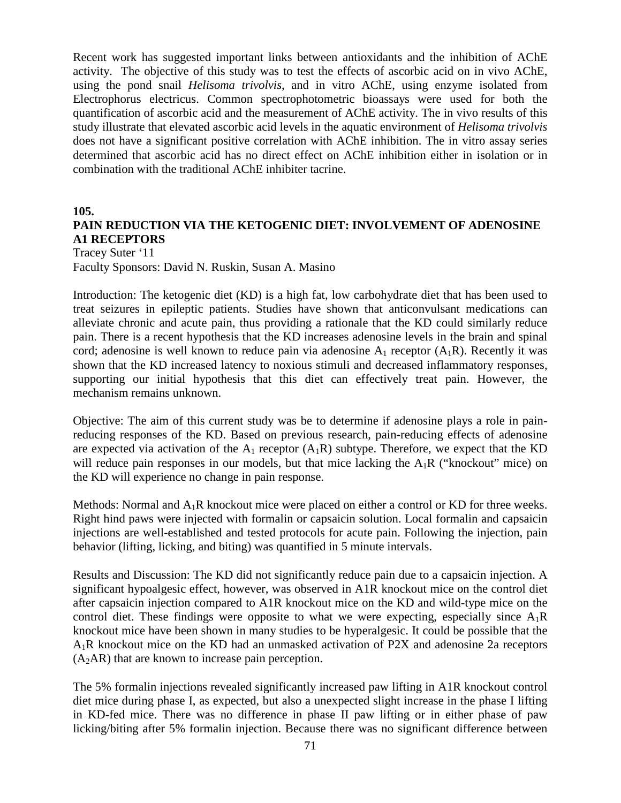Recent work has suggested important links between antioxidants and the inhibition of AChE activity. The objective of this study was to test the effects of ascorbic acid on in vivo AChE, using the pond snail *Helisoma trivolvis*, and in vitro AChE, using enzyme isolated from Electrophorus electricus. Common spectrophotometric bioassays were used for both the quantification of ascorbic acid and the measurement of AChE activity. The in vivo results of this study illustrate that elevated ascorbic acid levels in the aquatic environment of *Helisoma trivolvis* does not have a significant positive correlation with AChE inhibition. The in vitro assay series determined that ascorbic acid has no direct effect on AChE inhibition either in isolation or in combination with the traditional AChE inhibiter tacrine.

#### **105.**

# **PAIN REDUCTION VIA THE KETOGENIC DIET: INVOLVEMENT OF ADENOSINE A1 RECEPTORS**

Tracey Suter '11 Faculty Sponsors: David N. Ruskin, Susan A. Masino

Introduction: The ketogenic diet (KD) is a high fat, low carbohydrate diet that has been used to treat seizures in epileptic patients. Studies have shown that anticonvulsant medications can alleviate chronic and acute pain, thus providing a rationale that the KD could similarly reduce pain. There is a recent hypothesis that the KD increases adenosine levels in the brain and spinal cord; adenosine is well known to reduce pain via adenosine  $A_1$  receptor  $(A_1R)$ . Recently it was shown that the KD increased latency to noxious stimuli and decreased inflammatory responses, supporting our initial hypothesis that this diet can effectively treat pain. However, the mechanism remains unknown.

Objective: The aim of this current study was be to determine if adenosine plays a role in painreducing responses of the KD. Based on previous research, pain-reducing effects of adenosine are expected via activation of the  $A_1$  receptor  $(A_1R)$  subtype. Therefore, we expect that the KD will reduce pain responses in our models, but that mice lacking the  $A_1R$  ("knockout" mice) on the KD will experience no change in pain response.

Methods: Normal and  $A_1R$  knockout mice were placed on either a control or KD for three weeks. Right hind paws were injected with formalin or capsaicin solution. Local formalin and capsaicin injections are well-established and tested protocols for acute pain. Following the injection, pain behavior (lifting, licking, and biting) was quantified in 5 minute intervals.

Results and Discussion: The KD did not significantly reduce pain due to a capsaicin injection. A significant hypoalgesic effect, however, was observed in A1R knockout mice on the control diet after capsaicin injection compared to A1R knockout mice on the KD and wild-type mice on the control diet. These findings were opposite to what we were expecting, especially since  $A_1R$ knockout mice have been shown in many studies to be hyperalgesic. It could be possible that the A1R knockout mice on the KD had an unmasked activation of P2X and adenosine 2a receptors  $(A<sub>2</sub>AR)$  that are known to increase pain perception.

The 5% formalin injections revealed significantly increased paw lifting in A1R knockout control diet mice during phase I, as expected, but also a unexpected slight increase in the phase I lifting in KD-fed mice. There was no difference in phase II paw lifting or in either phase of paw licking/biting after 5% formalin injection. Because there was no significant difference between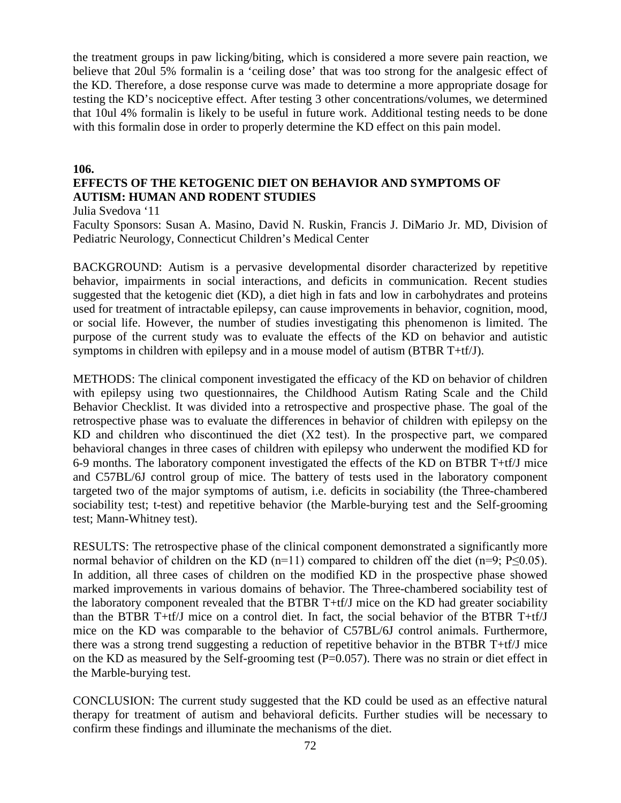the treatment groups in paw licking/biting, which is considered a more severe pain reaction, we believe that 20ul 5% formalin is a 'ceiling dose' that was too strong for the analgesic effect of the KD. Therefore, a dose response curve was made to determine a more appropriate dosage for testing the KD's nociceptive effect. After testing 3 other concentrations/volumes, we determined that 10ul 4% formalin is likely to be useful in future work. Additional testing needs to be done with this formalin dose in order to properly determine the KD effect on this pain model.

#### **106.**

# **EFFECTS OF THE KETOGENIC DIET ON BEHAVIOR AND SYMPTOMS OF AUTISM: HUMAN AND RODENT STUDIES**

Julia Svedova '11

Faculty Sponsors: Susan A. Masino, David N. Ruskin, Francis J. DiMario Jr. MD, Division of Pediatric Neurology, Connecticut Children's Medical Center

BACKGROUND: Autism is a pervasive developmental disorder characterized by repetitive behavior, impairments in social interactions, and deficits in communication. Recent studies suggested that the ketogenic diet (KD), a diet high in fats and low in carbohydrates and proteins used for treatment of intractable epilepsy, can cause improvements in behavior, cognition, mood, or social life. However, the number of studies investigating this phenomenon is limited. The purpose of the current study was to evaluate the effects of the KD on behavior and autistic symptoms in children with epilepsy and in a mouse model of autism (BTBR T+tf/J).

METHODS: The clinical component investigated the efficacy of the KD on behavior of children with epilepsy using two questionnaires, the Childhood Autism Rating Scale and the Child Behavior Checklist. It was divided into a retrospective and prospective phase. The goal of the retrospective phase was to evaluate the differences in behavior of children with epilepsy on the KD and children who discontinued the diet (Χ2 test). In the prospective part, we compared behavioral changes in three cases of children with epilepsy who underwent the modified KD for 6-9 months. The laboratory component investigated the effects of the KD on BTBR T+tf/J mice and C57BL/6J control group of mice. The battery of tests used in the laboratory component targeted two of the major symptoms of autism, i.e. deficits in sociability (the Three-chambered sociability test; t-test) and repetitive behavior (the Marble-burying test and the Self-grooming test; Mann-Whitney test).

RESULTS: The retrospective phase of the clinical component demonstrated a significantly more normal behavior of children on the KD (n=11) compared to children off the diet (n=9; P $\leq$ 0.05). In addition, all three cases of children on the modified KD in the prospective phase showed marked improvements in various domains of behavior. The Three-chambered sociability test of the laboratory component revealed that the BTBR T+tf/J mice on the KD had greater sociability than the BTBR T+tf/J mice on a control diet. In fact, the social behavior of the BTBR T+tf/J mice on the KD was comparable to the behavior of C57BL/6J control animals. Furthermore, there was a strong trend suggesting a reduction of repetitive behavior in the BTBR T+tf/J mice on the KD as measured by the Self-grooming test  $(P=0.057)$ . There was no strain or diet effect in the Marble-burying test.

CONCLUSION: The current study suggested that the KD could be used as an effective natural therapy for treatment of autism and behavioral deficits. Further studies will be necessary to confirm these findings and illuminate the mechanisms of the diet.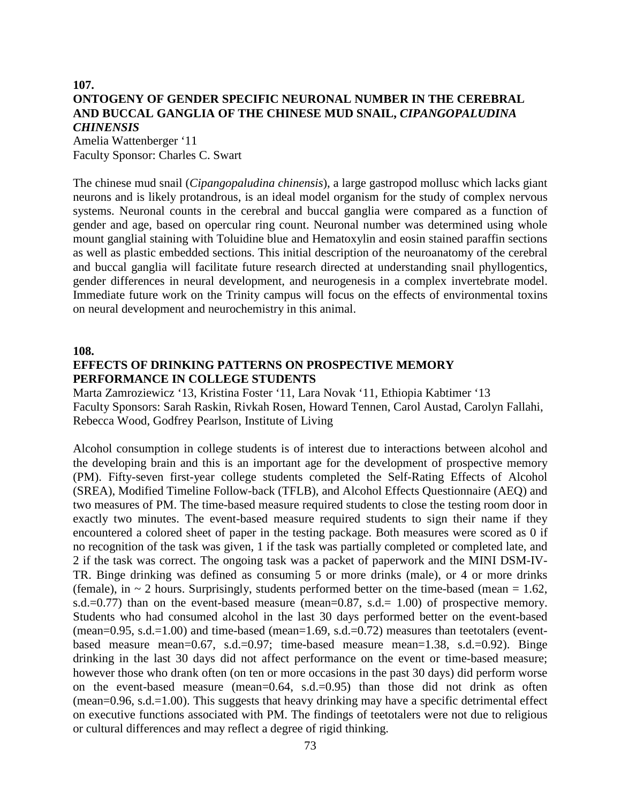# **107. ONTOGENY OF GENDER SPECIFIC NEURONAL NUMBER IN THE CEREBRAL AND BUCCAL GANGLIA OF THE CHINESE MUD SNAIL,** *CIPANGOPALUDINA CHINENSIS*

Amelia Wattenberger '11 Faculty Sponsor: Charles C. Swart

The chinese mud snail (*Cipangopaludina chinensis*), a large gastropod mollusc which lacks giant neurons and is likely protandrous, is an ideal model organism for the study of complex nervous systems. Neuronal counts in the cerebral and buccal ganglia were compared as a function of gender and age, based on opercular ring count. Neuronal number was determined using whole mount ganglial staining with Toluidine blue and Hematoxylin and eosin stained paraffin sections as well as plastic embedded sections. This initial description of the neuroanatomy of the cerebral and buccal ganglia will facilitate future research directed at understanding snail phyllogentics, gender differences in neural development, and neurogenesis in a complex invertebrate model. Immediate future work on the Trinity campus will focus on the effects of environmental toxins on neural development and neurochemistry in this animal.

#### **108.**

## **EFFECTS OF DRINKING PATTERNS ON PROSPECTIVE MEMORY PERFORMANCE IN COLLEGE STUDENTS**

Marta Zamroziewicz '13, Kristina Foster '11, Lara Novak '11, Ethiopia Kabtimer '13 Faculty Sponsors: Sarah Raskin, Rivkah Rosen, Howard Tennen, Carol Austad, Carolyn Fallahi, Rebecca Wood, Godfrey Pearlson, Institute of Living

Alcohol consumption in college students is of interest due to interactions between alcohol and the developing brain and this is an important age for the development of prospective memory (PM). Fifty-seven first-year college students completed the Self-Rating Effects of Alcohol (SREA), Modified Timeline Follow-back (TFLB), and Alcohol Effects Questionnaire (AEQ) and two measures of PM. The time-based measure required students to close the testing room door in exactly two minutes. The event-based measure required students to sign their name if they encountered a colored sheet of paper in the testing package. Both measures were scored as 0 if no recognition of the task was given, 1 if the task was partially completed or completed late, and 2 if the task was correct. The ongoing task was a packet of paperwork and the MINI DSM-IV-TR. Binge drinking was defined as consuming 5 or more drinks (male), or 4 or more drinks (female), in  $\sim$  2 hours. Surprisingly, students performed better on the time-based (mean = 1.62, s.d.=0.77) than on the event-based measure (mean=0.87, s.d.= 1.00) of prospective memory. Students who had consumed alcohol in the last 30 days performed better on the event-based (mean=0.95, s.d.=1.00) and time-based (mean=1.69, s.d.=0.72) measures than teetotalers (eventbased measure mean=0.67, s.d.=0.97; time-based measure mean=1.38, s.d.=0.92). Binge drinking in the last 30 days did not affect performance on the event or time-based measure; however those who drank often (on ten or more occasions in the past 30 days) did perform worse on the event-based measure (mean=0.64, s.d.=0.95) than those did not drink as often (mean=0.96, s.d.=1.00). This suggests that heavy drinking may have a specific detrimental effect on executive functions associated with PM. The findings of teetotalers were not due to religious or cultural differences and may reflect a degree of rigid thinking.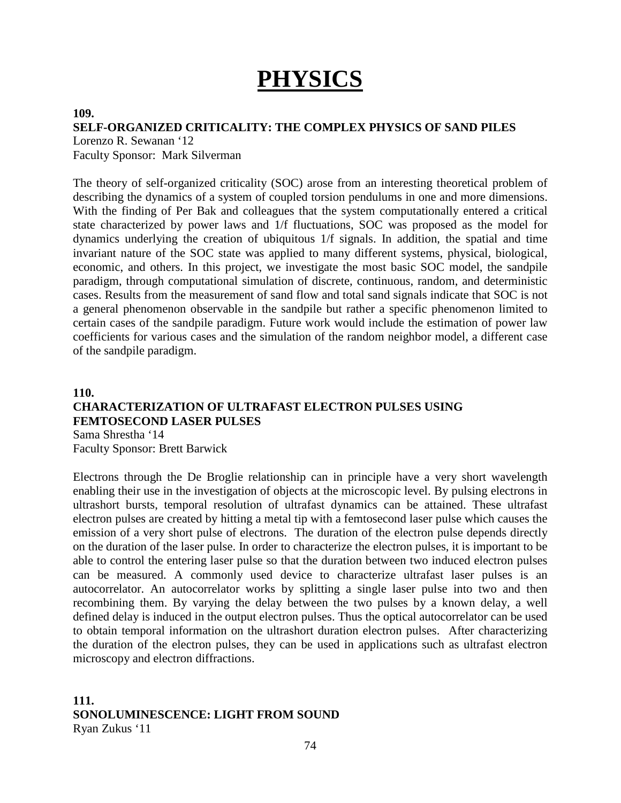# **PHYSICS**

#### **109.**

#### **SELF-ORGANIZED CRITICALITY: THE COMPLEX PHYSICS OF SAND PILES**

Lorenzo R. Sewanan '12

Faculty Sponsor: Mark Silverman

The theory of self-organized criticality (SOC) arose from an interesting theoretical problem of describing the dynamics of a system of coupled torsion pendulums in one and more dimensions. With the finding of Per Bak and colleagues that the system computationally entered a critical state characterized by power laws and 1/f fluctuations, SOC was proposed as the model for dynamics underlying the creation of ubiquitous 1/f signals. In addition, the spatial and time invariant nature of the SOC state was applied to many different systems, physical, biological, economic, and others. In this project, we investigate the most basic SOC model, the sandpile paradigm, through computational simulation of discrete, continuous, random, and deterministic cases. Results from the measurement of sand flow and total sand signals indicate that SOC is not a general phenomenon observable in the sandpile but rather a specific phenomenon limited to certain cases of the sandpile paradigm. Future work would include the estimation of power law coefficients for various cases and the simulation of the random neighbor model, a different case of the sandpile paradigm.

# **110. CHARACTERIZATION OF ULTRAFAST ELECTRON PULSES USING FEMTOSECOND LASER PULSES** Sama Shrestha '14

Faculty Sponsor: Brett Barwick

Electrons through the De Broglie relationship can in principle have a very short wavelength enabling their use in the investigation of objects at the microscopic level. By pulsing electrons in ultrashort bursts, temporal resolution of ultrafast dynamics can be attained. These ultrafast electron pulses are created by hitting a metal tip with a femtosecond laser pulse which causes the emission of a very short pulse of electrons. The duration of the electron pulse depends directly on the duration of the laser pulse. In order to characterize the electron pulses, it is important to be able to control the entering laser pulse so that the duration between two induced electron pulses can be measured. A commonly used device to characterize ultrafast laser pulses is an autocorrelator. An autocorrelator works by splitting a single laser pulse into two and then recombining them. By varying the delay between the two pulses by a known delay, a well defined delay is induced in the output electron pulses. Thus the optical autocorrelator can be used to obtain temporal information on the ultrashort duration electron pulses. After characterizing the duration of the electron pulses, they can be used in applications such as ultrafast electron microscopy and electron diffractions.

# **111. SONOLUMINESCENCE: LIGHT FROM SOUND** Ryan Zukus '11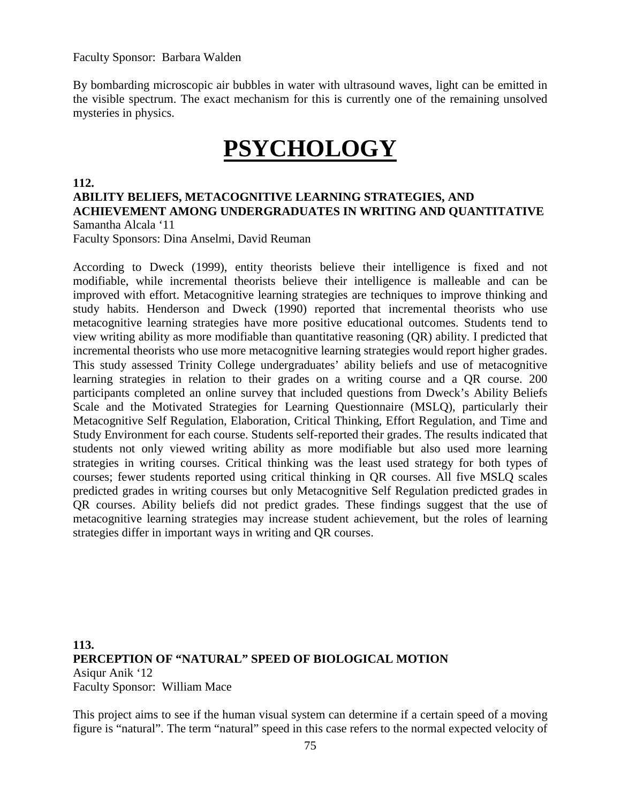Faculty Sponsor: Barbara Walden

By bombarding microscopic air bubbles in water with ultrasound waves, light can be emitted in the visible spectrum. The exact mechanism for this is currently one of the remaining unsolved mysteries in physics.

# **PSYCHOLOGY**

**112.**

# **ABILITY BELIEFS, METACOGNITIVE LEARNING STRATEGIES, AND ACHIEVEMENT AMONG UNDERGRADUATES IN WRITING AND QUANTITATIVE**  Samantha Alcala '11

Faculty Sponsors: Dina Anselmi, David Reuman

According to Dweck (1999), entity theorists believe their intelligence is fixed and not modifiable, while incremental theorists believe their intelligence is malleable and can be improved with effort. Metacognitive learning strategies are techniques to improve thinking and study habits. Henderson and Dweck (1990) reported that incremental theorists who use metacognitive learning strategies have more positive educational outcomes. Students tend to view writing ability as more modifiable than quantitative reasoning (QR) ability. I predicted that incremental theorists who use more metacognitive learning strategies would report higher grades. This study assessed Trinity College undergraduates' ability beliefs and use of metacognitive learning strategies in relation to their grades on a writing course and a QR course. 200 participants completed an online survey that included questions from Dweck's Ability Beliefs Scale and the Motivated Strategies for Learning Questionnaire (MSLQ), particularly their Metacognitive Self Regulation, Elaboration, Critical Thinking, Effort Regulation, and Time and Study Environment for each course. Students self-reported their grades. The results indicated that students not only viewed writing ability as more modifiable but also used more learning strategies in writing courses. Critical thinking was the least used strategy for both types of courses; fewer students reported using critical thinking in QR courses. All five MSLQ scales predicted grades in writing courses but only Metacognitive Self Regulation predicted grades in QR courses. Ability beliefs did not predict grades. These findings suggest that the use of metacognitive learning strategies may increase student achievement, but the roles of learning strategies differ in important ways in writing and QR courses.

**113. PERCEPTION OF "NATURAL" SPEED OF BIOLOGICAL MOTION** Asiqur Anik '12 Faculty Sponsor: William Mace

This project aims to see if the human visual system can determine if a certain speed of a moving figure is "natural". The term "natural" speed in this case refers to the normal expected velocity of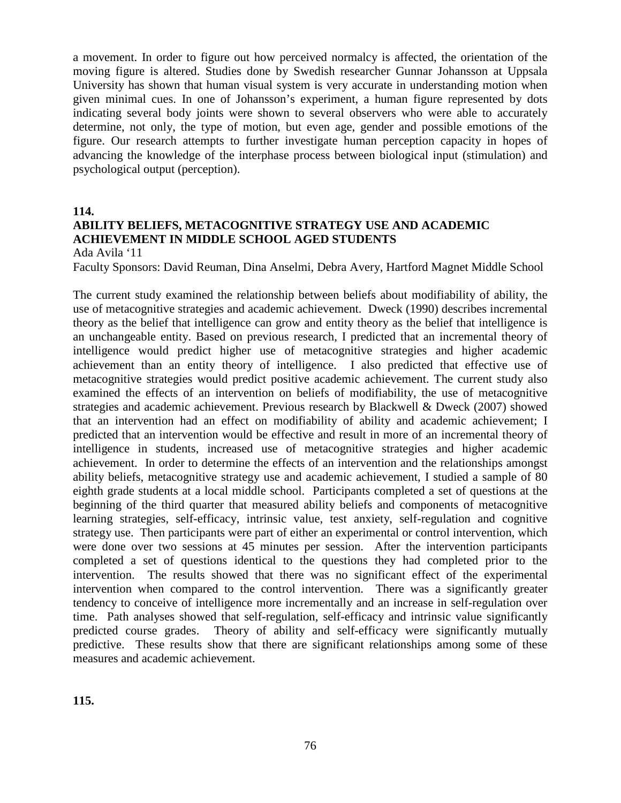a movement. In order to figure out how perceived normalcy is affected, the orientation of the moving figure is altered. Studies done by Swedish researcher Gunnar Johansson at Uppsala University has shown that human visual system is very accurate in understanding motion when given minimal cues. In one of Johansson's experiment, a human figure represented by dots indicating several body joints were shown to several observers who were able to accurately determine, not only, the type of motion, but even age, gender and possible emotions of the figure. Our research attempts to further investigate human perception capacity in hopes of advancing the knowledge of the interphase process between biological input (stimulation) and psychological output (perception).

**114.**

# **ABILITY BELIEFS, METACOGNITIVE STRATEGY USE AND ACADEMIC ACHIEVEMENT IN MIDDLE SCHOOL AGED STUDENTS**

Ada Avila '11

Faculty Sponsors: David Reuman, Dina Anselmi, Debra Avery, Hartford Magnet Middle School

The current study examined the relationship between beliefs about modifiability of ability, the use of metacognitive strategies and academic achievement. Dweck (1990) describes incremental theory as the belief that intelligence can grow and entity theory as the belief that intelligence is an unchangeable entity. Based on previous research, I predicted that an incremental theory of intelligence would predict higher use of metacognitive strategies and higher academic achievement than an entity theory of intelligence. I also predicted that effective use of metacognitive strategies would predict positive academic achievement. The current study also examined the effects of an intervention on beliefs of modifiability, the use of metacognitive strategies and academic achievement. Previous research by Blackwell & Dweck (2007) showed that an intervention had an effect on modifiability of ability and academic achievement; I predicted that an intervention would be effective and result in more of an incremental theory of intelligence in students, increased use of metacognitive strategies and higher academic achievement. In order to determine the effects of an intervention and the relationships amongst ability beliefs, metacognitive strategy use and academic achievement, I studied a sample of 80 eighth grade students at a local middle school. Participants completed a set of questions at the beginning of the third quarter that measured ability beliefs and components of metacognitive learning strategies, self-efficacy, intrinsic value, test anxiety, self-regulation and cognitive strategy use. Then participants were part of either an experimental or control intervention, which were done over two sessions at 45 minutes per session. After the intervention participants completed a set of questions identical to the questions they had completed prior to the intervention. The results showed that there was no significant effect of the experimental intervention when compared to the control intervention. There was a significantly greater tendency to conceive of intelligence more incrementally and an increase in self-regulation over time. Path analyses showed that self-regulation, self-efficacy and intrinsic value significantly predicted course grades. Theory of ability and self-efficacy were significantly mutually predictive. These results show that there are significant relationships among some of these measures and academic achievement.

**115.**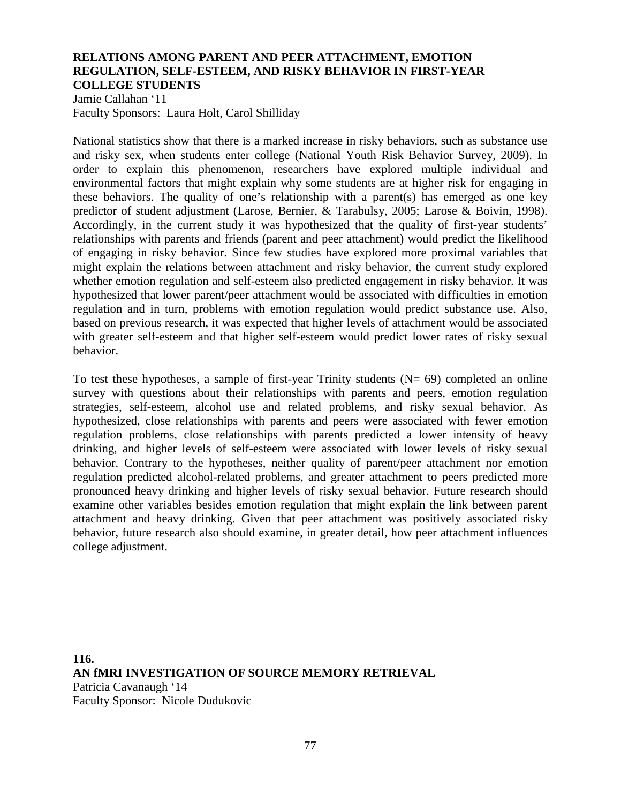## **RELATIONS AMONG PARENT AND PEER ATTACHMENT, EMOTION REGULATION, SELF-ESTEEM, AND RISKY BEHAVIOR IN FIRST-YEAR COLLEGE STUDENTS**

Jamie Callahan '11 Faculty Sponsors: Laura Holt, Carol Shilliday

National statistics show that there is a marked increase in risky behaviors, such as substance use and risky sex, when students enter college (National Youth Risk Behavior Survey, 2009). In order to explain this phenomenon, researchers have explored multiple individual and environmental factors that might explain why some students are at higher risk for engaging in these behaviors. The quality of one's relationship with a parent(s) has emerged as one key predictor of student adjustment (Larose, Bernier, & Tarabulsy, 2005; Larose & Boivin, 1998). Accordingly, in the current study it was hypothesized that the quality of first-year students' relationships with parents and friends (parent and peer attachment) would predict the likelihood of engaging in risky behavior. Since few studies have explored more proximal variables that might explain the relations between attachment and risky behavior, the current study explored whether emotion regulation and self-esteem also predicted engagement in risky behavior. It was hypothesized that lower parent/peer attachment would be associated with difficulties in emotion regulation and in turn, problems with emotion regulation would predict substance use. Also, based on previous research, it was expected that higher levels of attachment would be associated with greater self-esteem and that higher self-esteem would predict lower rates of risky sexual behavior.

To test these hypotheses, a sample of first-year Trinity students  $(N= 69)$  completed an online survey with questions about their relationships with parents and peers, emotion regulation strategies, self-esteem, alcohol use and related problems, and risky sexual behavior. As hypothesized, close relationships with parents and peers were associated with fewer emotion regulation problems, close relationships with parents predicted a lower intensity of heavy drinking, and higher levels of self-esteem were associated with lower levels of risky sexual behavior. Contrary to the hypotheses, neither quality of parent/peer attachment nor emotion regulation predicted alcohol-related problems, and greater attachment to peers predicted more pronounced heavy drinking and higher levels of risky sexual behavior. Future research should examine other variables besides emotion regulation that might explain the link between parent attachment and heavy drinking. Given that peer attachment was positively associated risky behavior, future research also should examine, in greater detail, how peer attachment influences college adjustment.

**116. AN fMRI INVESTIGATION OF SOURCE MEMORY RETRIEVAL** Patricia Cavanaugh '14 Faculty Sponsor: Nicole Dudukovic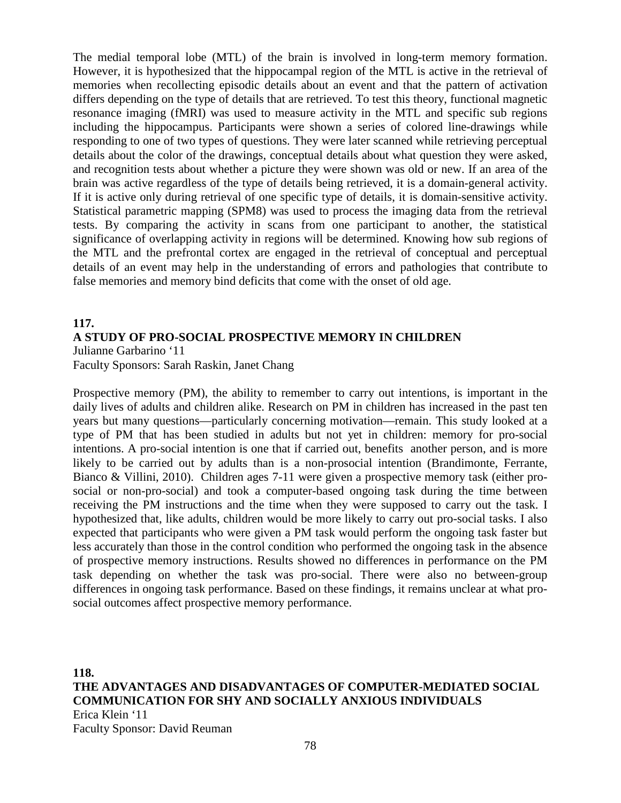The medial temporal lobe (MTL) of the brain is involved in long-term memory formation. However, it is hypothesized that the hippocampal region of the MTL is active in the retrieval of memories when recollecting episodic details about an event and that the pattern of activation differs depending on the type of details that are retrieved. To test this theory, functional magnetic resonance imaging (fMRI) was used to measure activity in the MTL and specific sub regions including the hippocampus. Participants were shown a series of colored line-drawings while responding to one of two types of questions. They were later scanned while retrieving perceptual details about the color of the drawings, conceptual details about what question they were asked, and recognition tests about whether a picture they were shown was old or new. If an area of the brain was active regardless of the type of details being retrieved, it is a domain-general activity. If it is active only during retrieval of one specific type of details, it is domain-sensitive activity. Statistical parametric mapping (SPM8) was used to process the imaging data from the retrieval tests. By comparing the activity in scans from one participant to another, the statistical significance of overlapping activity in regions will be determined. Knowing how sub regions of the MTL and the prefrontal cortex are engaged in the retrieval of conceptual and perceptual details of an event may help in the understanding of errors and pathologies that contribute to false memories and memory bind deficits that come with the onset of old age.

# **117. A STUDY OF PRO-SOCIAL PROSPECTIVE MEMORY IN CHILDREN**

Julianne Garbarino '11

Faculty Sponsors: Sarah Raskin, Janet Chang

Prospective memory (PM), the ability to remember to carry out intentions, is important in the daily lives of adults and children alike. Research on PM in children has increased in the past ten years but many questions—particularly concerning motivation—remain. This study looked at a type of PM that has been studied in adults but not yet in children: memory for pro-social intentions. A pro-social intention is one that if carried out, benefits another person, and is more likely to be carried out by adults than is a non-prosocial intention (Brandimonte, Ferrante, Bianco & Villini, 2010). Children ages 7-11 were given a prospective memory task (either prosocial or non-pro-social) and took a computer-based ongoing task during the time between receiving the PM instructions and the time when they were supposed to carry out the task. I hypothesized that, like adults, children would be more likely to carry out pro-social tasks. I also expected that participants who were given a PM task would perform the ongoing task faster but less accurately than those in the control condition who performed the ongoing task in the absence of prospective memory instructions. Results showed no differences in performance on the PM task depending on whether the task was pro-social. There were also no between-group differences in ongoing task performance. Based on these findings, it remains unclear at what prosocial outcomes affect prospective memory performance.

**118. THE ADVANTAGES AND DISADVANTAGES OF COMPUTER-MEDIATED SOCIAL COMMUNICATION FOR SHY AND SOCIALLY ANXIOUS INDIVIDUALS** Erica Klein '11 Faculty Sponsor: David Reuman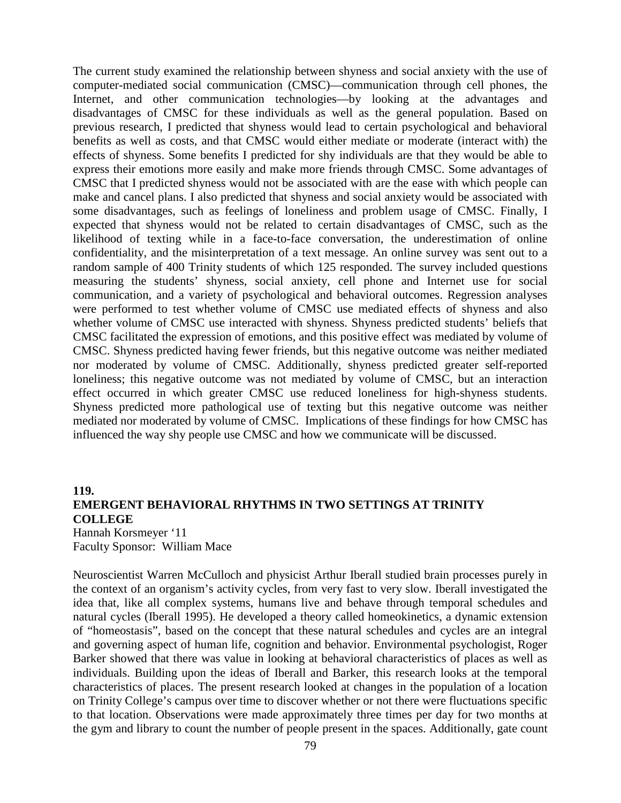The current study examined the relationship between shyness and social anxiety with the use of computer-mediated social communication (CMSC)—communication through cell phones, the Internet, and other communication technologies—by looking at the advantages and disadvantages of CMSC for these individuals as well as the general population. Based on previous research, I predicted that shyness would lead to certain psychological and behavioral benefits as well as costs, and that CMSC would either mediate or moderate (interact with) the effects of shyness. Some benefits I predicted for shy individuals are that they would be able to express their emotions more easily and make more friends through CMSC. Some advantages of CMSC that I predicted shyness would not be associated with are the ease with which people can make and cancel plans. I also predicted that shyness and social anxiety would be associated with some disadvantages, such as feelings of loneliness and problem usage of CMSC. Finally, I expected that shyness would not be related to certain disadvantages of CMSC, such as the likelihood of texting while in a face-to-face conversation, the underestimation of online confidentiality, and the misinterpretation of a text message. An online survey was sent out to a random sample of 400 Trinity students of which 125 responded. The survey included questions measuring the students' shyness, social anxiety, cell phone and Internet use for social communication, and a variety of psychological and behavioral outcomes. Regression analyses were performed to test whether volume of CMSC use mediated effects of shyness and also whether volume of CMSC use interacted with shyness. Shyness predicted students' beliefs that CMSC facilitated the expression of emotions, and this positive effect was mediated by volume of CMSC. Shyness predicted having fewer friends, but this negative outcome was neither mediated nor moderated by volume of CMSC. Additionally, shyness predicted greater self-reported loneliness; this negative outcome was not mediated by volume of CMSC, but an interaction effect occurred in which greater CMSC use reduced loneliness for high-shyness students. Shyness predicted more pathological use of texting but this negative outcome was neither mediated nor moderated by volume of CMSC. Implications of these findings for how CMSC has influenced the way shy people use CMSC and how we communicate will be discussed.

# **119. EMERGENT BEHAVIORAL RHYTHMS IN TWO SETTINGS AT TRINITY COLLEGE**

Hannah Korsmeyer '11 Faculty Sponsor: William Mace

Neuroscientist Warren McCulloch and physicist Arthur Iberall studied brain processes purely in the context of an organism's activity cycles, from very fast to very slow. Iberall investigated the idea that, like all complex systems, humans live and behave through temporal schedules and natural cycles (Iberall 1995). He developed a theory called homeokinetics, a dynamic extension of "homeostasis", based on the concept that these natural schedules and cycles are an integral and governing aspect of human life, cognition and behavior. Environmental psychologist, Roger Barker showed that there was value in looking at behavioral characteristics of places as well as individuals. Building upon the ideas of Iberall and Barker, this research looks at the temporal characteristics of places. The present research looked at changes in the population of a location on Trinity College's campus over time to discover whether or not there were fluctuations specific to that location. Observations were made approximately three times per day for two months at the gym and library to count the number of people present in the spaces. Additionally, gate count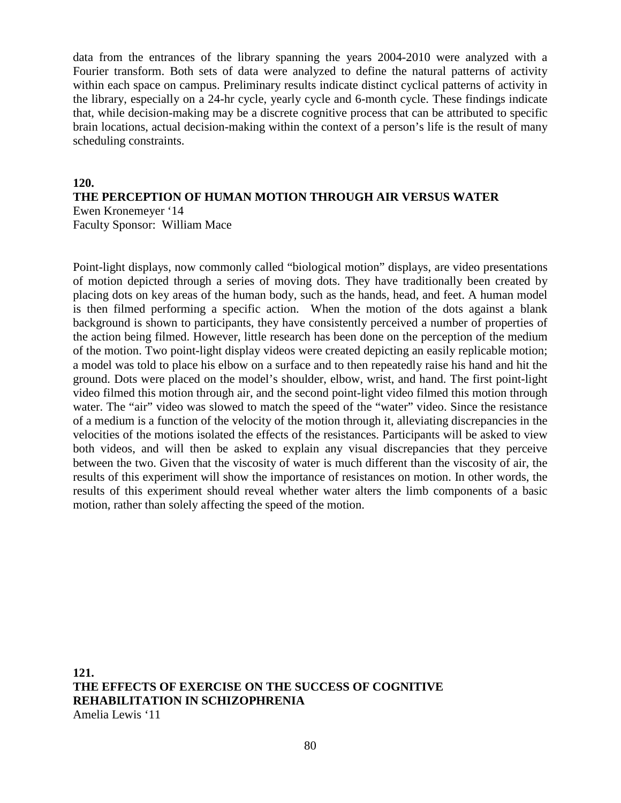data from the entrances of the library spanning the years 2004-2010 were analyzed with a Fourier transform. Both sets of data were analyzed to define the natural patterns of activity within each space on campus. Preliminary results indicate distinct cyclical patterns of activity in the library, especially on a 24-hr cycle, yearly cycle and 6-month cycle. These findings indicate that, while decision-making may be a discrete cognitive process that can be attributed to specific brain locations, actual decision-making within the context of a person's life is the result of many scheduling constraints.

#### **120.**

#### **THE PERCEPTION OF HUMAN MOTION THROUGH AIR VERSUS WATER** Ewen Kronemeyer '14 Faculty Sponsor: William Mace

Point-light displays, now commonly called "biological motion" displays, are video presentations of motion depicted through a series of moving dots. They have traditionally been created by placing dots on key areas of the human body, such as the hands, head, and feet. A human model is then filmed performing a specific action. When the motion of the dots against a blank background is shown to participants, they have consistently perceived a number of properties of the action being filmed. However, little research has been done on the perception of the medium of the motion. Two point-light display videos were created depicting an easily replicable motion; a model was told to place his elbow on a surface and to then repeatedly raise his hand and hit the ground. Dots were placed on the model's shoulder, elbow, wrist, and hand. The first point-light video filmed this motion through air, and the second point-light video filmed this motion through water. The "air" video was slowed to match the speed of the "water" video. Since the resistance of a medium is a function of the velocity of the motion through it, alleviating discrepancies in the velocities of the motions isolated the effects of the resistances. Participants will be asked to view both videos, and will then be asked to explain any visual discrepancies that they perceive between the two. Given that the viscosity of water is much different than the viscosity of air, the results of this experiment will show the importance of resistances on motion. In other words, the results of this experiment should reveal whether water alters the limb components of a basic motion, rather than solely affecting the speed of the motion.

**121. THE EFFECTS OF EXERCISE ON THE SUCCESS OF COGNITIVE REHABILITATION IN SCHIZOPHRENIA** Amelia Lewis '11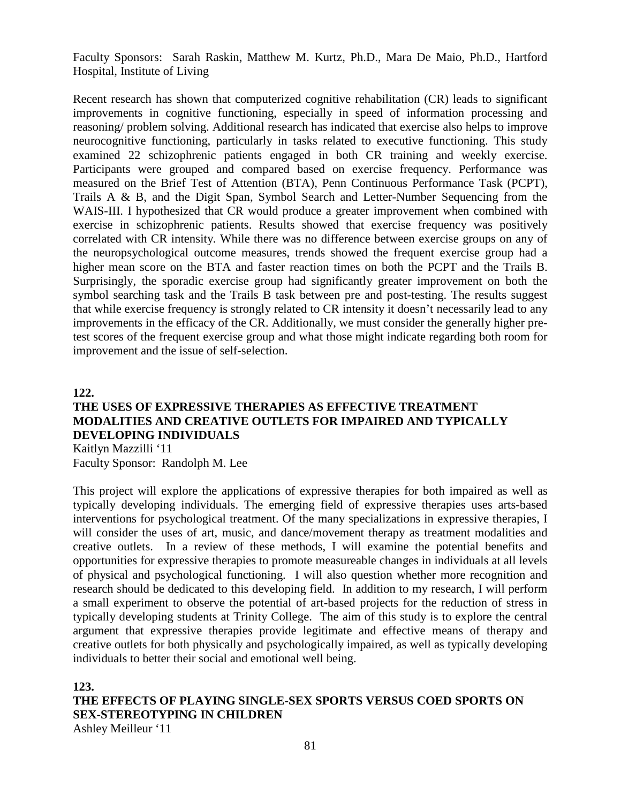Faculty Sponsors: Sarah Raskin, Matthew M. Kurtz, Ph.D., Mara De Maio, Ph.D., Hartford Hospital, Institute of Living

Recent research has shown that computerized cognitive rehabilitation (CR) leads to significant improvements in cognitive functioning, especially in speed of information processing and reasoning/ problem solving. Additional research has indicated that exercise also helps to improve neurocognitive functioning, particularly in tasks related to executive functioning. This study examined 22 schizophrenic patients engaged in both CR training and weekly exercise. Participants were grouped and compared based on exercise frequency. Performance was measured on the Brief Test of Attention (BTA), Penn Continuous Performance Task (PCPT), Trails A & B, and the Digit Span, Symbol Search and Letter-Number Sequencing from the WAIS-III. I hypothesized that CR would produce a greater improvement when combined with exercise in schizophrenic patients. Results showed that exercise frequency was positively correlated with CR intensity. While there was no difference between exercise groups on any of the neuropsychological outcome measures, trends showed the frequent exercise group had a higher mean score on the BTA and faster reaction times on both the PCPT and the Trails B. Surprisingly, the sporadic exercise group had significantly greater improvement on both the symbol searching task and the Trails B task between pre and post-testing. The results suggest that while exercise frequency is strongly related to CR intensity it doesn't necessarily lead to any improvements in the efficacy of the CR. Additionally, we must consider the generally higher pretest scores of the frequent exercise group and what those might indicate regarding both room for improvement and the issue of self-selection.

## **122.**

# **THE USES OF EXPRESSIVE THERAPIES AS EFFECTIVE TREATMENT MODALITIES AND CREATIVE OUTLETS FOR IMPAIRED AND TYPICALLY DEVELOPING INDIVIDUALS**

Kaitlyn Mazzilli '11 Faculty Sponsor: Randolph M. Lee

This project will explore the applications of expressive therapies for both impaired as well as typically developing individuals. The emerging field of expressive therapies uses arts-based interventions for psychological treatment. Of the many specializations in expressive therapies, I will consider the uses of art, music, and dance/movement therapy as treatment modalities and creative outlets. In a review of these methods, I will examine the potential benefits and opportunities for expressive therapies to promote measureable changes in individuals at all levels of physical and psychological functioning. I will also question whether more recognition and research should be dedicated to this developing field. In addition to my research, I will perform a small experiment to observe the potential of art-based projects for the reduction of stress in typically developing students at Trinity College. The aim of this study is to explore the central argument that expressive therapies provide legitimate and effective means of therapy and creative outlets for both physically and psychologically impaired, as well as typically developing individuals to better their social and emotional well being.

**123. THE EFFECTS OF PLAYING SINGLE-SEX SPORTS VERSUS COED SPORTS ON SEX-STEREOTYPING IN CHILDREN** Ashley Meilleur '11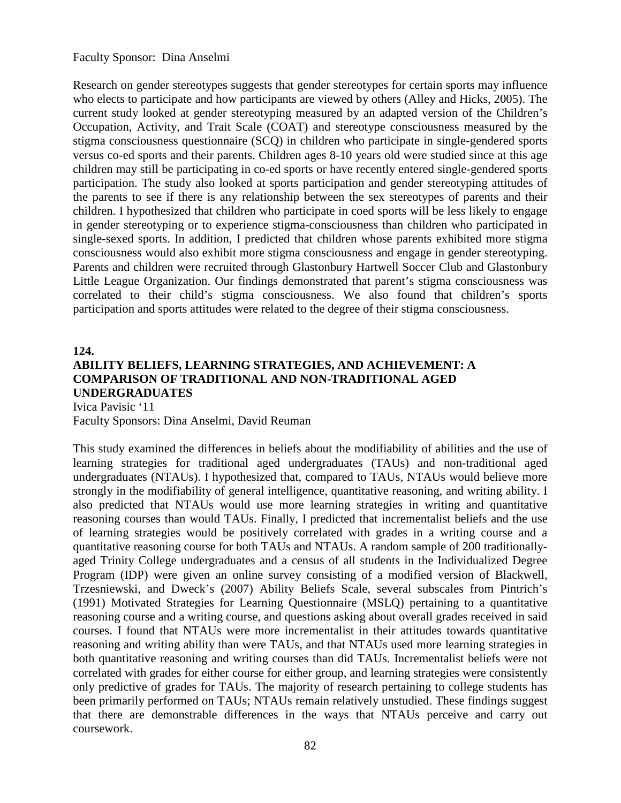Faculty Sponsor: Dina Anselmi

Research on gender stereotypes suggests that gender stereotypes for certain sports may influence who elects to participate and how participants are viewed by others (Alley and Hicks, 2005). The current study looked at gender stereotyping measured by an adapted version of the Children's Occupation, Activity, and Trait Scale (COAT) and stereotype consciousness measured by the stigma consciousness questionnaire (SCQ) in children who participate in single-gendered sports versus co-ed sports and their parents. Children ages 8-10 years old were studied since at this age children may still be participating in co-ed sports or have recently entered single-gendered sports participation. The study also looked at sports participation and gender stereotyping attitudes of the parents to see if there is any relationship between the sex stereotypes of parents and their children. I hypothesized that children who participate in coed sports will be less likely to engage in gender stereotyping or to experience stigma-consciousness than children who participated in single-sexed sports. In addition, I predicted that children whose parents exhibited more stigma consciousness would also exhibit more stigma consciousness and engage in gender stereotyping. Parents and children were recruited through Glastonbury Hartwell Soccer Club and Glastonbury Little League Organization. Our findings demonstrated that parent's stigma consciousness was correlated to their child's stigma consciousness. We also found that children's sports participation and sports attitudes were related to the degree of their stigma consciousness.

#### **124.**

# **ABILITY BELIEFS, LEARNING STRATEGIES, AND ACHIEVEMENT: A COMPARISON OF TRADITIONAL AND NON-TRADITIONAL AGED UNDERGRADUATES**

Ivica Pavisic '11 Faculty Sponsors: Dina Anselmi, David Reuman

This study examined the differences in beliefs about the modifiability of abilities and the use of learning strategies for traditional aged undergraduates (TAUs) and non-traditional aged undergraduates (NTAUs). I hypothesized that, compared to TAUs, NTAUs would believe more strongly in the modifiability of general intelligence, quantitative reasoning, and writing ability. I also predicted that NTAUs would use more learning strategies in writing and quantitative reasoning courses than would TAUs. Finally, I predicted that incrementalist beliefs and the use of learning strategies would be positively correlated with grades in a writing course and a quantitative reasoning course for both TAUs and NTAUs. A random sample of 200 traditionallyaged Trinity College undergraduates and a census of all students in the Individualized Degree Program (IDP) were given an online survey consisting of a modified version of Blackwell, Trzesniewski, and Dweck's (2007) Ability Beliefs Scale, several subscales from Pintrich's (1991) Motivated Strategies for Learning Questionnaire (MSLQ) pertaining to a quantitative reasoning course and a writing course, and questions asking about overall grades received in said courses. I found that NTAUs were more incrementalist in their attitudes towards quantitative reasoning and writing ability than were TAUs, and that NTAUs used more learning strategies in both quantitative reasoning and writing courses than did TAUs. Incrementalist beliefs were not correlated with grades for either course for either group, and learning strategies were consistently only predictive of grades for TAUs. The majority of research pertaining to college students has been primarily performed on TAUs; NTAUs remain relatively unstudied. These findings suggest that there are demonstrable differences in the ways that NTAUs perceive and carry out coursework.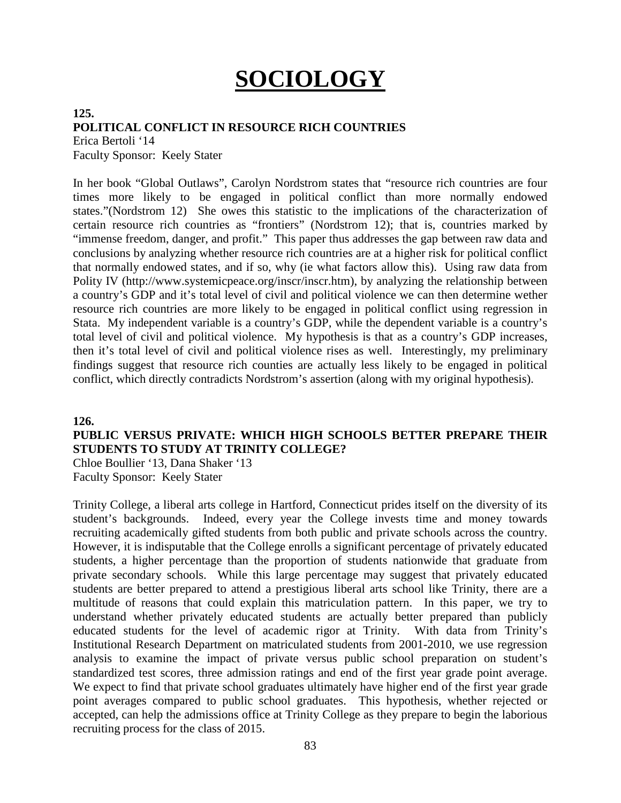# **SOCIOLOGY**

#### **125. POLITICAL CONFLICT IN RESOURCE RICH COUNTRIES**

Erica Bertoli '14

Faculty Sponsor: Keely Stater

In her book "Global Outlaws", Carolyn Nordstrom states that "resource rich countries are four times more likely to be engaged in political conflict than more normally endowed states."(Nordstrom 12) She owes this statistic to the implications of the characterization of certain resource rich countries as "frontiers" (Nordstrom 12); that is, countries marked by "immense freedom, danger, and profit." This paper thus addresses the gap between raw data and conclusions by analyzing whether resource rich countries are at a higher risk for political conflict that normally endowed states, and if so, why (ie what factors allow this). Using raw data from Polity IV (http://www.systemicpeace.org/inscr/inscr.htm), by analyzing the relationship between a country's GDP and it's total level of civil and political violence we can then determine wether resource rich countries are more likely to be engaged in political conflict using regression in Stata. My independent variable is a country's GDP, while the dependent variable is a country's total level of civil and political violence. My hypothesis is that as a country's GDP increases, then it's total level of civil and political violence rises as well. Interestingly, my preliminary findings suggest that resource rich counties are actually less likely to be engaged in political conflict, which directly contradicts Nordstrom's assertion (along with my original hypothesis).

### **126.**

# **PUBLIC VERSUS PRIVATE: WHICH HIGH SCHOOLS BETTER PREPARE THEIR STUDENTS TO STUDY AT TRINITY COLLEGE?**

Chloe Boullier '13, Dana Shaker '13 Faculty Sponsor: Keely Stater

Trinity College, a liberal arts college in Hartford, Connecticut prides itself on the diversity of its student's backgrounds. Indeed, every year the College invests time and money towards recruiting academically gifted students from both public and private schools across the country. However, it is indisputable that the College enrolls a significant percentage of privately educated students, a higher percentage than the proportion of students nationwide that graduate from private secondary schools. While this large percentage may suggest that privately educated students are better prepared to attend a prestigious liberal arts school like Trinity, there are a multitude of reasons that could explain this matriculation pattern. In this paper, we try to understand whether privately educated students are actually better prepared than publicly educated students for the level of academic rigor at Trinity. With data from Trinity's Institutional Research Department on matriculated students from 2001-2010, we use regression analysis to examine the impact of private versus public school preparation on student's standardized test scores, three admission ratings and end of the first year grade point average. We expect to find that private school graduates ultimately have higher end of the first year grade point averages compared to public school graduates. This hypothesis, whether rejected or accepted, can help the admissions office at Trinity College as they prepare to begin the laborious recruiting process for the class of 2015.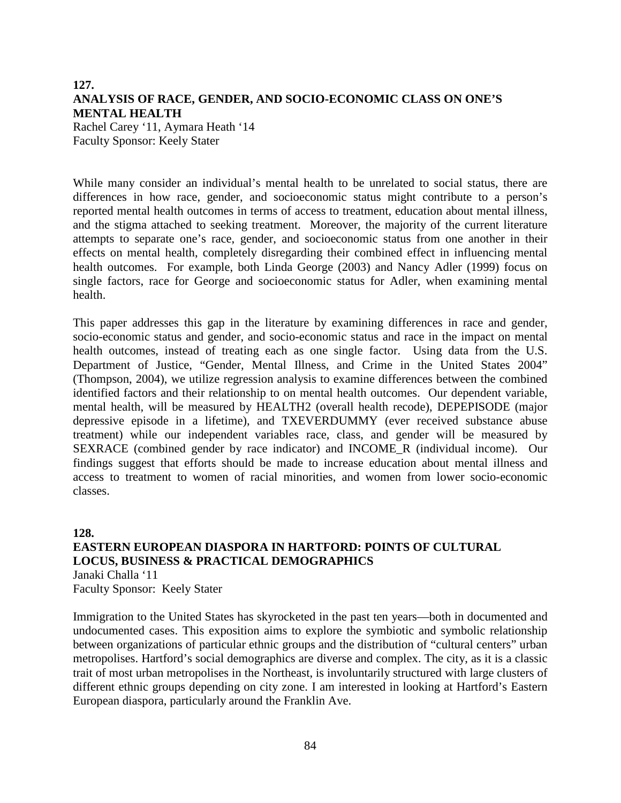# **127. ANALYSIS OF RACE, GENDER, AND SOCIO-ECONOMIC CLASS ON ONE'S MENTAL HEALTH**

Rachel Carey '11, Aymara Heath '14 Faculty Sponsor: Keely Stater

While many consider an individual's mental health to be unrelated to social status, there are differences in how race, gender, and socioeconomic status might contribute to a person's reported mental health outcomes in terms of access to treatment, education about mental illness, and the stigma attached to seeking treatment. Moreover, the majority of the current literature attempts to separate one's race, gender, and socioeconomic status from one another in their effects on mental health, completely disregarding their combined effect in influencing mental health outcomes. For example, both Linda George (2003) and Nancy Adler (1999) focus on single factors, race for George and socioeconomic status for Adler, when examining mental health.

This paper addresses this gap in the literature by examining differences in race and gender, socio-economic status and gender, and socio-economic status and race in the impact on mental health outcomes, instead of treating each as one single factor. Using data from the U.S. Department of Justice, "Gender, Mental Illness, and Crime in the United States 2004" (Thompson, 2004), we utilize regression analysis to examine differences between the combined identified factors and their relationship to on mental health outcomes. Our dependent variable, mental health, will be measured by HEALTH2 (overall health recode), DEPEPISODE (major depressive episode in a lifetime), and TXEVERDUMMY (ever received substance abuse treatment) while our independent variables race, class, and gender will be measured by SEXRACE (combined gender by race indicator) and INCOME\_R (individual income). Our findings suggest that efforts should be made to increase education about mental illness and access to treatment to women of racial minorities, and women from lower socio-economic classes.

# **128. EASTERN EUROPEAN DIASPORA IN HARTFORD: POINTS OF CULTURAL LOCUS, BUSINESS & PRACTICAL DEMOGRAPHICS** Janaki Challa '11 Faculty Sponsor: Keely Stater

Immigration to the United States has skyrocketed in the past ten years—both in documented and undocumented cases. This exposition aims to explore the symbiotic and symbolic relationship between organizations of particular ethnic groups and the distribution of "cultural centers" urban metropolises. Hartford's social demographics are diverse and complex. The city, as it is a classic trait of most urban metropolises in the Northeast, is involuntarily structured with large clusters of different ethnic groups depending on city zone. I am interested in looking at Hartford's Eastern European diaspora, particularly around the Franklin Ave.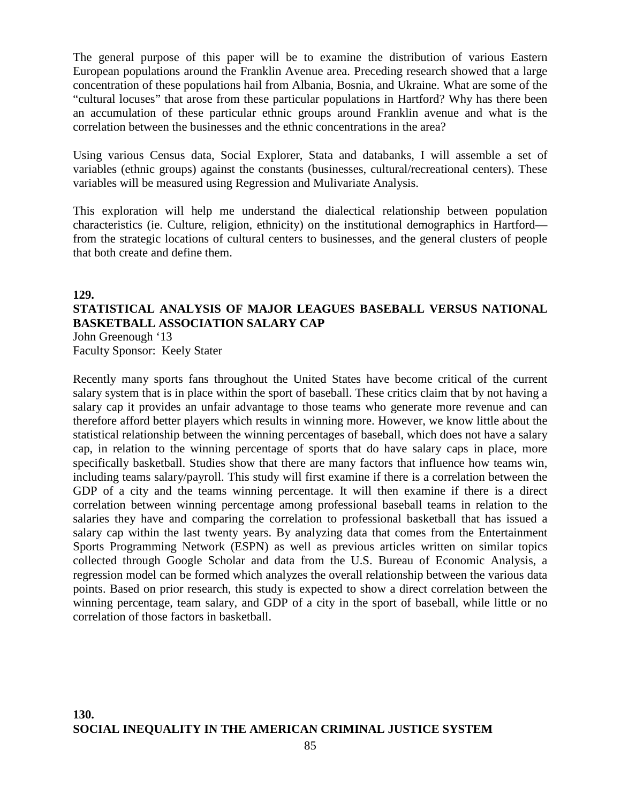The general purpose of this paper will be to examine the distribution of various Eastern European populations around the Franklin Avenue area. Preceding research showed that a large concentration of these populations hail from Albania, Bosnia, and Ukraine. What are some of the "cultural locuses" that arose from these particular populations in Hartford? Why has there been an accumulation of these particular ethnic groups around Franklin avenue and what is the correlation between the businesses and the ethnic concentrations in the area?

Using various Census data, Social Explorer, Stata and databanks, I will assemble a set of variables (ethnic groups) against the constants (businesses, cultural/recreational centers). These variables will be measured using Regression and Mulivariate Analysis.

This exploration will help me understand the dialectical relationship between population characteristics (ie. Culture, religion, ethnicity) on the institutional demographics in Hartford from the strategic locations of cultural centers to businesses, and the general clusters of people that both create and define them.

## **129. STATISTICAL ANALYSIS OF MAJOR LEAGUES BASEBALL VERSUS NATIONAL BASKETBALL ASSOCIATION SALARY CAP** John Greenough '13 Faculty Sponsor: Keely Stater

Recently many sports fans throughout the United States have become critical of the current salary system that is in place within the sport of baseball. These critics claim that by not having a salary cap it provides an unfair advantage to those teams who generate more revenue and can therefore afford better players which results in winning more. However, we know little about the statistical relationship between the winning percentages of baseball, which does not have a salary cap, in relation to the winning percentage of sports that do have salary caps in place, more specifically basketball. Studies show that there are many factors that influence how teams win, including teams salary/payroll. This study will first examine if there is a correlation between the GDP of a city and the teams winning percentage. It will then examine if there is a direct correlation between winning percentage among professional baseball teams in relation to the salaries they have and comparing the correlation to professional basketball that has issued a salary cap within the last twenty years. By analyzing data that comes from the Entertainment Sports Programming Network (ESPN) as well as previous articles written on similar topics collected through Google Scholar and data from the U.S. Bureau of Economic Analysis, a regression model can be formed which analyzes the overall relationship between the various data points. Based on prior research, this study is expected to show a direct correlation between the winning percentage, team salary, and GDP of a city in the sport of baseball, while little or no correlation of those factors in basketball.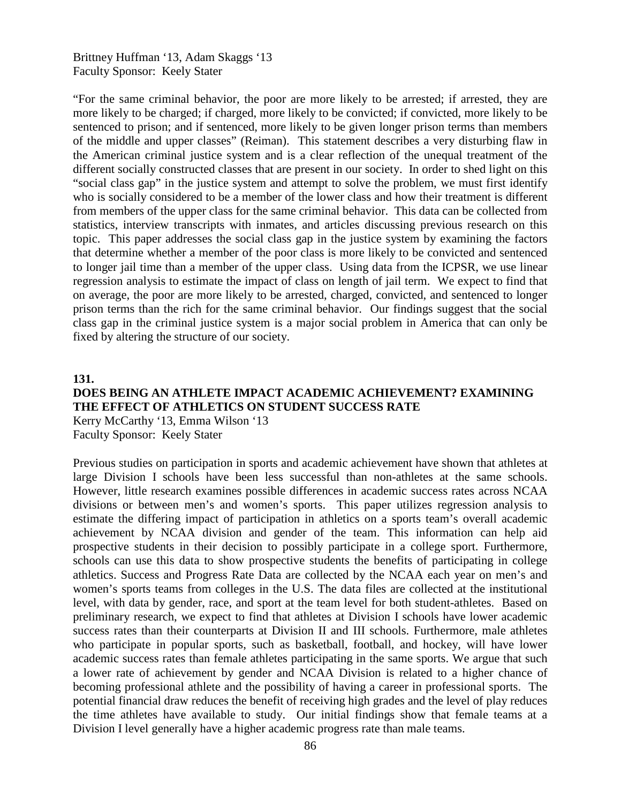Brittney Huffman '13, Adam Skaggs '13 Faculty Sponsor: Keely Stater

"For the same criminal behavior, the poor are more likely to be arrested; if arrested, they are more likely to be charged; if charged, more likely to be convicted; if convicted, more likely to be sentenced to prison; and if sentenced, more likely to be given longer prison terms than members of the middle and upper classes" (Reiman). This statement describes a very disturbing flaw in the American criminal justice system and is a clear reflection of the unequal treatment of the different socially constructed classes that are present in our society. In order to shed light on this "social class gap" in the justice system and attempt to solve the problem, we must first identify who is socially considered to be a member of the lower class and how their treatment is different from members of the upper class for the same criminal behavior. This data can be collected from statistics, interview transcripts with inmates, and articles discussing previous research on this topic. This paper addresses the social class gap in the justice system by examining the factors that determine whether a member of the poor class is more likely to be convicted and sentenced to longer jail time than a member of the upper class. Using data from the ICPSR, we use linear regression analysis to estimate the impact of class on length of jail term. We expect to find that on average, the poor are more likely to be arrested, charged, convicted, and sentenced to longer prison terms than the rich for the same criminal behavior. Our findings suggest that the social class gap in the criminal justice system is a major social problem in America that can only be fixed by altering the structure of our society.

#### **131.**

# **DOES BEING AN ATHLETE IMPACT ACADEMIC ACHIEVEMENT? EXAMINING THE EFFECT OF ATHLETICS ON STUDENT SUCCESS RATE**

Kerry McCarthy '13, Emma Wilson '13 Faculty Sponsor: Keely Stater

Previous studies on participation in sports and academic achievement have shown that athletes at large Division I schools have been less successful than non-athletes at the same schools. However, little research examines possible differences in academic success rates across NCAA divisions or between men's and women's sports. This paper utilizes regression analysis to estimate the differing impact of participation in athletics on a sports team's overall academic achievement by NCAA division and gender of the team. This information can help aid prospective students in their decision to possibly participate in a college sport. Furthermore, schools can use this data to show prospective students the benefits of participating in college athletics. Success and Progress Rate Data are collected by the NCAA each year on men's and women's sports teams from colleges in the U.S. The data files are collected at the institutional level, with data by gender, race, and sport at the team level for both student-athletes. Based on preliminary research, we expect to find that athletes at Division I schools have lower academic success rates than their counterparts at Division II and III schools. Furthermore, male athletes who participate in popular sports, such as basketball, football, and hockey, will have lower academic success rates than female athletes participating in the same sports. We argue that such a lower rate of achievement by gender and NCAA Division is related to a higher chance of becoming professional athlete and the possibility of having a career in professional sports. The potential financial draw reduces the benefit of receiving high grades and the level of play reduces the time athletes have available to study. Our initial findings show that female teams at a Division I level generally have a higher academic progress rate than male teams.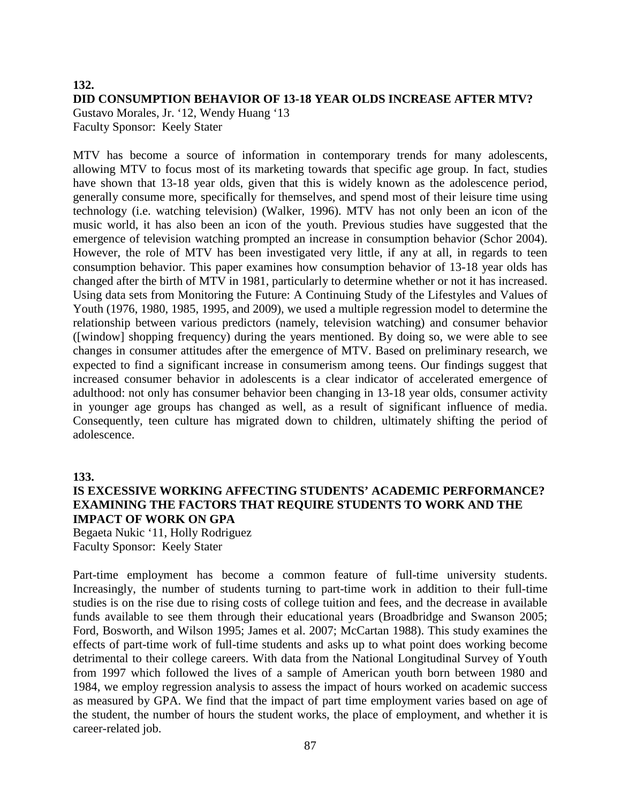## **132.**

# **DID CONSUMPTION BEHAVIOR OF 13-18 YEAR OLDS INCREASE AFTER MTV?**

Gustavo Morales, Jr. '12, Wendy Huang '13 Faculty Sponsor: Keely Stater

MTV has become a source of information in contemporary trends for many adolescents, allowing MTV to focus most of its marketing towards that specific age group. In fact, studies have shown that 13-18 year olds, given that this is widely known as the adolescence period, generally consume more, specifically for themselves, and spend most of their leisure time using technology (i.e. watching television) (Walker, 1996). MTV has not only been an icon of the music world, it has also been an icon of the youth. Previous studies have suggested that the emergence of television watching prompted an increase in consumption behavior (Schor 2004). However, the role of MTV has been investigated very little, if any at all, in regards to teen consumption behavior. This paper examines how consumption behavior of 13-18 year olds has changed after the birth of MTV in 1981, particularly to determine whether or not it has increased. Using data sets from Monitoring the Future: A Continuing Study of the Lifestyles and Values of Youth (1976, 1980, 1985, 1995, and 2009), we used a multiple regression model to determine the relationship between various predictors (namely, television watching) and consumer behavior ([window] shopping frequency) during the years mentioned. By doing so, we were able to see changes in consumer attitudes after the emergence of MTV. Based on preliminary research, we expected to find a significant increase in consumerism among teens. Our findings suggest that increased consumer behavior in adolescents is a clear indicator of accelerated emergence of adulthood: not only has consumer behavior been changing in 13-18 year olds, consumer activity in younger age groups has changed as well, as a result of significant influence of media. Consequently, teen culture has migrated down to children, ultimately shifting the period of adolescence.

#### **133.**

#### **IS EXCESSIVE WORKING AFFECTING STUDENTS' ACADEMIC PERFORMANCE? EXAMINING THE FACTORS THAT REQUIRE STUDENTS TO WORK AND THE IMPACT OF WORK ON GPA**

Begaeta Nukic '11, Holly Rodriguez Faculty Sponsor: Keely Stater

Part-time employment has become a common feature of full-time university students. Increasingly, the number of students turning to part-time work in addition to their full-time studies is on the rise due to rising costs of college tuition and fees, and the decrease in available funds available to see them through their educational years (Broadbridge and Swanson 2005; Ford, Bosworth, and Wilson 1995; James et al. 2007; McCartan 1988). This study examines the effects of part-time work of full-time students and asks up to what point does working become detrimental to their college careers. With data from the National Longitudinal Survey of Youth from 1997 which followed the lives of a sample of American youth born between 1980 and 1984, we employ regression analysis to assess the impact of hours worked on academic success as measured by GPA. We find that the impact of part time employment varies based on age of the student, the number of hours the student works, the place of employment, and whether it is career-related job.